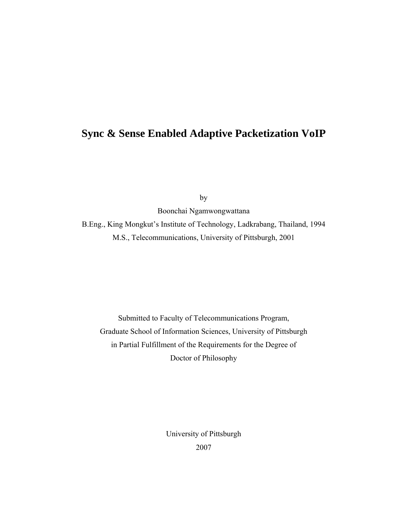## **Sync & Sense Enabled Adaptive Packetization VoIP**

by

Boonchai Ngamwongwattana B.Eng., King Mongkut's Institute of Technology, Ladkrabang, Thailand, 1994

M.S., Telecommunications, University of Pittsburgh, 2001

Submitted to Faculty of Telecommunications Program, Graduate School of Information Sciences, University of Pittsburgh in Partial Fulfillment of the Requirements for the Degree of Doctor of Philosophy

> University of Pittsburgh 2007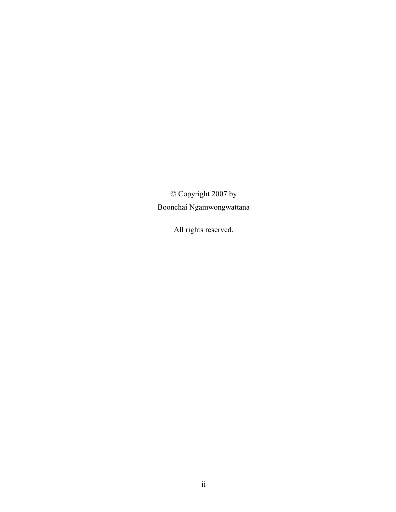© Copyright 2007 by Boonchai Ngamwongwattana

All rights reserved.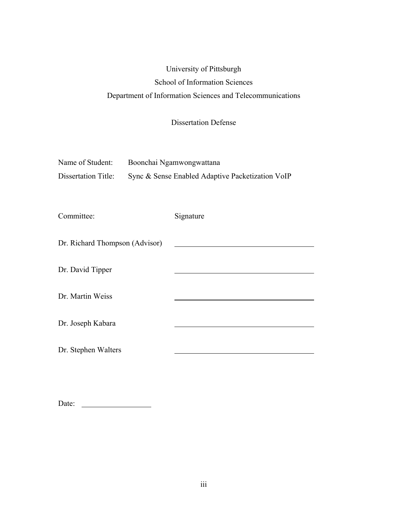## University of Pittsburgh School of Information Sciences Department of Information Sciences and Telecommunications

### Dissertation Defense

| Name of Student:               | Boonchai Ngamwongwattana |                                                  |  |  |  |  |
|--------------------------------|--------------------------|--------------------------------------------------|--|--|--|--|
| <b>Dissertation Title:</b>     |                          | Sync & Sense Enabled Adaptive Packetization VoIP |  |  |  |  |
|                                |                          |                                                  |  |  |  |  |
|                                |                          |                                                  |  |  |  |  |
| Committee:                     |                          | Signature                                        |  |  |  |  |
|                                |                          |                                                  |  |  |  |  |
| Dr. Richard Thompson (Advisor) |                          |                                                  |  |  |  |  |
|                                |                          |                                                  |  |  |  |  |
| Dr. David Tipper               |                          |                                                  |  |  |  |  |
|                                |                          |                                                  |  |  |  |  |
| Dr. Martin Weiss               |                          |                                                  |  |  |  |  |
|                                |                          |                                                  |  |  |  |  |
| Dr. Joseph Kabara              |                          |                                                  |  |  |  |  |
|                                |                          |                                                  |  |  |  |  |
| Dr. Stephen Walters            |                          |                                                  |  |  |  |  |

Date: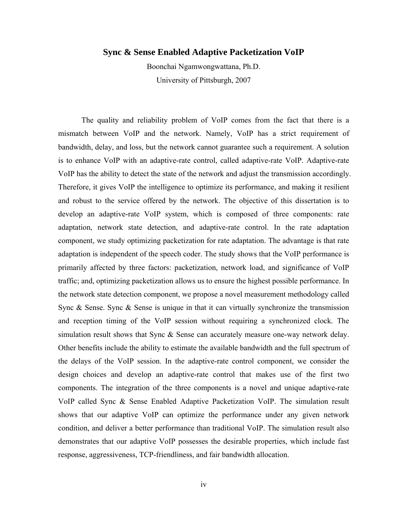#### **Sync & Sense Enabled Adaptive Packetization VoIP**

Boonchai Ngamwongwattana, Ph.D. University of Pittsburgh, 2007

The quality and reliability problem of VoIP comes from the fact that there is a mismatch between VoIP and the network. Namely, VoIP has a strict requirement of bandwidth, delay, and loss, but the network cannot guarantee such a requirement. A solution is to enhance VoIP with an adaptive-rate control, called adaptive-rate VoIP. Adaptive-rate VoIP has the ability to detect the state of the network and adjust the transmission accordingly. Therefore, it gives VoIP the intelligence to optimize its performance, and making it resilient and robust to the service offered by the network. The objective of this dissertation is to develop an adaptive-rate VoIP system, which is composed of three components: rate adaptation, network state detection, and adaptive-rate control. In the rate adaptation component, we study optimizing packetization for rate adaptation. The advantage is that rate adaptation is independent of the speech coder. The study shows that the VoIP performance is primarily affected by three factors: packetization, network load, and significance of VoIP traffic; and, optimizing packetization allows us to ensure the highest possible performance. In the network state detection component, we propose a novel measurement methodology called Sync & Sense. Sync & Sense is unique in that it can virtually synchronize the transmission and reception timing of the VoIP session without requiring a synchronized clock. The simulation result shows that Sync  $\&$  Sense can accurately measure one-way network delay. Other benefits include the ability to estimate the available bandwidth and the full spectrum of the delays of the VoIP session. In the adaptive-rate control component, we consider the design choices and develop an adaptive-rate control that makes use of the first two components. The integration of the three components is a novel and unique adaptive-rate VoIP called Sync & Sense Enabled Adaptive Packetization VoIP. The simulation result shows that our adaptive VoIP can optimize the performance under any given network condition, and deliver a better performance than traditional VoIP. The simulation result also demonstrates that our adaptive VoIP possesses the desirable properties, which include fast response, aggressiveness, TCP-friendliness, and fair bandwidth allocation.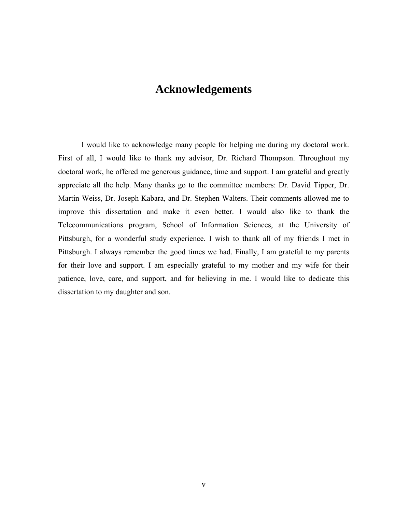### **Acknowledgements**

I would like to acknowledge many people for helping me during my doctoral work. First of all, I would like to thank my advisor, Dr. Richard Thompson. Throughout my doctoral work, he offered me generous guidance, time and support. I am grateful and greatly appreciate all the help. Many thanks go to the committee members: Dr. David Tipper, Dr. Martin Weiss, Dr. Joseph Kabara, and Dr. Stephen Walters. Their comments allowed me to improve this dissertation and make it even better. I would also like to thank the Telecommunications program, School of Information Sciences, at the University of Pittsburgh, for a wonderful study experience. I wish to thank all of my friends I met in Pittsburgh. I always remember the good times we had. Finally, I am grateful to my parents for their love and support. I am especially grateful to my mother and my wife for their patience, love, care, and support, and for believing in me. I would like to dedicate this dissertation to my daughter and son.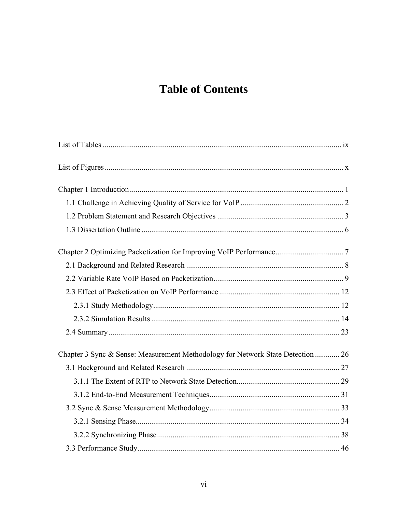## **Table of Contents**

| Chapter 3 Sync & Sense: Measurement Methodology for Network State Detection 26 |  |
|--------------------------------------------------------------------------------|--|
|                                                                                |  |
|                                                                                |  |
|                                                                                |  |
|                                                                                |  |
|                                                                                |  |
|                                                                                |  |
|                                                                                |  |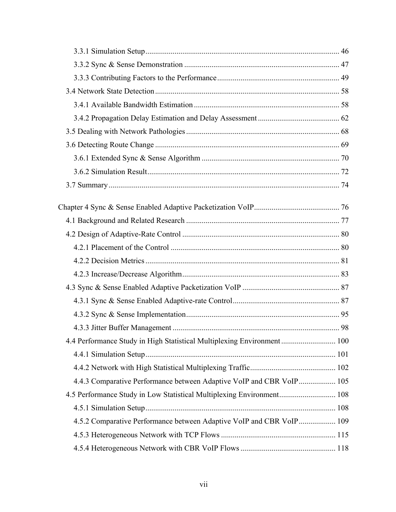| 4.4 Performance Study in High Statistical Multiplexing Environment 100 |  |
|------------------------------------------------------------------------|--|
|                                                                        |  |
|                                                                        |  |
| 4.4.3 Comparative Performance between Adaptive VoIP and CBR VoIP  105  |  |
| 4.5 Performance Study in Low Statistical Multiplexing Environment 108  |  |
|                                                                        |  |
| 4.5.2 Comparative Performance between Adaptive VoIP and CBR VoIP  109  |  |
|                                                                        |  |
|                                                                        |  |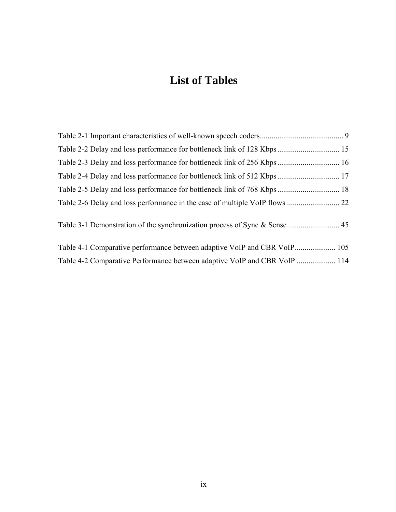## **List of Tables**

| Table 4-1 Comparative performance between adaptive VoIP and CBR VoIP 105  |  |
|---------------------------------------------------------------------------|--|
| Table 4-2 Comparative Performance between adaptive VoIP and CBR VoIP  114 |  |
|                                                                           |  |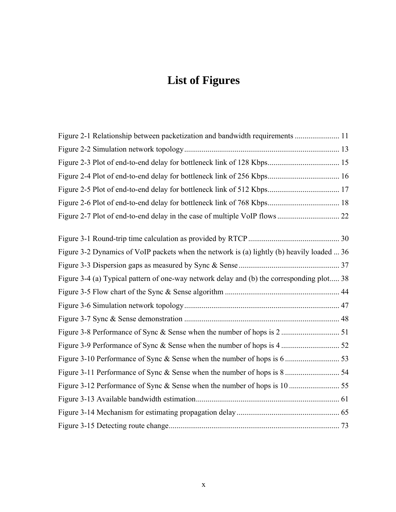# **List of Figures**

| Figure 2-1 Relationship between packetization and bandwidth requirements  11               |  |
|--------------------------------------------------------------------------------------------|--|
|                                                                                            |  |
|                                                                                            |  |
|                                                                                            |  |
|                                                                                            |  |
|                                                                                            |  |
|                                                                                            |  |
|                                                                                            |  |
| Figure 3-2 Dynamics of VoIP packets when the network is (a) lightly (b) heavily loaded  36 |  |
|                                                                                            |  |
| Figure 3-4 (a) Typical pattern of one-way network delay and (b) the corresponding plot 38  |  |
|                                                                                            |  |
|                                                                                            |  |
|                                                                                            |  |
|                                                                                            |  |
|                                                                                            |  |
|                                                                                            |  |
|                                                                                            |  |
|                                                                                            |  |
|                                                                                            |  |
|                                                                                            |  |
|                                                                                            |  |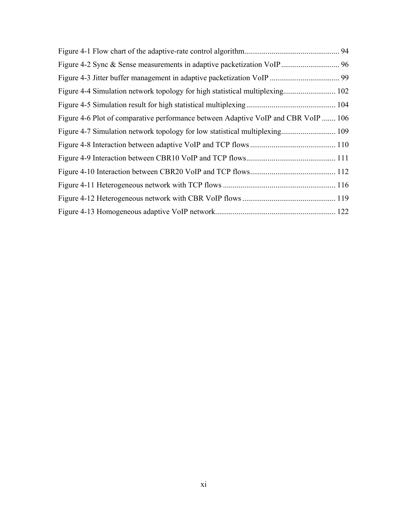| Figure 4-6 Plot of comparative performance between Adaptive VoIP and CBR VoIP  106 |  |
|------------------------------------------------------------------------------------|--|
|                                                                                    |  |
|                                                                                    |  |
|                                                                                    |  |
|                                                                                    |  |
|                                                                                    |  |
|                                                                                    |  |
|                                                                                    |  |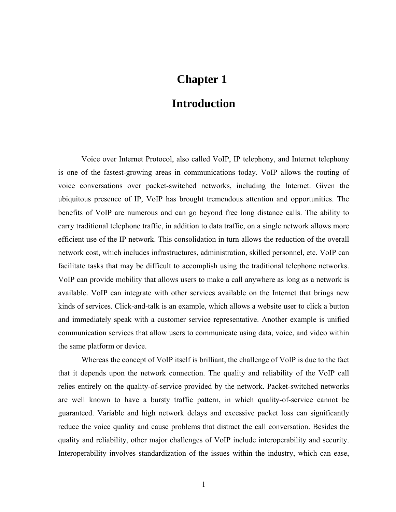## **Chapter 1**

## **Introduction**

<span id="page-11-0"></span>Voice over Internet Protocol, also called VoIP, IP telephony, and Internet telephony is one of the fastest-growing areas in communications today. VoIP allows the routing of voice conversations over packet-switched networks, including the Internet. Given the ubiquitous presence of IP, VoIP has brought tremendous attention and opportunities. The benefits of VoIP are numerous and can go beyond free long distance calls. The ability to carry traditional telephone traffic, in addition to data traffic, on a single network allows more efficient use of the IP network. This consolidation in turn allows the reduction of the overall network cost, which includes infrastructures, administration, skilled personnel, etc. VoIP can facilitate tasks that may be difficult to accomplish using the traditional telephone networks. VoIP can provide mobility that allows users to make a call anywhere as long as a network is available. VoIP can integrate with other services available on the Internet that brings new kinds of services. Click-and-talk is an example, which allows a website user to click a button and immediately speak with a customer service representative. Another example is unified communication services that allow users to communicate using data, voice, and video within the same platform or device.

Whereas the concept of VoIP itself is brilliant, the challenge of VoIP is due to the fact that it depends upon the network connection. The quality and reliability of the VoIP call relies entirely on the quality-of-service provided by the network. Packet-switched networks are well known to have a bursty traffic pattern, in which quality-of-service cannot be guaranteed. Variable and high network delays and excessive packet loss can significantly reduce the voice quality and cause problems that distract the call conversation. Besides the quality and reliability, other major challenges of VoIP include interoperability and security. Interoperability involves standardization of the issues within the industry, which can ease,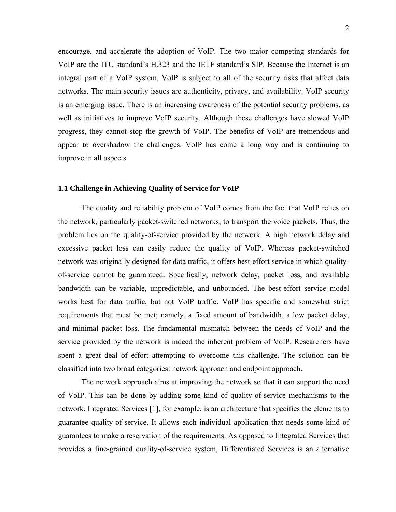<span id="page-12-0"></span>encourage, and accelerate the adoption of VoIP. The two major competing standards for VoIP are the ITU standard's H.323 and the IETF standard's SIP. Because the Internet is an integral part of a VoIP system, VoIP is subject to all of the security risks that affect data networks. The main security issues are authenticity, privacy, and availability. VoIP security is an emerging issue. There is an increasing awareness of the potential security problems, as well as initiatives to improve VoIP security. Although these challenges have slowed VoIP progress, they cannot stop the growth of VoIP. The benefits of VoIP are tremendous and appear to overshadow the challenges. VoIP has come a long way and is continuing to improve in all aspects.

#### **1.1 Challenge in Achieving Quality of Service for VoIP**

The quality and reliability problem of VoIP comes from the fact that VoIP relies on the network, particularly packet-switched networks, to transport the voice packets. Thus, the problem lies on the quality-of-service provided by the network. A high network delay and excessive packet loss can easily reduce the quality of VoIP. Whereas packet-switched network was originally designed for data traffic, it offers best-effort service in which qualityof-service cannot be guaranteed. Specifically, network delay, packet loss, and available bandwidth can be variable, unpredictable, and unbounded. The best-effort service model works best for data traffic, but not VoIP traffic. VoIP has specific and somewhat strict requirements that must be met; namely, a fixed amount of bandwidth, a low packet delay, and minimal packet loss. The fundamental mismatch between the needs of VoIP and the service provided by the network is indeed the inherent problem of VoIP. Researchers have spent a great deal of effort attempting to overcome this challenge. The solution can be classified into two broad categories: network approach and endpoint approach.

The network approach aims at improving the network so that it can support the need of VoIP. This can be done by adding some kind of quality-of-service mechanisms to the network. Integrated Services [1], for example, is an architecture that specifies the elements to guarantee quality-of-service. It allows each individual application that needs some kind of guarantees to make a reservation of the requirements. As opposed to Integrated Services that provides a fine-grained quality-of-service system, Differentiated Services is an alternative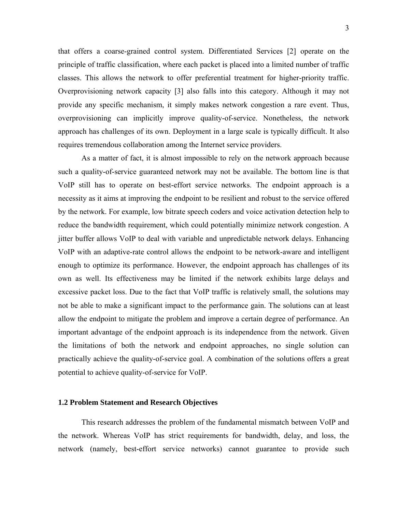<span id="page-13-0"></span>that offers a coarse-grained control system. Differentiated Services [2] operate on the principle of traffic classification, where each packet is placed into a limited number of traffic classes. This allows the network to offer preferential treatment for higher-priority traffic. Overprovisioning network capacity [3] also falls into this category. Although it may not provide any specific mechanism, it simply makes network congestion a rare event. Thus, overprovisioning can implicitly improve quality-of-service. Nonetheless, the network approach has challenges of its own. Deployment in a large scale is typically difficult. It also requires tremendous collaboration among the Internet service providers.

As a matter of fact, it is almost impossible to rely on the network approach because such a quality-of-service guaranteed network may not be available. The bottom line is that VoIP still has to operate on best-effort service networks. The endpoint approach is a necessity as it aims at improving the endpoint to be resilient and robust to the service offered by the network. For example, low bitrate speech coders and voice activation detection help to reduce the bandwidth requirement, which could potentially minimize network congestion. A jitter buffer allows VoIP to deal with variable and unpredictable network delays. Enhancing VoIP with an adaptive-rate control allows the endpoint to be network-aware and intelligent enough to optimize its performance. However, the endpoint approach has challenges of its own as well. Its effectiveness may be limited if the network exhibits large delays and excessive packet loss. Due to the fact that VoIP traffic is relatively small, the solutions may not be able to make a significant impact to the performance gain. The solutions can at least allow the endpoint to mitigate the problem and improve a certain degree of performance. An important advantage of the endpoint approach is its independence from the network. Given the limitations of both the network and endpoint approaches, no single solution can practically achieve the quality-of-service goal. A combination of the solutions offers a great potential to achieve quality-of-service for VoIP.

#### **1.2 Problem Statement and Research Objectives**

This research addresses the problem of the fundamental mismatch between VoIP and the network. Whereas VoIP has strict requirements for bandwidth, delay, and loss, the network (namely, best-effort service networks) cannot guarantee to provide such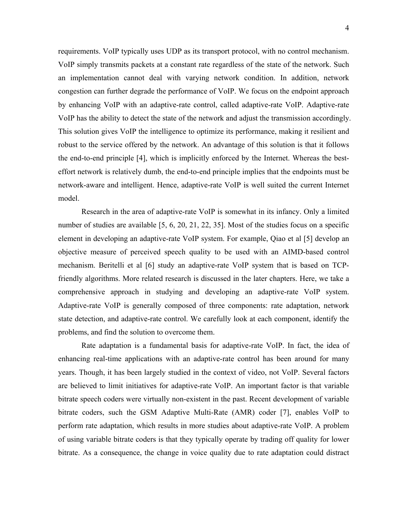requirements. VoIP typically uses UDP as its transport protocol, with no control mechanism. VoIP simply transmits packets at a constant rate regardless of the state of the network. Such an implementation cannot deal with varying network condition. In addition, network congestion can further degrade the performance of VoIP. We focus on the endpoint approach by enhancing VoIP with an adaptive-rate control, called adaptive-rate VoIP. Adaptive-rate VoIP has the ability to detect the state of the network and adjust the transmission accordingly. This solution gives VoIP the intelligence to optimize its performance, making it resilient and robust to the service offered by the network. An advantage of this solution is that it follows the end-to-end principle [4], which is implicitly enforced by the Internet. Whereas the besteffort network is relatively dumb, the end-to-end principle implies that the endpoints must be network-aware and intelligent. Hence, adaptive-rate VoIP is well suited the current Internet model.

Research in the area of adaptive-rate VoIP is somewhat in its infancy. Only a limited number of studies are available [5, 6, 20, 21, 22, 35]. Most of the studies focus on a specific element in developing an adaptive-rate VoIP system. For example, Qiao et al [5] develop an objective measure of perceived speech quality to be used with an AIMD-based control mechanism. Beritelli et al [6] study an adaptive-rate VoIP system that is based on TCPfriendly algorithms. More related research is discussed in the later chapters. Here, we take a comprehensive approach in studying and developing an adaptive-rate VoIP system. Adaptive-rate VoIP is generally composed of three components: rate adaptation, network state detection, and adaptive-rate control. We carefully look at each component, identify the problems, and find the solution to overcome them.

Rate adaptation is a fundamental basis for adaptive-rate VoIP. In fact, the idea of enhancing real-time applications with an adaptive-rate control has been around for many years. Though, it has been largely studied in the context of video, not VoIP. Several factors are believed to limit initiatives for adaptive-rate VoIP. An important factor is that variable bitrate speech coders were virtually non-existent in the past. Recent development of variable bitrate coders, such the GSM Adaptive Multi-Rate (AMR) coder [7], enables VoIP to perform rate adaptation, which results in more studies about adaptive-rate VoIP. A problem of using variable bitrate coders is that they typically operate by trading off quality for lower bitrate. As a consequence, the change in voice quality due to rate adaptation could distract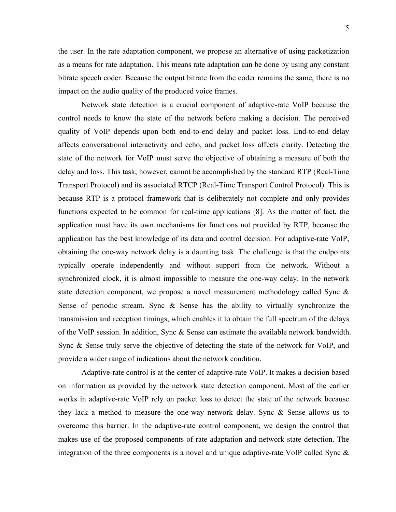the user. In the rate adaptation component, we propose an alternative of using packetization as a means for rate adaptation. This means rate adaptation can be done by using any constant bitrate speech coder. Because the output bitrate from the coder remains the same, there is no impact on the audio quality of the produced voice frames.

Network state detection is a crucial component of adaptive-rate VoIP because the control needs to know the state of the network before making a decision. The perceived quality of VoIP depends upon both end-to-end delay and packet loss. End-to-end delay affects conversational interactivity and echo, and packet loss affects clarity. Detecting the state of the network for VoIP must serve the objective of obtaining a measure of both the delay and loss. This task, however, cannot be accomplished by the standard RTP (Real-Time Transport Protocol) and its associated RTCP (Real-Time Transport Control Protocol). This is because RTP is a protocol framework that is deliberately not complete and only provides functions expected to be common for real-time applications [8]. As the matter of fact, the application must have its own mechanisms for functions not provided by RTP, because the application has the best knowledge of its data and control decision. For adaptive-rate VoIP, obtaining the one-way network delay is a daunting task. The challenge is that the endpoints typically operate independently and without support from the network. Without a synchronized clock, it is almost impossible to measure the one-way delay. In the network state detection component, we propose a novel measurement methodology called Sync & Sense of periodic stream. Sync & Sense has the ability to virtually synchronize the transmission and reception timings, which enables it to obtain the full spectrum of the delays of the VoIP session. In addition, Sync & Sense can estimate the available network bandwidth. Sync & Sense truly serve the objective of detecting the state of the network for VoIP, and provide a wider range of indications about the network condition.

Adaptive-rate control is at the center of adaptive-rate VoIP. It makes a decision based on information as provided by the network state detection component. Most of the earlier works in adaptive-rate VoIP rely on packet loss to detect the state of the network because they lack a method to measure the one-way network delay. Sync & Sense allows us to overcome this barrier. In the adaptive-rate control component, we design the control that makes use of the proposed components of rate adaptation and network state detection. The integration of the three components is a novel and unique adaptive-rate VoIP called Sync  $\&$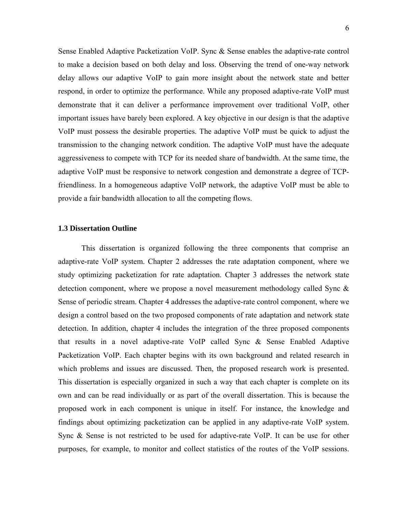<span id="page-16-0"></span>Sense Enabled Adaptive Packetization VoIP. Sync & Sense enables the adaptive-rate control to make a decision based on both delay and loss. Observing the trend of one-way network delay allows our adaptive VoIP to gain more insight about the network state and better respond, in order to optimize the performance. While any proposed adaptive-rate VoIP must demonstrate that it can deliver a performance improvement over traditional VoIP, other important issues have barely been explored. A key objective in our design is that the adaptive VoIP must possess the desirable properties. The adaptive VoIP must be quick to adjust the transmission to the changing network condition. The adaptive VoIP must have the adequate aggressiveness to compete with TCP for its needed share of bandwidth. At the same time, the adaptive VoIP must be responsive to network congestion and demonstrate a degree of TCPfriendliness. In a homogeneous adaptive VoIP network, the adaptive VoIP must be able to provide a fair bandwidth allocation to all the competing flows.

#### **1.3 Dissertation Outline**

This dissertation is organized following the three components that comprise an adaptive-rate VoIP system. Chapter 2 addresses the rate adaptation component, where we study optimizing packetization for rate adaptation. Chapter 3 addresses the network state detection component, where we propose a novel measurement methodology called Sync & Sense of periodic stream. Chapter 4 addresses the adaptive-rate control component, where we design a control based on the two proposed components of rate adaptation and network state detection. In addition, chapter 4 includes the integration of the three proposed components that results in a novel adaptive-rate VoIP called Sync & Sense Enabled Adaptive Packetization VoIP. Each chapter begins with its own background and related research in which problems and issues are discussed. Then, the proposed research work is presented. This dissertation is especially organized in such a way that each chapter is complete on its own and can be read individually or as part of the overall dissertation. This is because the proposed work in each component is unique in itself. For instance, the knowledge and findings about optimizing packetization can be applied in any adaptive-rate VoIP system. Sync & Sense is not restricted to be used for adaptive-rate VoIP. It can be use for other purposes, for example, to monitor and collect statistics of the routes of the VoIP sessions.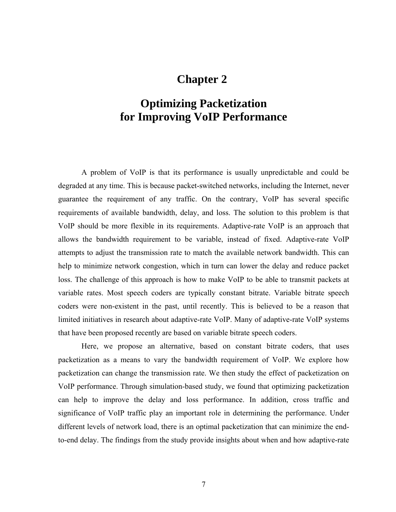### **Chapter 2**

## <span id="page-17-0"></span>**Optimizing Packetization for Improving VoIP Performance**

A problem of VoIP is that its performance is usually unpredictable and could be degraded at any time. This is because packet-switched networks, including the Internet, never guarantee the requirement of any traffic. On the contrary, VoIP has several specific requirements of available bandwidth, delay, and loss. The solution to this problem is that VoIP should be more flexible in its requirements. Adaptive-rate VoIP is an approach that allows the bandwidth requirement to be variable, instead of fixed. Adaptive-rate VoIP attempts to adjust the transmission rate to match the available network bandwidth. This can help to minimize network congestion, which in turn can lower the delay and reduce packet loss. The challenge of this approach is how to make VoIP to be able to transmit packets at variable rates. Most speech coders are typically constant bitrate. Variable bitrate speech coders were non-existent in the past, until recently. This is believed to be a reason that limited initiatives in research about adaptive-rate VoIP. Many of adaptive-rate VoIP systems that have been proposed recently are based on variable bitrate speech coders.

Here, we propose an alternative, based on constant bitrate coders, that uses packetization as a means to vary the bandwidth requirement of VoIP. We explore how packetization can change the transmission rate. We then study the effect of packetization on VoIP performance. Through simulation-based study, we found that optimizing packetization can help to improve the delay and loss performance. In addition, cross traffic and significance of VoIP traffic play an important role in determining the performance. Under different levels of network load, there is an optimal packetization that can minimize the endto-end delay. The findings from the study provide insights about when and how adaptive-rate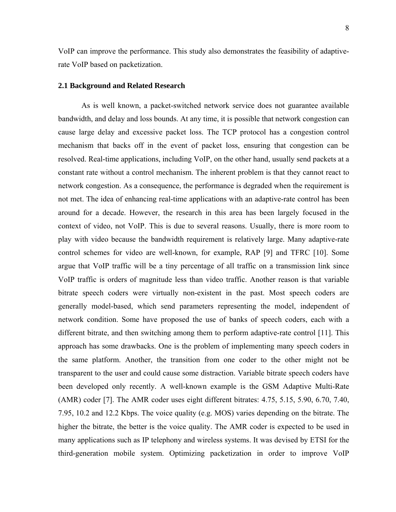<span id="page-18-0"></span>VoIP can improve the performance. This study also demonstrates the feasibility of adaptiverate VoIP based on packetization.

#### **2.1 Background and Related Research**

As is well known, a packet-switched network service does not guarantee available bandwidth, and delay and loss bounds. At any time, it is possible that network congestion can cause large delay and excessive packet loss. The TCP protocol has a congestion control mechanism that backs off in the event of packet loss, ensuring that congestion can be resolved. Real-time applications, including VoIP, on the other hand, usually send packets at a constant rate without a control mechanism. The inherent problem is that they cannot react to network congestion. As a consequence, the performance is degraded when the requirement is not met. The idea of enhancing real-time applications with an adaptive-rate control has been around for a decade. However, the research in this area has been largely focused in the context of video, not VoIP. This is due to several reasons. Usually, there is more room to play with video because the bandwidth requirement is relatively large. Many adaptive-rate control schemes for video are well-known, for example, RAP [9] and TFRC [10]. Some argue that VoIP traffic will be a tiny percentage of all traffic on a transmission link since VoIP traffic is orders of magnitude less than video traffic. Another reason is that variable bitrate speech coders were virtually non-existent in the past. Most speech coders are generally model-based, which send parameters representing the model, independent of network condition. Some have proposed the use of banks of speech coders, each with a different bitrate, and then switching among them to perform adaptive-rate control [11]. This approach has some drawbacks. One is the problem of implementing many speech coders in the same platform. Another, the transition from one coder to the other might not be transparent to the user and could cause some distraction. Variable bitrate speech coders have been developed only recently. A well-known example is the GSM Adaptive Multi-Rate (AMR) coder [7]. The AMR coder uses eight different bitrates: 4.75, 5.15, 5.90, 6.70, 7.40, 7.95, 10.2 and 12.2 Kbps. The voice quality (e.g. MOS) varies depending on the bitrate. The higher the bitrate, the better is the voice quality. The AMR coder is expected to be used in many applications such as IP telephony and wireless systems. It was devised by ETSI for the third-generation mobile system. Optimizing packetization in order to improve VoIP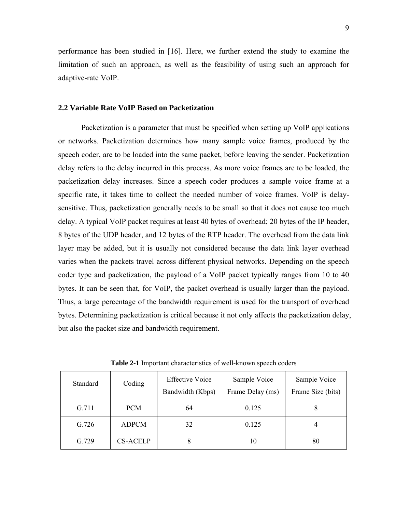<span id="page-19-0"></span>performance has been studied in [16]. Here, we further extend the study to examine the limitation of such an approach, as well as the feasibility of using such an approach for adaptive-rate VoIP.

#### **2.2 Variable Rate VoIP Based on Packetization**

Packetization is a parameter that must be specified when setting up VoIP applications or networks. Packetization determines how many sample voice frames, produced by the speech coder, are to be loaded into the same packet, before leaving the sender. Packetization delay refers to the delay incurred in this process. As more voice frames are to be loaded, the packetization delay increases. Since a speech coder produces a sample voice frame at a specific rate, it takes time to collect the needed number of voice frames. VoIP is delaysensitive. Thus, packetization generally needs to be small so that it does not cause too much delay. A typical VoIP packet requires at least 40 bytes of overhead; 20 bytes of the IP header, 8 bytes of the UDP header, and 12 bytes of the RTP header. The overhead from the data link layer may be added, but it is usually not considered because the data link layer overhead varies when the packets travel across different physical networks. Depending on the speech coder type and packetization, the payload of a VoIP packet typically ranges from 10 to 40 bytes. It can be seen that, for VoIP, the packet overhead is usually larger than the payload. Thus, a large percentage of the bandwidth requirement is used for the transport of overhead bytes. Determining packetization is critical because it not only affects the packetization delay, but also the packet size and bandwidth requirement.

| Standard | Coding          | <b>Effective Voice</b><br>Bandwidth (Kbps) | Sample Voice<br>Frame Delay (ms) | Sample Voice<br>Frame Size (bits) |
|----------|-----------------|--------------------------------------------|----------------------------------|-----------------------------------|
| G.711    | <b>PCM</b>      | 64                                         | 0.125                            | 8                                 |
| G.726    | <b>ADPCM</b>    | 32                                         | 0.125                            | 4                                 |
| G.729    | <b>CS-ACELP</b> | 8                                          | 10                               | 80                                |

**Table 2-1** Important characteristics of well-known speech coders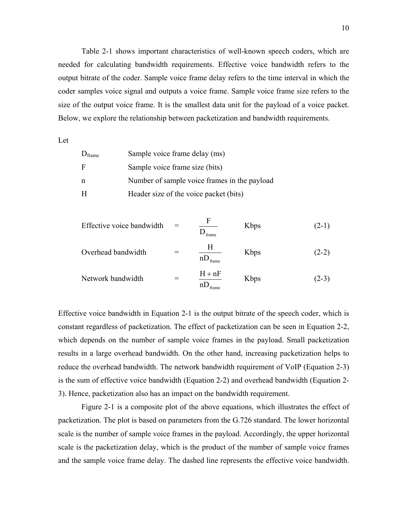Table 2-1 shows important characteristics of well-known speech coders, which are needed for calculating bandwidth requirements. Effective voice bandwidth refers to the output bitrate of the coder. Sample voice frame delay refers to the time interval in which the coder samples voice signal and outputs a voice frame. Sample voice frame size refers to the size of the output voice frame. It is the smallest data unit for the payload of a voice packet. Below, we explore the relationship between packetization and bandwidth requirements.

Let

| $D_{frame}$ | Sample voice frame delay (ms)                |
|-------------|----------------------------------------------|
| F           | Sample voice frame size (bits)               |
| n           | Number of sample voice frames in the payload |
| н           | Header size of the voice packet (bits)       |

$$
Effective voice bandwidth = \frac{F}{D_{frame}} \qquad \text{Kbps} \tag{2-1}
$$

Overhead bandwidth 
$$
= \frac{H}{nD_{frame}}
$$
 Kbps (2-2)

Network bandwidth 
$$
= \frac{H + nF}{nD_{frame}} \qquad \text{Kbps} \qquad (2-3)
$$

Effective voice bandwidth in Equation 2-1 is the output bitrate of the speech coder, which is constant regardless of packetization. The effect of packetization can be seen in Equation 2-2, which depends on the number of sample voice frames in the payload. Small packetization results in a large overhead bandwidth. On the other hand, increasing packetization helps to reduce the overhead bandwidth. The network bandwidth requirement of VoIP (Equation 2-3) is the sum of effective voice bandwidth (Equation 2-2) and overhead bandwidth (Equation 2- 3). Hence, packetization also has an impact on the bandwidth requirement.

Figure 2-1 is a composite plot of the above equations, which illustrates the effect of packetization. The plot is based on parameters from the G.726 standard. The lower horizontal scale is the number of sample voice frames in the payload. Accordingly, the upper horizontal scale is the packetization delay, which is the product of the number of sample voice frames and the sample voice frame delay. The dashed line represents the effective voice bandwidth.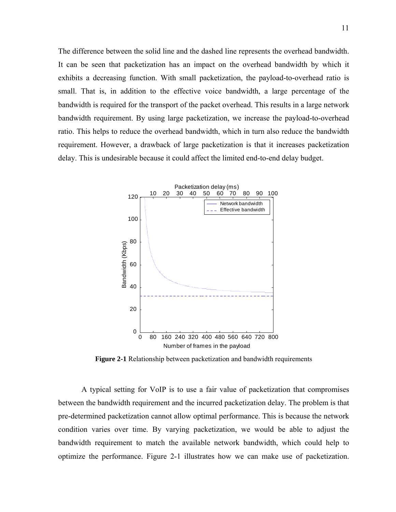<span id="page-21-0"></span>The difference between the solid line and the dashed line represents the overhead bandwidth. It can be seen that packetization has an impact on the overhead bandwidth by which it exhibits a decreasing function. With small packetization, the payload-to-overhead ratio is small. That is, in addition to the effective voice bandwidth, a large percentage of the bandwidth is required for the transport of the packet overhead. This results in a large network bandwidth requirement. By using large packetization, we increase the payload-to-overhead ratio. This helps to reduce the overhead bandwidth, which in turn also reduce the bandwidth requirement. However, a drawback of large packetization is that it increases packetization delay. This is undesirable because it could affect the limited end-to-end delay budget.



**Figure 2-1** Relationship between packetization and bandwidth requirements

A typical setting for VoIP is to use a fair value of packetization that compromises between the bandwidth requirement and the incurred packetization delay. The problem is that pre-determined packetization cannot allow optimal performance. This is because the network condition varies over time. By varying packetization, we would be able to adjust the bandwidth requirement to match the available network bandwidth, which could help to optimize the performance. Figure 2-1 illustrates how we can make use of packetization.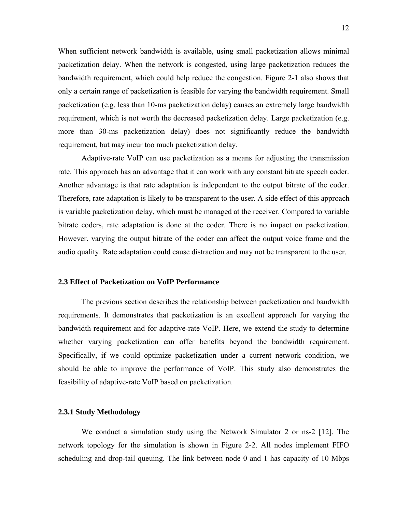<span id="page-22-0"></span>When sufficient network bandwidth is available, using small packetization allows minimal packetization delay. When the network is congested, using large packetization reduces the bandwidth requirement, which could help reduce the congestion. Figure 2-1 also shows that only a certain range of packetization is feasible for varying the bandwidth requirement. Small packetization (e.g. less than 10-ms packetization delay) causes an extremely large bandwidth requirement, which is not worth the decreased packetization delay. Large packetization (e.g. more than 30-ms packetization delay) does not significantly reduce the bandwidth requirement, but may incur too much packetization delay.

Adaptive-rate VoIP can use packetization as a means for adjusting the transmission rate. This approach has an advantage that it can work with any constant bitrate speech coder. Another advantage is that rate adaptation is independent to the output bitrate of the coder. Therefore, rate adaptation is likely to be transparent to the user. A side effect of this approach is variable packetization delay, which must be managed at the receiver. Compared to variable bitrate coders, rate adaptation is done at the coder. There is no impact on packetization. However, varying the output bitrate of the coder can affect the output voice frame and the audio quality. Rate adaptation could cause distraction and may not be transparent to the user.

#### **2.3 Effect of Packetization on VoIP Performance**

The previous section describes the relationship between packetization and bandwidth requirements. It demonstrates that packetization is an excellent approach for varying the bandwidth requirement and for adaptive-rate VoIP. Here, we extend the study to determine whether varying packetization can offer benefits beyond the bandwidth requirement. Specifically, if we could optimize packetization under a current network condition, we should be able to improve the performance of VoIP. This study also demonstrates the feasibility of adaptive-rate VoIP based on packetization.

#### **2.3.1 Study Methodology**

We conduct a simulation study using the Network Simulator 2 or ns-2 [12]. The network topology for the simulation is shown in Figure 2-2. All nodes implement FIFO scheduling and drop-tail queuing. The link between node 0 and 1 has capacity of 10 Mbps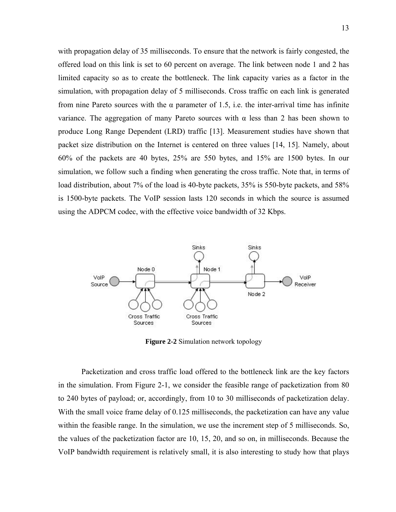<span id="page-23-0"></span>with propagation delay of 35 milliseconds. To ensure that the network is fairly congested, the offered load on this link is set to 60 percent on average. The link between node 1 and 2 has limited capacity so as to create the bottleneck. The link capacity varies as a factor in the simulation, with propagation delay of 5 milliseconds. Cross traffic on each link is generated from nine Pareto sources with the  $\alpha$  parameter of 1.5, i.e. the inter-arrival time has infinite variance. The aggregation of many Pareto sources with  $\alpha$  less than 2 has been shown to produce Long Range Dependent (LRD) traffic [13]. Measurement studies have shown that packet size distribution on the Internet is centered on three values [14, 15]. Namely, about 60% of the packets are 40 bytes, 25% are 550 bytes, and 15% are 1500 bytes. In our simulation, we follow such a finding when generating the cross traffic. Note that, in terms of load distribution, about 7% of the load is 40-byte packets, 35% is 550-byte packets, and 58% is 1500-byte packets. The VoIP session lasts 120 seconds in which the source is assumed using the ADPCM codec, with the effective voice bandwidth of 32 Kbps.



**Figure 2-2** Simulation network topology

Packetization and cross traffic load offered to the bottleneck link are the key factors in the simulation. From Figure 2-1, we consider the feasible range of packetization from 80 to 240 bytes of payload; or, accordingly, from 10 to 30 milliseconds of packetization delay. With the small voice frame delay of 0.125 milliseconds, the packetization can have any value within the feasible range. In the simulation, we use the increment step of 5 milliseconds. So, the values of the packetization factor are 10, 15, 20, and so on, in milliseconds. Because the VoIP bandwidth requirement is relatively small, it is also interesting to study how that plays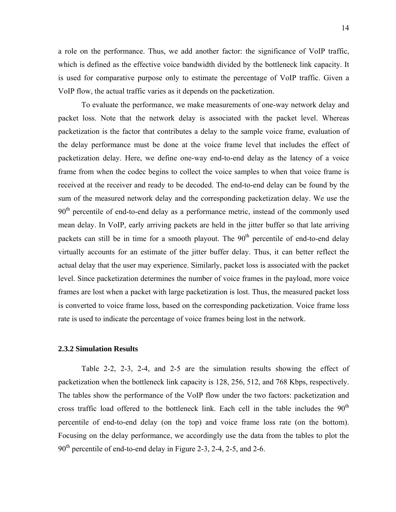<span id="page-24-0"></span>a role on the performance. Thus, we add another factor: the significance of VoIP traffic, which is defined as the effective voice bandwidth divided by the bottleneck link capacity. It is used for comparative purpose only to estimate the percentage of VoIP traffic. Given a VoIP flow, the actual traffic varies as it depends on the packetization.

To evaluate the performance, we make measurements of one-way network delay and packet loss. Note that the network delay is associated with the packet level. Whereas packetization is the factor that contributes a delay to the sample voice frame, evaluation of the delay performance must be done at the voice frame level that includes the effect of packetization delay. Here, we define one-way end-to-end delay as the latency of a voice frame from when the codec begins to collect the voice samples to when that voice frame is received at the receiver and ready to be decoded. The end-to-end delay can be found by the sum of the measured network delay and the corresponding packetization delay. We use the  $90<sup>th</sup>$  percentile of end-to-end delay as a performance metric, instead of the commonly used mean delay. In VoIP, early arriving packets are held in the jitter buffer so that late arriving packets can still be in time for a smooth playout. The  $90<sup>th</sup>$  percentile of end-to-end delay virtually accounts for an estimate of the jitter buffer delay. Thus, it can better reflect the actual delay that the user may experience. Similarly, packet loss is associated with the packet level. Since packetization determines the number of voice frames in the payload, more voice frames are lost when a packet with large packetization is lost. Thus, the measured packet loss is converted to voice frame loss, based on the corresponding packetization. Voice frame loss rate is used to indicate the percentage of voice frames being lost in the network.

#### **2.3.2 Simulation Results**

Table 2-2, 2-3, 2-4, and 2-5 are the simulation results showing the effect of packetization when the bottleneck link capacity is 128, 256, 512, and 768 Kbps, respectively. The tables show the performance of the VoIP flow under the two factors: packetization and cross traffic load offered to the bottleneck link. Each cell in the table includes the  $90<sup>th</sup>$ percentile of end-to-end delay (on the top) and voice frame loss rate (on the bottom). Focusing on the delay performance, we accordingly use the data from the tables to plot the  $90<sup>th</sup>$  percentile of end-to-end delay in Figure 2-3, 2-4, 2-5, and 2-6.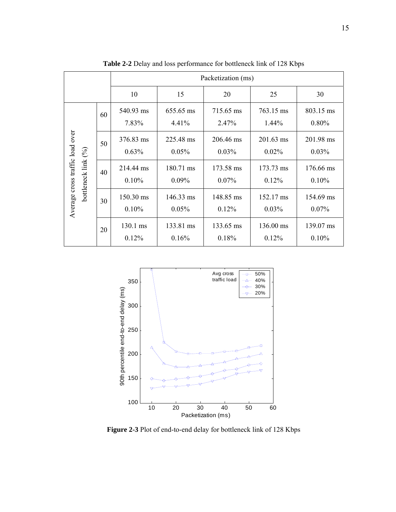<span id="page-25-0"></span>

|                                 |                     |    | Packetization (ms) |                              |                       |                         |                       |  |
|---------------------------------|---------------------|----|--------------------|------------------------------|-----------------------|-------------------------|-----------------------|--|
|                                 |                     |    | 10                 | 15                           | 20                    | 25                      | 30                    |  |
|                                 | bottleneck link (%) | 60 | 540.93 ms<br>7.83% | 655.65 ms<br>$4.41\%$        | 715.65 ms<br>2.47%    | 763.15 ms<br>$1.44\%$   | 803.15 ms<br>0.80%    |  |
|                                 |                     | 50 | 376.83 ms<br>0.63% | 225.48 ms<br>0.05%           | 206.46 ms<br>0.03%    | $201.63$ ms<br>$0.02\%$ | 201.98 ms<br>0.03%    |  |
| Average cross traffic load over |                     | 40 | 214.44 ms<br>0.10% | 180.71 ms<br>$0.09\%$        | 173.58 ms<br>$0.07\%$ | 173.73 ms<br>$0.12\%$   | 176.66 ms<br>0.10%    |  |
|                                 |                     | 30 | 150.30 ms<br>0.10% | $146.33 \text{ ms}$<br>0.05% | 148.85 ms<br>0.12%    | 152.17 ms<br>0.03%      | 154.69 ms<br>$0.07\%$ |  |
|                                 |                     | 20 | 130.1 ms<br>0.12%  | 133.81 ms<br>0.16%           | 133.65 ms<br>0.18%    | 136.00 ms<br>0.12%      | 139.07 ms<br>0.10%    |  |

**Table 2-2** Delay and loss performance for bottleneck link of 128 Kbps



**Figure 2-3** Plot of end-to-end delay for bottleneck link of 128 Kbps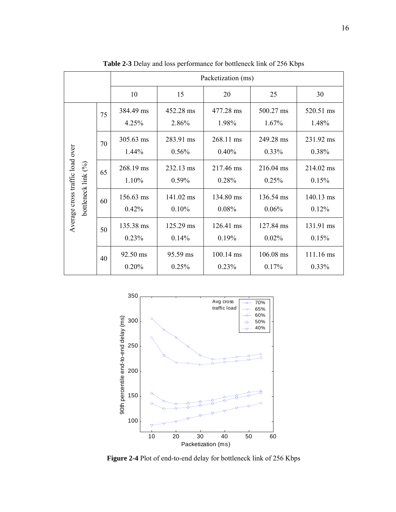<span id="page-26-0"></span>

|                                 |                     |    | Packetization (ms)    |                       |                    |                       |                    |  |
|---------------------------------|---------------------|----|-----------------------|-----------------------|--------------------|-----------------------|--------------------|--|
|                                 |                     |    | 10                    | 15                    | 20                 | 25                    | 30                 |  |
|                                 | bottleneck link (%) | 75 | 384.49 ms<br>4.25%    | 452.28 ms<br>2.86%    | 477.28 ms<br>1.98% | 500.27 ms<br>$1.67\%$ | 520.51 ms<br>1.48% |  |
| Average cross traffic load over |                     | 70 | 305.63 ms<br>$1.44\%$ | 283.91 ms<br>$0.56\%$ | 268.11 ms<br>0.40% | 249.28 ms<br>$0.33\%$ | 231.92 ms<br>0.38% |  |
|                                 |                     | 65 | 268.19 ms<br>1.10%    | 232.13 ms<br>0.59%    | 217.46 ms<br>0.28% | 216.04 ms<br>0.25%    | 214.02 ms<br>0.15% |  |
|                                 |                     | 60 | 156.63 ms<br>0.42%    | 141.02 ms<br>0.10%    | 134.80 ms<br>0.08% | 136.54 ms<br>0.06%    | 140.13 ms<br>0.12% |  |
|                                 |                     | 50 | 135.38 ms<br>0.23%    | 125.29 ms<br>0.14%    | 126.41 ms<br>0.19% | 127.84 ms<br>0.02%    | 131.91 ms<br>0.15% |  |
|                                 |                     | 40 | 92.50 ms<br>0.20%     | 95.59 ms<br>0.25%     | 100.14 ms<br>0.23% | 106.08 ms<br>0.17%    | 111.16 ms<br>0.33% |  |

**Table 2-3** Delay and loss performance for bottleneck link of 256 Kbps



**Figure 2-4** Plot of end-to-end delay for bottleneck link of 256 Kbps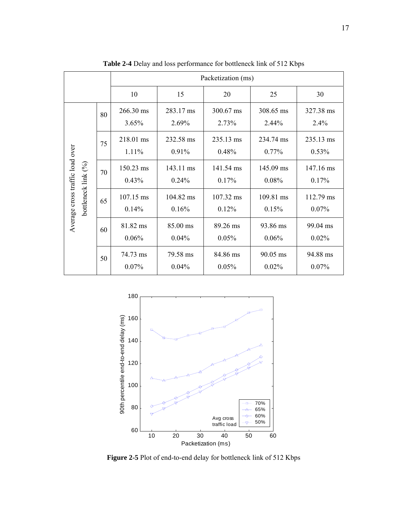<span id="page-27-0"></span>

|                                 |                     |    | Packetization (ms)    |                    |                    |                       |                    |  |
|---------------------------------|---------------------|----|-----------------------|--------------------|--------------------|-----------------------|--------------------|--|
|                                 |                     |    | 10                    | 15                 | 20                 | 25                    | 30                 |  |
|                                 |                     | 80 | 266.30 ms<br>3.65%    | 283.17 ms<br>2.69% | 300.67 ms<br>2.73% | 308.65 ms<br>2.44%    | 327.38 ms<br>2.4%  |  |
| Average cross traffic load over |                     | 75 | 218.01 ms<br>$1.11\%$ | 232.58 ms<br>0.91% | 235.13 ms<br>0.48% | 234.74 ms<br>$0.77\%$ | 235.13 ms<br>0.53% |  |
|                                 | bottleneck link (%) | 70 | 150.23 ms<br>0.43%    | 143.11 ms<br>0.24% | 141.54 ms<br>0.17% | 145.09 ms<br>0.08%    | 147.16 ms<br>0.17% |  |
|                                 |                     | 65 | 107.15 ms<br>0.14%    | 104.82 ms<br>0.16% | 107.32 ms<br>0.12% | 109.81 ms<br>0.15%    | 112.79 ms<br>0.07% |  |
|                                 |                     | 60 | 81.82 ms<br>0.06%     | 85.00 ms<br>0.04%  | 89.26 ms<br>0.05%  | 93.86 ms<br>0.06%     | 99.04 ms<br>0.02%  |  |
|                                 |                     | 50 | 74.73 ms<br>0.07%     | 79.58 ms<br>0.04%  | 84.86 ms<br>0.05%  | 90.05 ms<br>0.02%     | 94.88 ms<br>0.07%  |  |

**Table 2-4** Delay and loss performance for bottleneck link of 512 Kbps



**Figure 2-5** Plot of end-to-end delay for bottleneck link of 512 Kbps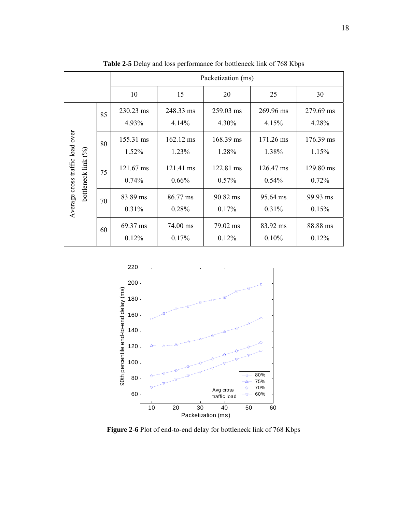<span id="page-28-0"></span>

|                                 |                     |    | Packetization (ms) |                              |                              |                    |                              |  |  |
|---------------------------------|---------------------|----|--------------------|------------------------------|------------------------------|--------------------|------------------------------|--|--|
|                                 |                     |    | 10                 | 15                           | 20                           | 25                 | 30                           |  |  |
| Average cross traffic load over | bottleneck link (%) | 85 | 230.23 ms<br>4.93% | 248.33 ms<br>4.14%           | 259.03 ms<br>4.30%           | 269.96 ms<br>4.15% | 279.69 ms<br>4.28%           |  |  |
|                                 |                     | 80 | 155.31 ms<br>1.52% | $162.12 \text{ ms}$<br>1.23% | $168.39 \text{ ms}$<br>1.28% | 171.26 ms<br>1.38% | $176.39 \text{ ms}$<br>1.15% |  |  |
|                                 |                     | 75 | 121.67 ms<br>0.74% | 121.41 ms<br>$0.66\%$        | 122.81 ms<br>0.57%           | 126.47 ms<br>0.54% | 129.80 ms<br>0.72%           |  |  |
|                                 |                     | 70 | 83.89 ms<br>0.31%  | 86.77 ms<br>0.28%            | 90.82 ms<br>0.17%            | 95.64 ms<br>0.31%  | 99.93 ms<br>0.15%            |  |  |
|                                 |                     | 60 | 69.37 ms<br>0.12%  | 74.00 ms<br>0.17%            | 79.02 ms<br>0.12%            | 83.92 ms<br>0.10%  | 88.88 ms<br>0.12%            |  |  |

**Table 2-5** Delay and loss performance for bottleneck link of 768 Kbps



Figure 2-6 Plot of end-to-end delay for bottleneck link of 768 Kbps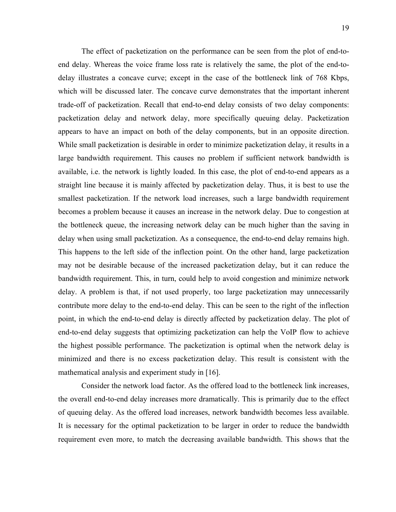The effect of packetization on the performance can be seen from the plot of end-toend delay. Whereas the voice frame loss rate is relatively the same, the plot of the end-todelay illustrates a concave curve; except in the case of the bottleneck link of 768 Kbps, which will be discussed later. The concave curve demonstrates that the important inherent trade-off of packetization. Recall that end-to-end delay consists of two delay components: packetization delay and network delay, more specifically queuing delay. Packetization appears to have an impact on both of the delay components, but in an opposite direction. While small packetization is desirable in order to minimize packetization delay, it results in a large bandwidth requirement. This causes no problem if sufficient network bandwidth is available, i.e. the network is lightly loaded. In this case, the plot of end-to-end appears as a straight line because it is mainly affected by packetization delay. Thus, it is best to use the smallest packetization. If the network load increases, such a large bandwidth requirement becomes a problem because it causes an increase in the network delay. Due to congestion at the bottleneck queue, the increasing network delay can be much higher than the saving in delay when using small packetization. As a consequence, the end-to-end delay remains high. This happens to the left side of the inflection point. On the other hand, large packetization may not be desirable because of the increased packetization delay, but it can reduce the bandwidth requirement. This, in turn, could help to avoid congestion and minimize network delay. A problem is that, if not used properly, too large packetization may unnecessarily contribute more delay to the end-to-end delay. This can be seen to the right of the inflection point, in which the end-to-end delay is directly affected by packetization delay. The plot of end-to-end delay suggests that optimizing packetization can help the VoIP flow to achieve the highest possible performance. The packetization is optimal when the network delay is minimized and there is no excess packetization delay. This result is consistent with the mathematical analysis and experiment study in [16].

Consider the network load factor. As the offered load to the bottleneck link increases, the overall end-to-end delay increases more dramatically. This is primarily due to the effect of queuing delay. As the offered load increases, network bandwidth becomes less available. It is necessary for the optimal packetization to be larger in order to reduce the bandwidth requirement even more, to match the decreasing available bandwidth. This shows that the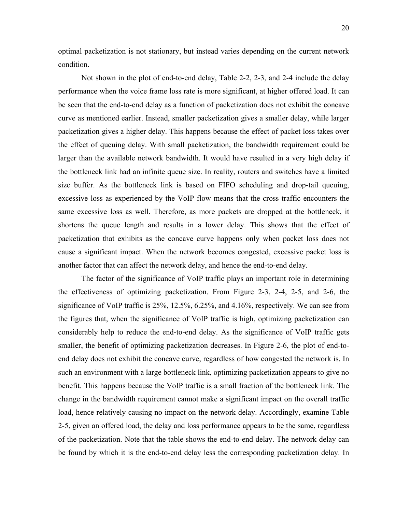optimal packetization is not stationary, but instead varies depending on the current network condition.

Not shown in the plot of end-to-end delay, Table 2-2, 2-3, and 2-4 include the delay performance when the voice frame loss rate is more significant, at higher offered load. It can be seen that the end-to-end delay as a function of packetization does not exhibit the concave curve as mentioned earlier. Instead, smaller packetization gives a smaller delay, while larger packetization gives a higher delay. This happens because the effect of packet loss takes over the effect of queuing delay. With small packetization, the bandwidth requirement could be larger than the available network bandwidth. It would have resulted in a very high delay if the bottleneck link had an infinite queue size. In reality, routers and switches have a limited size buffer. As the bottleneck link is based on FIFO scheduling and drop-tail queuing, excessive loss as experienced by the VoIP flow means that the cross traffic encounters the same excessive loss as well. Therefore, as more packets are dropped at the bottleneck, it shortens the queue length and results in a lower delay. This shows that the effect of packetization that exhibits as the concave curve happens only when packet loss does not cause a significant impact. When the network becomes congested, excessive packet loss is another factor that can affect the network delay, and hence the end-to-end delay.

The factor of the significance of VoIP traffic plays an important role in determining the effectiveness of optimizing packetization. From Figure 2-3, 2-4, 2-5, and 2-6, the significance of VoIP traffic is 25%, 12.5%, 6.25%, and 4.16%, respectively. We can see from the figures that, when the significance of VoIP traffic is high, optimizing packetization can considerably help to reduce the end-to-end delay. As the significance of VoIP traffic gets smaller, the benefit of optimizing packetization decreases. In Figure 2-6, the plot of end-toend delay does not exhibit the concave curve, regardless of how congested the network is. In such an environment with a large bottleneck link, optimizing packetization appears to give no benefit. This happens because the VoIP traffic is a small fraction of the bottleneck link. The change in the bandwidth requirement cannot make a significant impact on the overall traffic load, hence relatively causing no impact on the network delay. Accordingly, examine Table 2-5, given an offered load, the delay and loss performance appears to be the same, regardless of the packetization. Note that the table shows the end-to-end delay. The network delay can be found by which it is the end-to-end delay less the corresponding packetization delay. In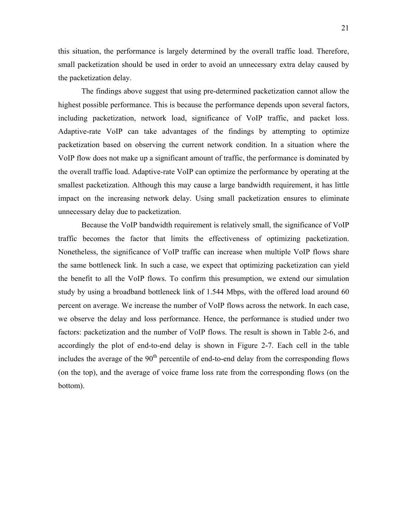this situation, the performance is largely determined by the overall traffic load. Therefore, small packetization should be used in order to avoid an unnecessary extra delay caused by the packetization delay.

The findings above suggest that using pre-determined packetization cannot allow the highest possible performance. This is because the performance depends upon several factors, including packetization, network load, significance of VoIP traffic, and packet loss. Adaptive-rate VoIP can take advantages of the findings by attempting to optimize packetization based on observing the current network condition. In a situation where the VoIP flow does not make up a significant amount of traffic, the performance is dominated by the overall traffic load. Adaptive-rate VoIP can optimize the performance by operating at the smallest packetization. Although this may cause a large bandwidth requirement, it has little impact on the increasing network delay. Using small packetization ensures to eliminate unnecessary delay due to packetization.

Because the VoIP bandwidth requirement is relatively small, the significance of VoIP traffic becomes the factor that limits the effectiveness of optimizing packetization. Nonetheless, the significance of VoIP traffic can increase when multiple VoIP flows share the same bottleneck link. In such a case, we expect that optimizing packetization can yield the benefit to all the VoIP flows. To confirm this presumption, we extend our simulation study by using a broadband bottleneck link of 1.544 Mbps, with the offered load around 60 percent on average. We increase the number of VoIP flows across the network. In each case, we observe the delay and loss performance. Hence, the performance is studied under two factors: packetization and the number of VoIP flows. The result is shown in Table 2-6, and accordingly the plot of end-to-end delay is shown in Figure 2-7. Each cell in the table includes the average of the  $90<sup>th</sup>$  percentile of end-to-end delay from the corresponding flows (on the top), and the average of voice frame loss rate from the corresponding flows (on the bottom).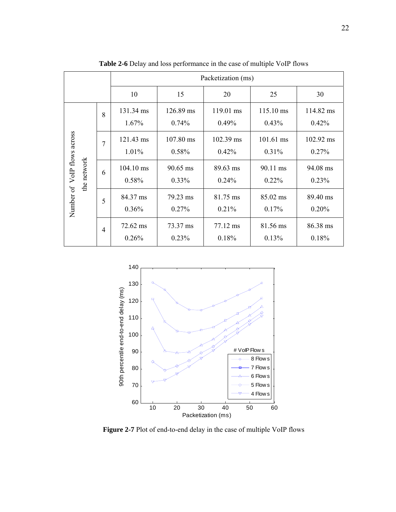<span id="page-32-0"></span>

|                             |             |                | Packetization (ms)    |                      |                              |                      |                              |  |
|-----------------------------|-------------|----------------|-----------------------|----------------------|------------------------------|----------------------|------------------------------|--|
|                             |             |                | 10                    | 15                   | 20                           | 25                   | 30                           |  |
| Number of VoIP flows across | the network | 8              | 131.34 ms<br>$1.67\%$ | 126.89 ms<br>0.74%   | 119.01 ms<br>0.49%           | 115.10 ms<br>0.43%   | 114.82 ms<br>0.42%           |  |
|                             |             | $\overline{7}$ | 121.43 ms<br>1.01%    | 107.80 ms<br>0.58%   | $102.39 \text{ ms}$<br>0.42% | 101.61 ms<br>0.31%   | $102.92 \text{ ms}$<br>0.27% |  |
|                             |             | 6              | 104.10 ms<br>0.58%    | 90.65 ms<br>$0.33\%$ | 89.63 ms<br>$0.24\%$         | 90.11 ms<br>$0.22\%$ | 94.08 ms<br>0.23%            |  |
|                             |             | 5              | 84.37 ms<br>0.36%     | 79.23 ms<br>0.27%    | 81.75 ms<br>0.21%            | 85.02 ms<br>$0.17\%$ | 89.40 ms<br>0.20%            |  |
|                             |             | $\overline{4}$ | 72.62 ms<br>0.26%     | 73.37 ms<br>0.23%    | 77.12 ms<br>0.18%            | 81.56 ms<br>0.13%    | 86.38 ms<br>0.18%            |  |

**Table 2-6** Delay and loss performance in the case of multiple VoIP flows



**Figure 2-7** Plot of end-to-end delay in the case of multiple VoIP flows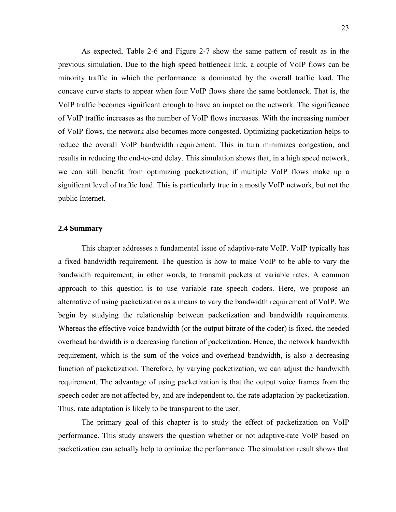<span id="page-33-0"></span>As expected, Table 2-6 and Figure 2-7 show the same pattern of result as in the previous simulation. Due to the high speed bottleneck link, a couple of VoIP flows can be minority traffic in which the performance is dominated by the overall traffic load. The concave curve starts to appear when four VoIP flows share the same bottleneck. That is, the VoIP traffic becomes significant enough to have an impact on the network. The significance of VoIP traffic increases as the number of VoIP flows increases. With the increasing number of VoIP flows, the network also becomes more congested. Optimizing packetization helps to reduce the overall VoIP bandwidth requirement. This in turn minimizes congestion, and results in reducing the end-to-end delay. This simulation shows that, in a high speed network, we can still benefit from optimizing packetization, if multiple VoIP flows make up a significant level of traffic load. This is particularly true in a mostly VoIP network, but not the public Internet.

#### **2.4 Summary**

This chapter addresses a fundamental issue of adaptive-rate VoIP. VoIP typically has a fixed bandwidth requirement. The question is how to make VoIP to be able to vary the bandwidth requirement; in other words, to transmit packets at variable rates. A common approach to this question is to use variable rate speech coders. Here, we propose an alternative of using packetization as a means to vary the bandwidth requirement of VoIP. We begin by studying the relationship between packetization and bandwidth requirements. Whereas the effective voice bandwidth (or the output bitrate of the coder) is fixed, the needed overhead bandwidth is a decreasing function of packetization. Hence, the network bandwidth requirement, which is the sum of the voice and overhead bandwidth, is also a decreasing function of packetization. Therefore, by varying packetization, we can adjust the bandwidth requirement. The advantage of using packetization is that the output voice frames from the speech coder are not affected by, and are independent to, the rate adaptation by packetization. Thus, rate adaptation is likely to be transparent to the user.

The primary goal of this chapter is to study the effect of packetization on VoIP performance. This study answers the question whether or not adaptive-rate VoIP based on packetization can actually help to optimize the performance. The simulation result shows that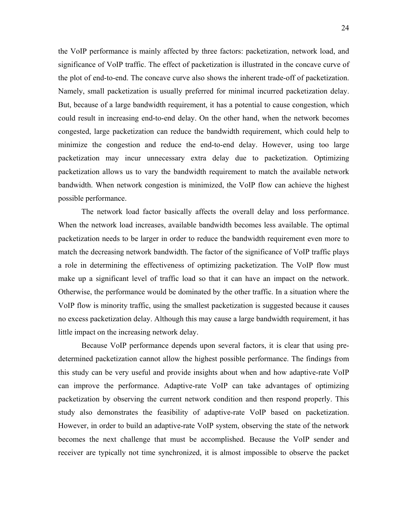the VoIP performance is mainly affected by three factors: packetization, network load, and significance of VoIP traffic. The effect of packetization is illustrated in the concave curve of the plot of end-to-end. The concave curve also shows the inherent trade-off of packetization. Namely, small packetization is usually preferred for minimal incurred packetization delay. But, because of a large bandwidth requirement, it has a potential to cause congestion, which could result in increasing end-to-end delay. On the other hand, when the network becomes congested, large packetization can reduce the bandwidth requirement, which could help to minimize the congestion and reduce the end-to-end delay. However, using too large packetization may incur unnecessary extra delay due to packetization. Optimizing packetization allows us to vary the bandwidth requirement to match the available network bandwidth. When network congestion is minimized, the VoIP flow can achieve the highest possible performance.

The network load factor basically affects the overall delay and loss performance. When the network load increases, available bandwidth becomes less available. The optimal packetization needs to be larger in order to reduce the bandwidth requirement even more to match the decreasing network bandwidth. The factor of the significance of VoIP traffic plays a role in determining the effectiveness of optimizing packetization. The VoIP flow must make up a significant level of traffic load so that it can have an impact on the network. Otherwise, the performance would be dominated by the other traffic. In a situation where the VoIP flow is minority traffic, using the smallest packetization is suggested because it causes no excess packetization delay. Although this may cause a large bandwidth requirement, it has little impact on the increasing network delay.

Because VoIP performance depends upon several factors, it is clear that using predetermined packetization cannot allow the highest possible performance. The findings from this study can be very useful and provide insights about when and how adaptive-rate VoIP can improve the performance. Adaptive-rate VoIP can take advantages of optimizing packetization by observing the current network condition and then respond properly. This study also demonstrates the feasibility of adaptive-rate VoIP based on packetization. However, in order to build an adaptive-rate VoIP system, observing the state of the network becomes the next challenge that must be accomplished. Because the VoIP sender and receiver are typically not time synchronized, it is almost impossible to observe the packet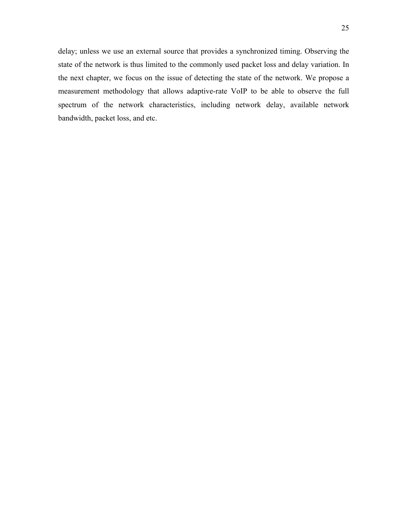25

delay; unless we use an external source that provides a synchronized timing. Observing the state of the network is thus limited to the commonly used packet loss and delay variation. In the next chapter, we focus on the issue of detecting the state of the network. We propose a measurement methodology that allows adaptive-rate VoIP to be able to observe the full spectrum of the network characteristics, including network delay, available network bandwidth, packet loss, and etc.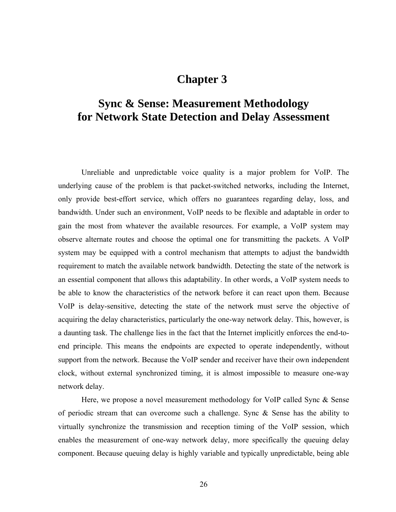## **Chapter 3**

# **Sync & Sense: Measurement Methodology for Network State Detection and Delay Assessment**

Unreliable and unpredictable voice quality is a major problem for VoIP. The underlying cause of the problem is that packet-switched networks, including the Internet, only provide best-effort service, which offers no guarantees regarding delay, loss, and bandwidth. Under such an environment, VoIP needs to be flexible and adaptable in order to gain the most from whatever the available resources. For example, a VoIP system may observe alternate routes and choose the optimal one for transmitting the packets. A VoIP system may be equipped with a control mechanism that attempts to adjust the bandwidth requirement to match the available network bandwidth. Detecting the state of the network is an essential component that allows this adaptability. In other words, a VoIP system needs to be able to know the characteristics of the network before it can react upon them. Because VoIP is delay-sensitive, detecting the state of the network must serve the objective of acquiring the delay characteristics, particularly the one-way network delay. This, however, is a daunting task. The challenge lies in the fact that the Internet implicitly enforces the end-toend principle. This means the endpoints are expected to operate independently, without support from the network. Because the VoIP sender and receiver have their own independent clock, without external synchronized timing, it is almost impossible to measure one-way network delay.

Here, we propose a novel measurement methodology for VoIP called Sync & Sense of periodic stream that can overcome such a challenge. Sync & Sense has the ability to virtually synchronize the transmission and reception timing of the VoIP session, which enables the measurement of one-way network delay, more specifically the queuing delay component. Because queuing delay is highly variable and typically unpredictable, being able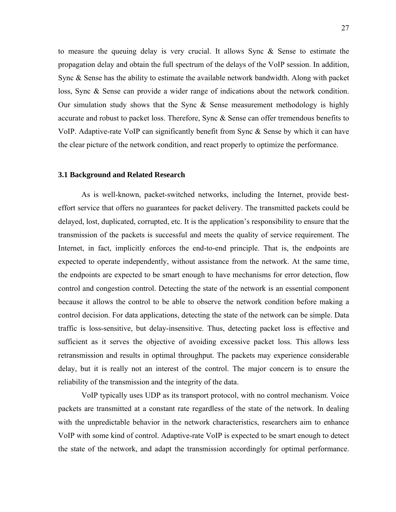to measure the queuing delay is very crucial. It allows Sync & Sense to estimate the propagation delay and obtain the full spectrum of the delays of the VoIP session. In addition, Sync & Sense has the ability to estimate the available network bandwidth. Along with packet loss, Sync & Sense can provide a wider range of indications about the network condition. Our simulation study shows that the Sync & Sense measurement methodology is highly accurate and robust to packet loss. Therefore, Sync  $\&$  Sense can offer tremendous benefits to VoIP. Adaptive-rate VoIP can significantly benefit from Sync & Sense by which it can have the clear picture of the network condition, and react properly to optimize the performance.

## **3.1 Background and Related Research**

As is well-known, packet-switched networks, including the Internet, provide besteffort service that offers no guarantees for packet delivery. The transmitted packets could be delayed, lost, duplicated, corrupted, etc. It is the application's responsibility to ensure that the transmission of the packets is successful and meets the quality of service requirement. The Internet, in fact, implicitly enforces the end-to-end principle. That is, the endpoints are expected to operate independently, without assistance from the network. At the same time, the endpoints are expected to be smart enough to have mechanisms for error detection, flow control and congestion control. Detecting the state of the network is an essential component because it allows the control to be able to observe the network condition before making a control decision. For data applications, detecting the state of the network can be simple. Data traffic is loss-sensitive, but delay-insensitive. Thus, detecting packet loss is effective and sufficient as it serves the objective of avoiding excessive packet loss. This allows less retransmission and results in optimal throughput. The packets may experience considerable delay, but it is really not an interest of the control. The major concern is to ensure the reliability of the transmission and the integrity of the data.

VoIP typically uses UDP as its transport protocol, with no control mechanism. Voice packets are transmitted at a constant rate regardless of the state of the network. In dealing with the unpredictable behavior in the network characteristics, researchers aim to enhance VoIP with some kind of control. Adaptive-rate VoIP is expected to be smart enough to detect the state of the network, and adapt the transmission accordingly for optimal performance.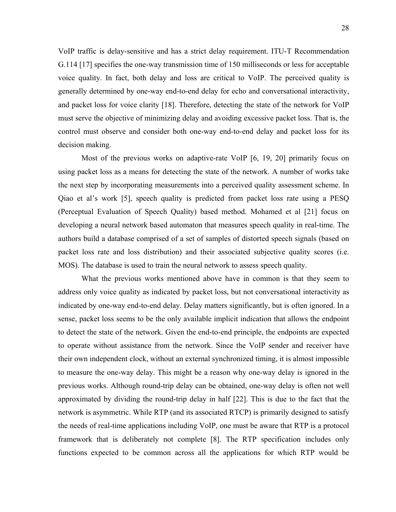VoIP traffic is delay-sensitive and has a strict delay requirement. ITU-T Recommendation G.114 [17] specifies the one-way transmission time of 150 milliseconds or less for acceptable voice quality. In fact, both delay and loss are critical to VoIP. The perceived quality is generally determined by one-way end-to-end delay for echo and conversational interactivity, and packet loss for voice clarity [18]. Therefore, detecting the state of the network for VoIP must serve the objective of minimizing delay and avoiding excessive packet loss. That is, the control must observe and consider both one-way end-to-end delay and packet loss for its decision making.

Most of the previous works on adaptive-rate VoIP [6, 19, 20] primarily focus on using packet loss as a means for detecting the state of the network. A number of works take the next step by incorporating measurements into a perceived quality assessment scheme. In Qiao et al's work [5], speech quality is predicted from packet loss rate using a PESQ (Perceptual Evaluation of Speech Quality) based method. Mohamed et al [21] focus on developing a neural network based automaton that measures speech quality in real-time. The authors build a database comprised of a set of samples of distorted speech signals (based on packet loss rate and loss distribution) and their associated subjective quality scores (i.e. MOS). The database is used to train the neural network to assess speech quality.

What the previous works mentioned above have in common is that they seem to address only voice quality as indicated by packet loss, but not conversational interactivity as indicated by one-way end-to-end delay. Delay matters significantly, but is often ignored. In a sense, packet loss seems to be the only available implicit indication that allows the endpoint to detect the state of the network. Given the end-to-end principle, the endpoints are expected to operate without assistance from the network. Since the VoIP sender and receiver have their own independent clock, without an external synchronized timing, it is almost impossible to measure the one-way delay. This might be a reason why one-way delay is ignored in the previous works. Although round-trip delay can be obtained, one-way delay is often not well approximated by dividing the round-trip delay in half [22]. This is due to the fact that the network is asymmetric. While RTP (and its associated RTCP) is primarily designed to satisfy the needs of real-time applications including VoIP, one must be aware that RTP is a protocol framework that is deliberately not complete [8]. The RTP specification includes only functions expected to be common across all the applications for which RTP would be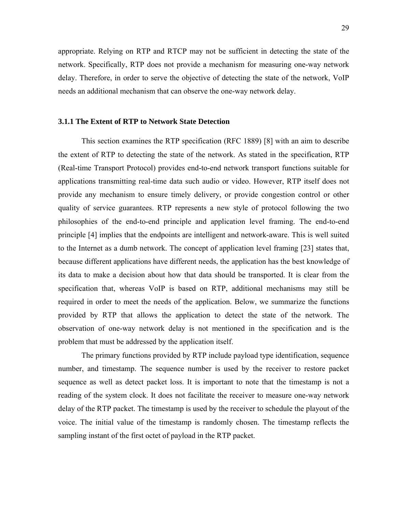appropriate. Relying on RTP and RTCP may not be sufficient in detecting the state of the network. Specifically, RTP does not provide a mechanism for measuring one-way network delay. Therefore, in order to serve the objective of detecting the state of the network, VoIP needs an additional mechanism that can observe the one-way network delay.

## **3.1.1 The Extent of RTP to Network State Detection**

This section examines the RTP specification (RFC 1889) [8] with an aim to describe the extent of RTP to detecting the state of the network. As stated in the specification, RTP (Real-time Transport Protocol) provides end-to-end network transport functions suitable for applications transmitting real-time data such audio or video. However, RTP itself does not provide any mechanism to ensure timely delivery, or provide congestion control or other quality of service guarantees. RTP represents a new style of protocol following the two philosophies of the end-to-end principle and application level framing. The end-to-end principle [4] implies that the endpoints are intelligent and network-aware. This is well suited to the Internet as a dumb network. The concept of application level framing [23] states that, because different applications have different needs, the application has the best knowledge of its data to make a decision about how that data should be transported. It is clear from the specification that, whereas VoIP is based on RTP, additional mechanisms may still be required in order to meet the needs of the application. Below, we summarize the functions provided by RTP that allows the application to detect the state of the network. The observation of one-way network delay is not mentioned in the specification and is the problem that must be addressed by the application itself.

The primary functions provided by RTP include payload type identification, sequence number, and timestamp. The sequence number is used by the receiver to restore packet sequence as well as detect packet loss. It is important to note that the timestamp is not a reading of the system clock. It does not facilitate the receiver to measure one-way network delay of the RTP packet. The timestamp is used by the receiver to schedule the playout of the voice. The initial value of the timestamp is randomly chosen. The timestamp reflects the sampling instant of the first octet of payload in the RTP packet.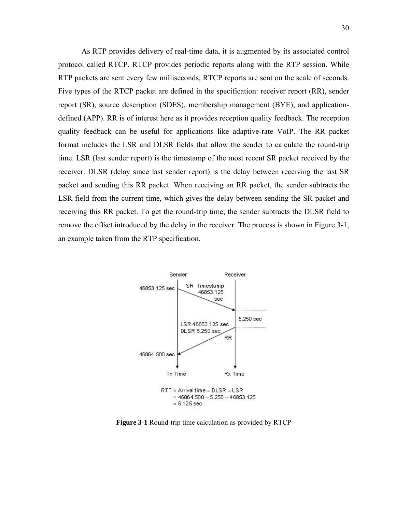As RTP provides delivery of real-time data, it is augmented by its associated control protocol called RTCP. RTCP provides periodic reports along with the RTP session. While RTP packets are sent every few milliseconds, RTCP reports are sent on the scale of seconds. Five types of the RTCP packet are defined in the specification: receiver report (RR), sender report (SR), source description (SDES), membership management (BYE), and applicationdefined (APP). RR is of interest here as it provides reception quality feedback. The reception quality feedback can be useful for applications like adaptive-rate VoIP. The RR packet format includes the LSR and DLSR fields that allow the sender to calculate the round-trip time. LSR (last sender report) is the timestamp of the most recent SR packet received by the receiver. DLSR (delay since last sender report) is the delay between receiving the last SR packet and sending this RR packet. When receiving an RR packet, the sender subtracts the LSR field from the current time, which gives the delay between sending the SR packet and receiving this RR packet. To get the round-trip time, the sender subtracts the DLSR field to remove the offset introduced by the delay in the receiver. The process is shown in Figure 3-1, an example taken from the RTP specification.



**Figure 3-1** Round-trip time calculation as provided by RTCP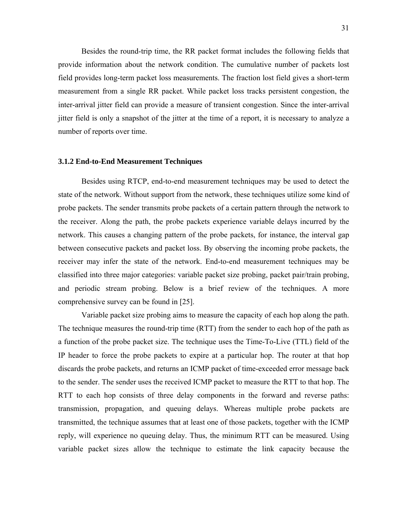Besides the round-trip time, the RR packet format includes the following fields that provide information about the network condition. The cumulative number of packets lost field provides long-term packet loss measurements. The fraction lost field gives a short-term measurement from a single RR packet. While packet loss tracks persistent congestion, the inter-arrival jitter field can provide a measure of transient congestion. Since the inter-arrival jitter field is only a snapshot of the jitter at the time of a report, it is necessary to analyze a number of reports over time.

## **3.1.2 End-to-End Measurement Techniques**

Besides using RTCP, end-to-end measurement techniques may be used to detect the state of the network. Without support from the network, these techniques utilize some kind of probe packets. The sender transmits probe packets of a certain pattern through the network to the receiver. Along the path, the probe packets experience variable delays incurred by the network. This causes a changing pattern of the probe packets, for instance, the interval gap between consecutive packets and packet loss. By observing the incoming probe packets, the receiver may infer the state of the network. End-to-end measurement techniques may be classified into three major categories: variable packet size probing, packet pair/train probing, and periodic stream probing. Below is a brief review of the techniques. A more comprehensive survey can be found in [25].

Variable packet size probing aims to measure the capacity of each hop along the path. The technique measures the round-trip time (RTT) from the sender to each hop of the path as a function of the probe packet size. The technique uses the Time-To-Live (TTL) field of the IP header to force the probe packets to expire at a particular hop. The router at that hop discards the probe packets, and returns an ICMP packet of time-exceeded error message back to the sender. The sender uses the received ICMP packet to measure the RTT to that hop. The RTT to each hop consists of three delay components in the forward and reverse paths: transmission, propagation, and queuing delays. Whereas multiple probe packets are transmitted, the technique assumes that at least one of those packets, together with the ICMP reply, will experience no queuing delay. Thus, the minimum RTT can be measured. Using variable packet sizes allow the technique to estimate the link capacity because the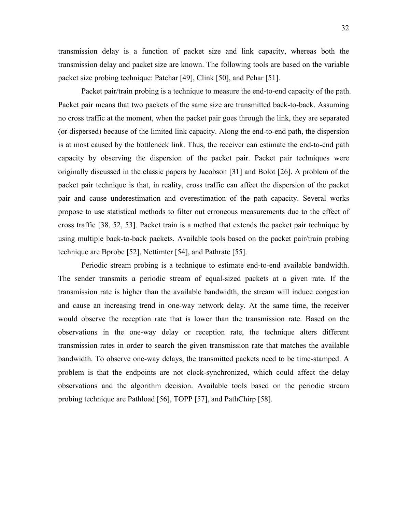transmission delay is a function of packet size and link capacity, whereas both the transmission delay and packet size are known. The following tools are based on the variable packet size probing technique: Patchar [49], Clink [50], and Pchar [51].

Packet pair/train probing is a technique to measure the end-to-end capacity of the path. Packet pair means that two packets of the same size are transmitted back-to-back. Assuming no cross traffic at the moment, when the packet pair goes through the link, they are separated (or dispersed) because of the limited link capacity. Along the end-to-end path, the dispersion is at most caused by the bottleneck link. Thus, the receiver can estimate the end-to-end path capacity by observing the dispersion of the packet pair. Packet pair techniques were originally discussed in the classic papers by Jacobson [31] and Bolot [26]. A problem of the packet pair technique is that, in reality, cross traffic can affect the dispersion of the packet pair and cause underestimation and overestimation of the path capacity. Several works propose to use statistical methods to filter out erroneous measurements due to the effect of cross traffic [38, 52, 53]. Packet train is a method that extends the packet pair technique by using multiple back-to-back packets. Available tools based on the packet pair/train probing technique are Bprobe [52], Nettimter [54], and Pathrate [55].

Periodic stream probing is a technique to estimate end-to-end available bandwidth. The sender transmits a periodic stream of equal-sized packets at a given rate. If the transmission rate is higher than the available bandwidth, the stream will induce congestion and cause an increasing trend in one-way network delay. At the same time, the receiver would observe the reception rate that is lower than the transmission rate. Based on the observations in the one-way delay or reception rate, the technique alters different transmission rates in order to search the given transmission rate that matches the available bandwidth. To observe one-way delays, the transmitted packets need to be time-stamped. A problem is that the endpoints are not clock-synchronized, which could affect the delay observations and the algorithm decision. Available tools based on the periodic stream probing technique are Pathload [56], TOPP [57], and PathChirp [58].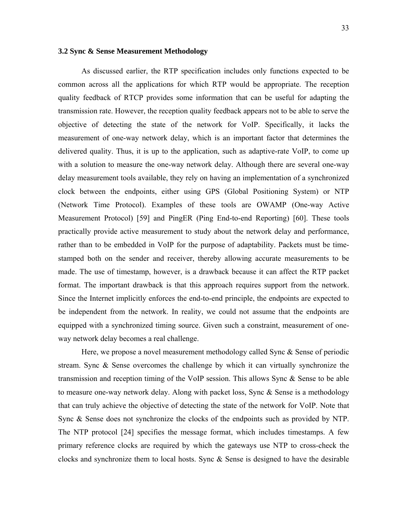## **3.2 Sync & Sense Measurement Methodology**

As discussed earlier, the RTP specification includes only functions expected to be common across all the applications for which RTP would be appropriate. The reception quality feedback of RTCP provides some information that can be useful for adapting the transmission rate. However, the reception quality feedback appears not to be able to serve the objective of detecting the state of the network for VoIP. Specifically, it lacks the measurement of one-way network delay, which is an important factor that determines the delivered quality. Thus, it is up to the application, such as adaptive-rate VoIP, to come up with a solution to measure the one-way network delay. Although there are several one-way delay measurement tools available, they rely on having an implementation of a synchronized clock between the endpoints, either using GPS (Global Positioning System) or NTP (Network Time Protocol). Examples of these tools are OWAMP (One-way Active Measurement Protocol) [59] and PingER (Ping End-to-end Reporting) [60]. These tools practically provide active measurement to study about the network delay and performance, rather than to be embedded in VoIP for the purpose of adaptability. Packets must be timestamped both on the sender and receiver, thereby allowing accurate measurements to be made. The use of timestamp, however, is a drawback because it can affect the RTP packet format. The important drawback is that this approach requires support from the network. Since the Internet implicitly enforces the end-to-end principle, the endpoints are expected to be independent from the network. In reality, we could not assume that the endpoints are equipped with a synchronized timing source. Given such a constraint, measurement of oneway network delay becomes a real challenge.

Here, we propose a novel measurement methodology called Sync & Sense of periodic stream. Sync & Sense overcomes the challenge by which it can virtually synchronize the transmission and reception timing of the VoIP session. This allows Sync & Sense to be able to measure one-way network delay. Along with packet loss, Sync & Sense is a methodology that can truly achieve the objective of detecting the state of the network for VoIP. Note that Sync & Sense does not synchronize the clocks of the endpoints such as provided by NTP. The NTP protocol [24] specifies the message format, which includes timestamps. A few primary reference clocks are required by which the gateways use NTP to cross-check the clocks and synchronize them to local hosts. Sync & Sense is designed to have the desirable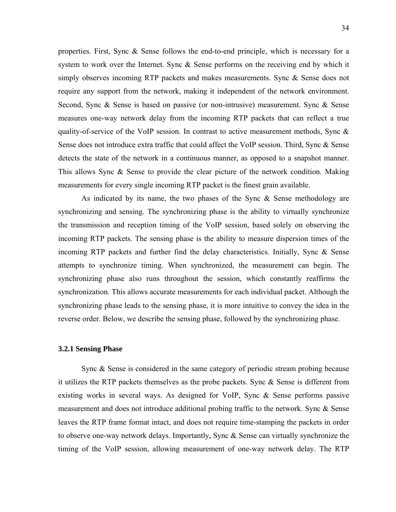properties. First, Sync & Sense follows the end-to-end principle, which is necessary for a system to work over the Internet. Sync & Sense performs on the receiving end by which it simply observes incoming RTP packets and makes measurements. Sync & Sense does not require any support from the network, making it independent of the network environment. Second, Sync & Sense is based on passive (or non-intrusive) measurement. Sync & Sense measures one-way network delay from the incoming RTP packets that can reflect a true quality-of-service of the VoIP session. In contrast to active measurement methods, Sync & Sense does not introduce extra traffic that could affect the VoIP session. Third, Sync & Sense detects the state of the network in a continuous manner, as opposed to a snapshot manner. This allows Sync & Sense to provide the clear picture of the network condition. Making measurements for every single incoming RTP packet is the finest grain available.

As indicated by its name, the two phases of the Sync & Sense methodology are synchronizing and sensing. The synchronizing phase is the ability to virtually synchronize the transmission and reception timing of the VoIP session, based solely on observing the incoming RTP packets. The sensing phase is the ability to measure dispersion times of the incoming RTP packets and further find the delay characteristics. Initially, Sync & Sense attempts to synchronize timing. When synchronized, the measurement can begin. The synchronizing phase also runs throughout the session, which constantly reaffirms the synchronization. This allows accurate measurements for each individual packet. Although the synchronizing phase leads to the sensing phase, it is more intuitive to convey the idea in the reverse order. Below, we describe the sensing phase, followed by the synchronizing phase.

## **3.2.1 Sensing Phase**

Sync & Sense is considered in the same category of periodic stream probing because it utilizes the RTP packets themselves as the probe packets. Sync  $\&$  Sense is different from existing works in several ways. As designed for VoIP, Sync & Sense performs passive measurement and does not introduce additional probing traffic to the network. Sync & Sense leaves the RTP frame format intact, and does not require time-stamping the packets in order to observe one-way network delays. Importantly, Sync & Sense can virtually synchronize the timing of the VoIP session, allowing measurement of one-way network delay. The RTP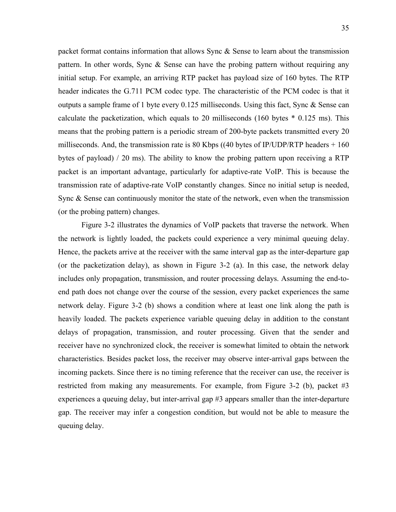packet format contains information that allows Sync & Sense to learn about the transmission pattern. In other words, Sync  $\&$  Sense can have the probing pattern without requiring any initial setup. For example, an arriving RTP packet has payload size of 160 bytes. The RTP header indicates the G.711 PCM codec type. The characteristic of the PCM codec is that it outputs a sample frame of 1 byte every 0.125 milliseconds. Using this fact, Sync & Sense can calculate the packetization, which equals to 20 milliseconds (160 bytes \* 0.125 ms). This means that the probing pattern is a periodic stream of 200-byte packets transmitted every 20 milliseconds. And, the transmission rate is 80 Kbps ((40 bytes of IP/UDP/RTP headers  $+160$ ) bytes of payload) / 20 ms). The ability to know the probing pattern upon receiving a RTP packet is an important advantage, particularly for adaptive-rate VoIP. This is because the transmission rate of adaptive-rate VoIP constantly changes. Since no initial setup is needed, Sync & Sense can continuously monitor the state of the network, even when the transmission (or the probing pattern) changes.

Figure 3-2 illustrates the dynamics of VoIP packets that traverse the network. When the network is lightly loaded, the packets could experience a very minimal queuing delay. Hence, the packets arrive at the receiver with the same interval gap as the inter-departure gap (or the packetization delay), as shown in Figure 3-2 (a). In this case, the network delay includes only propagation, transmission, and router processing delays. Assuming the end-toend path does not change over the course of the session, every packet experiences the same network delay. Figure 3-2 (b) shows a condition where at least one link along the path is heavily loaded. The packets experience variable queuing delay in addition to the constant delays of propagation, transmission, and router processing. Given that the sender and receiver have no synchronized clock, the receiver is somewhat limited to obtain the network characteristics. Besides packet loss, the receiver may observe inter-arrival gaps between the incoming packets. Since there is no timing reference that the receiver can use, the receiver is restricted from making any measurements. For example, from Figure 3-2 (b), packet #3 experiences a queuing delay, but inter-arrival gap #3 appears smaller than the inter-departure gap. The receiver may infer a congestion condition, but would not be able to measure the queuing delay.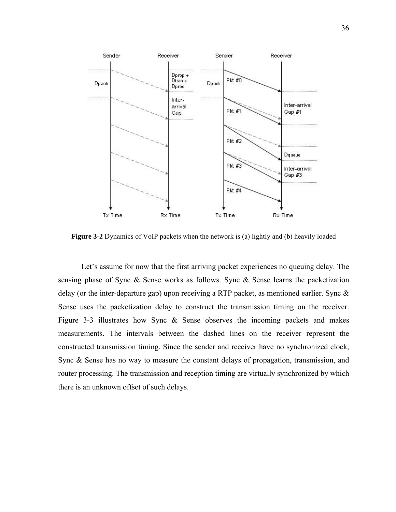

**Figure 3-2** Dynamics of VoIP packets when the network is (a) lightly and (b) heavily loaded

Let's assume for now that the first arriving packet experiences no queuing delay. The sensing phase of Sync & Sense works as follows. Sync & Sense learns the packetization delay (or the inter-departure gap) upon receiving a RTP packet, as mentioned earlier. Sync & Sense uses the packetization delay to construct the transmission timing on the receiver. Figure 3-3 illustrates how Sync & Sense observes the incoming packets and makes measurements. The intervals between the dashed lines on the receiver represent the constructed transmission timing. Since the sender and receiver have no synchronized clock, Sync & Sense has no way to measure the constant delays of propagation, transmission, and router processing. The transmission and reception timing are virtually synchronized by which there is an unknown offset of such delays.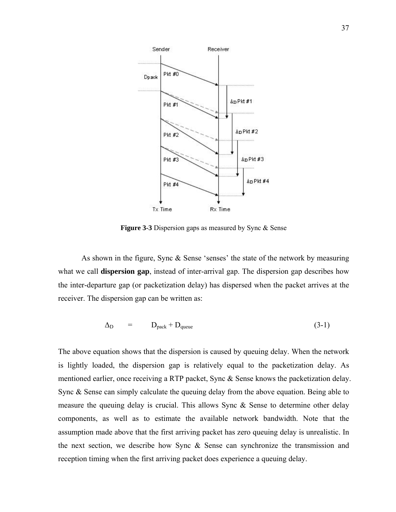

**Figure 3-3** Dispersion gaps as measured by Sync & Sense

As shown in the figure, Sync & Sense 'senses' the state of the network by measuring what we call **dispersion gap**, instead of inter-arrival gap. The dispersion gap describes how the inter-departure gap (or packetization delay) has dispersed when the packet arrives at the receiver. The dispersion gap can be written as:

$$
\Delta_{\rm D} = D_{\rm pack} + D_{\rm queue} \tag{3-1}
$$

The above equation shows that the dispersion is caused by queuing delay. When the network is lightly loaded, the dispersion gap is relatively equal to the packetization delay. As mentioned earlier, once receiving a RTP packet, Sync & Sense knows the packetization delay. Sync & Sense can simply calculate the queuing delay from the above equation. Being able to measure the queuing delay is crucial. This allows Sync  $\&$  Sense to determine other delay components, as well as to estimate the available network bandwidth. Note that the assumption made above that the first arriving packet has zero queuing delay is unrealistic. In the next section, we describe how Sync & Sense can synchronize the transmission and reception timing when the first arriving packet does experience a queuing delay.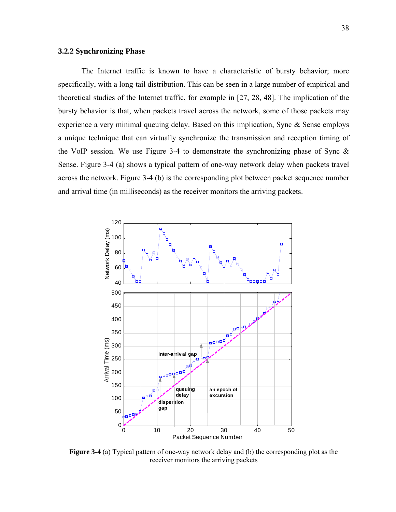## **3.2.2 Synchronizing Phase**

The Internet traffic is known to have a characteristic of bursty behavior; more specifically, with a long-tail distribution. This can be seen in a large number of empirical and theoretical studies of the Internet traffic, for example in [27, 28, 48]. The implication of the bursty behavior is that, when packets travel across the network, some of those packets may experience a very minimal queuing delay. Based on this implication, Sync & Sense employs a unique technique that can virtually synchronize the transmission and reception timing of the VoIP session. We use Figure 3-4 to demonstrate the synchronizing phase of Sync  $\&$ Sense. Figure 3-4 (a) shows a typical pattern of one-way network delay when packets travel across the network. Figure 3-4 (b) is the corresponding plot between packet sequence number and arrival time (in milliseconds) as the receiver monitors the arriving packets.



**Figure 3-4** (a) Typical pattern of one-way network delay and (b) the corresponding plot as the receiver monitors the arriving packets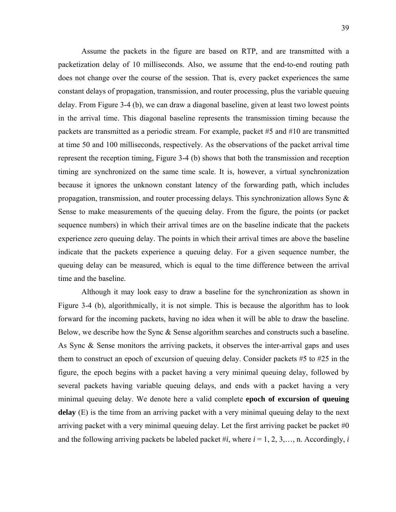Assume the packets in the figure are based on RTP, and are transmitted with a packetization delay of 10 milliseconds. Also, we assume that the end-to-end routing path does not change over the course of the session. That is, every packet experiences the same constant delays of propagation, transmission, and router processing, plus the variable queuing delay. From Figure 3-4 (b), we can draw a diagonal baseline, given at least two lowest points in the arrival time. This diagonal baseline represents the transmission timing because the packets are transmitted as a periodic stream. For example, packet #5 and #10 are transmitted at time 50 and 100 milliseconds, respectively. As the observations of the packet arrival time represent the reception timing, Figure 3-4 (b) shows that both the transmission and reception timing are synchronized on the same time scale. It is, however, a virtual synchronization because it ignores the unknown constant latency of the forwarding path, which includes propagation, transmission, and router processing delays. This synchronization allows Sync & Sense to make measurements of the queuing delay. From the figure, the points (or packet sequence numbers) in which their arrival times are on the baseline indicate that the packets experience zero queuing delay. The points in which their arrival times are above the baseline indicate that the packets experience a queuing delay. For a given sequence number, the queuing delay can be measured, which is equal to the time difference between the arrival time and the baseline.

Although it may look easy to draw a baseline for the synchronization as shown in Figure 3-4 (b), algorithmically, it is not simple. This is because the algorithm has to look forward for the incoming packets, having no idea when it will be able to draw the baseline. Below, we describe how the Sync & Sense algorithm searches and constructs such a baseline. As Sync & Sense monitors the arriving packets, it observes the inter-arrival gaps and uses them to construct an epoch of excursion of queuing delay. Consider packets #5 to #25 in the figure, the epoch begins with a packet having a very minimal queuing delay, followed by several packets having variable queuing delays, and ends with a packet having a very minimal queuing delay. We denote here a valid complete **epoch of excursion of queuing delay** (E) is the time from an arriving packet with a very minimal queuing delay to the next arriving packet with a very minimal queuing delay. Let the first arriving packet be packet  $\#0$ and the following arriving packets be labeled packet  $\#i$ , where  $i = 1, 2, 3, \ldots$ , n. Accordingly,  $i$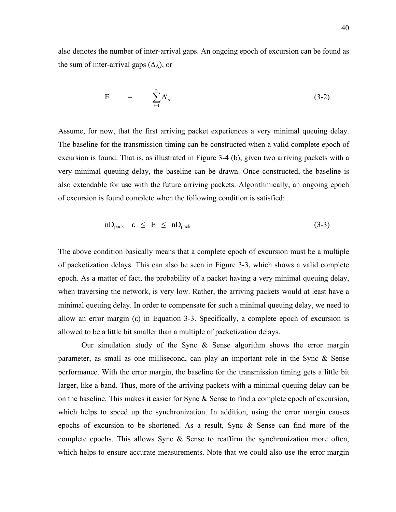also denotes the number of inter-arrival gaps. An ongoing epoch of excursion can be found as the sum of inter-arrival gaps  $(\Delta_A)$ , or

$$
E = \sum_{i=1}^{n} \Delta^{i} A
$$
 (3-2)

Assume, for now, that the first arriving packet experiences a very minimal queuing delay. The baseline for the transmission timing can be constructed when a valid complete epoch of excursion is found. That is, as illustrated in Figure 3-4 (b), given two arriving packets with a very minimal queuing delay, the baseline can be drawn. Once constructed, the baseline is also extendable for use with the future arriving packets. Algorithmically, an ongoing epoch of excursion is found complete when the following condition is satisfied:

$$
nD_{pack} - \varepsilon \le E \le nD_{pack} \tag{3-3}
$$

The above condition basically means that a complete epoch of excursion must be a multiple of packetization delays. This can also be seen in Figure 3-3, which shows a valid complete epoch. As a matter of fact, the probability of a packet having a very minimal queuing delay, when traversing the network, is very low. Rather, the arriving packets would at least have a minimal queuing delay. In order to compensate for such a minimal queuing delay, we need to allow an error margin  $(\varepsilon)$  in Equation 3-3. Specifically, a complete epoch of excursion is allowed to be a little bit smaller than a multiple of packetization delays.

Our simulation study of the Sync & Sense algorithm shows the error margin parameter, as small as one millisecond, can play an important role in the Sync & Sense performance. With the error margin, the baseline for the transmission timing gets a little bit larger, like a band. Thus, more of the arriving packets with a minimal queuing delay can be on the baseline. This makes it easier for Sync & Sense to find a complete epoch of excursion, which helps to speed up the synchronization. In addition, using the error margin causes epochs of excursion to be shortened. As a result, Sync & Sense can find more of the complete epochs. This allows Sync & Sense to reaffirm the synchronization more often, which helps to ensure accurate measurements. Note that we could also use the error margin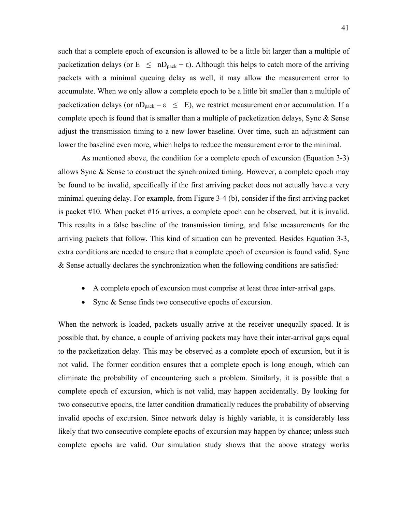such that a complete epoch of excursion is allowed to be a little bit larger than a multiple of packetization delays (or  $E \leq nD_{\text{pack}} + \varepsilon$ ). Although this helps to catch more of the arriving packets with a minimal queuing delay as well, it may allow the measurement error to accumulate. When we only allow a complete epoch to be a little bit smaller than a multiple of packetization delays (or  $nD_{\text{pack}} - \varepsilon \leq E$ ), we restrict measurement error accumulation. If a complete epoch is found that is smaller than a multiple of packetization delays, Sync & Sense adjust the transmission timing to a new lower baseline. Over time, such an adjustment can lower the baseline even more, which helps to reduce the measurement error to the minimal.

As mentioned above, the condition for a complete epoch of excursion (Equation 3-3) allows Sync & Sense to construct the synchronized timing. However, a complete epoch may be found to be invalid, specifically if the first arriving packet does not actually have a very minimal queuing delay. For example, from Figure 3-4 (b), consider if the first arriving packet is packet #10. When packet #16 arrives, a complete epoch can be observed, but it is invalid. This results in a false baseline of the transmission timing, and false measurements for the arriving packets that follow. This kind of situation can be prevented. Besides Equation 3-3, extra conditions are needed to ensure that a complete epoch of excursion is found valid. Sync & Sense actually declares the synchronization when the following conditions are satisfied:

- A complete epoch of excursion must comprise at least three inter-arrival gaps.
- Sync & Sense finds two consecutive epochs of excursion.

When the network is loaded, packets usually arrive at the receiver unequally spaced. It is possible that, by chance, a couple of arriving packets may have their inter-arrival gaps equal to the packetization delay. This may be observed as a complete epoch of excursion, but it is not valid. The former condition ensures that a complete epoch is long enough, which can eliminate the probability of encountering such a problem. Similarly, it is possible that a complete epoch of excursion, which is not valid, may happen accidentally. By looking for two consecutive epochs, the latter condition dramatically reduces the probability of observing invalid epochs of excursion. Since network delay is highly variable, it is considerably less likely that two consecutive complete epochs of excursion may happen by chance; unless such complete epochs are valid. Our simulation study shows that the above strategy works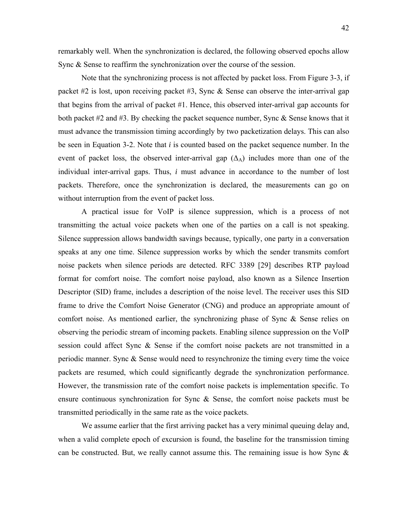remarkably well. When the synchronization is declared, the following observed epochs allow Sync & Sense to reaffirm the synchronization over the course of the session.

Note that the synchronizing process is not affected by packet loss. From Figure 3-3, if packet #2 is lost, upon receiving packet #3, Sync & Sense can observe the inter-arrival gap that begins from the arrival of packet #1. Hence, this observed inter-arrival gap accounts for both packet  $\#2$  and  $\#3$ . By checking the packet sequence number, Sync & Sense knows that it must advance the transmission timing accordingly by two packetization delays. This can also be seen in Equation 3-2. Note that *i* is counted based on the packet sequence number. In the event of packet loss, the observed inter-arrival gap  $(\Delta_A)$  includes more than one of the individual inter-arrival gaps. Thus, *i* must advance in accordance to the number of lost packets. Therefore, once the synchronization is declared, the measurements can go on without interruption from the event of packet loss.

A practical issue for VoIP is silence suppression, which is a process of not transmitting the actual voice packets when one of the parties on a call is not speaking. Silence suppression allows bandwidth savings because, typically, one party in a conversation speaks at any one time. Silence suppression works by which the sender transmits comfort noise packets when silence periods are detected. RFC 3389 [29] describes RTP payload format for comfort noise. The comfort noise payload, also known as a Silence Insertion Descriptor (SID) frame, includes a description of the noise level. The receiver uses this SID frame to drive the Comfort Noise Generator (CNG) and produce an appropriate amount of comfort noise. As mentioned earlier, the synchronizing phase of Sync & Sense relies on observing the periodic stream of incoming packets. Enabling silence suppression on the VoIP session could affect Sync & Sense if the comfort noise packets are not transmitted in a periodic manner. Sync & Sense would need to resynchronize the timing every time the voice packets are resumed, which could significantly degrade the synchronization performance. However, the transmission rate of the comfort noise packets is implementation specific. To ensure continuous synchronization for Sync & Sense, the comfort noise packets must be transmitted periodically in the same rate as the voice packets.

We assume earlier that the first arriving packet has a very minimal queuing delay and, when a valid complete epoch of excursion is found, the baseline for the transmission timing can be constructed. But, we really cannot assume this. The remaining issue is how Sync  $\&$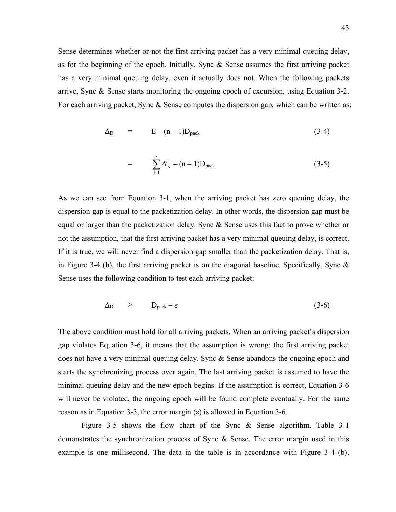Sense determines whether or not the first arriving packet has a very minimal queuing delay, as for the beginning of the epoch. Initially, Sync  $\&$  Sense assumes the first arriving packet has a very minimal queuing delay, even it actually does not. When the following packets arrive, Sync & Sense starts monitoring the ongoing epoch of excursion, using Equation 3-2. For each arriving packet, Sync  $\&$  Sense computes the dispersion gap, which can be written as:

$$
\Delta_{\rm D} = E - (n-1)D_{\rm pack} \tag{3-4}
$$

$$
= \sum_{i=1}^{n} \Delta_A^i - (n-1)D_{\text{pack}} \tag{3-5}
$$

As we can see from Equation 3-1, when the arriving packet has zero queuing delay, the dispersion gap is equal to the packetization delay. In other words, the dispersion gap must be equal or larger than the packetization delay. Sync & Sense uses this fact to prove whether or not the assumption, that the first arriving packet has a very minimal queuing delay, is correct. If it is true, we will never find a dispersion gap smaller than the packetization delay. That is, in Figure 3-4 (b), the first arriving packet is on the diagonal baseline. Specifically, Sync  $\&$ Sense uses the following condition to test each arriving packet:

$$
\Delta_{\rm D} \geq D_{\rm pack} - \varepsilon \tag{3-6}
$$

The above condition must hold for all arriving packets. When an arriving packet's dispersion gap violates Equation 3-6, it means that the assumption is wrong: the first arriving packet does not have a very minimal queuing delay. Sync & Sense abandons the ongoing epoch and starts the synchronizing process over again. The last arriving packet is assumed to have the minimal queuing delay and the new epoch begins. If the assumption is correct, Equation 3-6 will never be violated, the ongoing epoch will be found complete eventually. For the same reason as in Equation 3-3, the error margin  $(\epsilon)$  is allowed in Equation 3-6.

Figure 3-5 shows the flow chart of the Sync & Sense algorithm. Table 3-1 demonstrates the synchronization process of Sync & Sense. The error margin used in this example is one millisecond. The data in the table is in accordance with Figure 3-4 (b).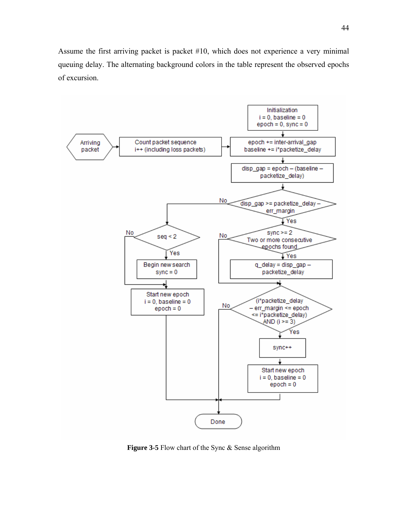Assume the first arriving packet is packet #10, which does not experience a very minimal queuing delay. The alternating background colors in the table represent the observed epochs of excursion.



**Figure 3-5** Flow chart of the Sync & Sense algorithm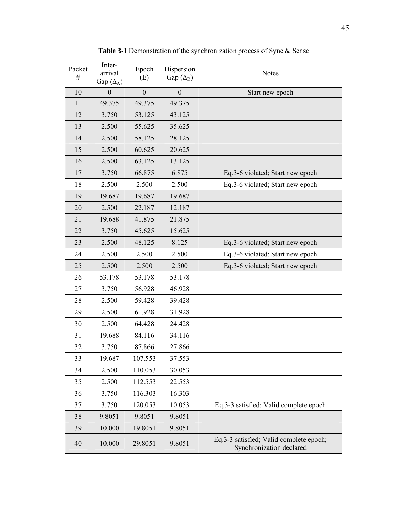| Packet<br># | Inter-<br>arrival<br>Gap $(\Delta_A)$ | Epoch<br>(E) | Dispersion<br>Gap $(\Delta_D)$ | <b>Notes</b>                                                        |
|-------------|---------------------------------------|--------------|--------------------------------|---------------------------------------------------------------------|
| 10          | $\boldsymbol{0}$                      | $\mathbf{0}$ | $\overline{0}$                 | Start new epoch                                                     |
| 11          | 49.375                                | 49.375       | 49.375                         |                                                                     |
| 12          | 3.750                                 | 53.125       | 43.125                         |                                                                     |
| 13          | 2.500                                 | 55.625       | 35.625                         |                                                                     |
| 14          | 2.500                                 | 58.125       | 28.125                         |                                                                     |
| 15          | 2.500                                 | 60.625       | 20.625                         |                                                                     |
| 16          | 2.500                                 | 63.125       | 13.125                         |                                                                     |
| 17          | 3.750                                 | 66.875       | 6.875                          | Eq.3-6 violated; Start new epoch                                    |
| 18          | 2.500                                 | 2.500        | 2.500                          | Eq.3-6 violated; Start new epoch                                    |
| 19          | 19.687                                | 19.687       | 19.687                         |                                                                     |
| 20          | 2.500                                 | 22.187       | 12.187                         |                                                                     |
| 21          | 19.688                                | 41.875       | 21.875                         |                                                                     |
| 22          | 3.750                                 | 45.625       | 15.625                         |                                                                     |
| 23          | 2.500                                 | 48.125       | 8.125                          | Eq.3-6 violated; Start new epoch                                    |
| 24          | 2.500                                 | 2.500        | 2.500                          | Eq.3-6 violated; Start new epoch                                    |
| 25          | 2.500                                 | 2.500        | 2.500                          | Eq.3-6 violated; Start new epoch                                    |
| 26          | 53.178                                | 53.178       | 53.178                         |                                                                     |
| 27          | 3.750                                 | 56.928       | 46.928                         |                                                                     |
| 28          | 2.500                                 | 59.428       | 39.428                         |                                                                     |
| 29          | 2.500                                 | 61.928       | 31.928                         |                                                                     |
| 30          | 2.500                                 | 64.428       | 24.428                         |                                                                     |
| 31          | 19.688                                | 84.116       | 34.116                         |                                                                     |
| 32          | 3.750                                 | 87.866       | 27.866                         |                                                                     |
| 33          | 19.687                                | 107.553      | 37.553                         |                                                                     |
| 34          | 2.500                                 | 110.053      | 30.053                         |                                                                     |
| 35          | 2.500                                 | 112.553      | 22.553                         |                                                                     |
| 36          | 3.750                                 | 116.303      | 16.303                         |                                                                     |
| 37          | 3.750                                 | 120.053      | 10.053                         | Eq.3-3 satisfied; Valid complete epoch                              |
| 38          | 9.8051                                | 9.8051       | 9.8051                         |                                                                     |
| 39          | 10.000                                | 19.8051      | 9.8051                         |                                                                     |
| 40          | 10.000                                | 29.8051      | 9.8051                         | Eq.3-3 satisfied; Valid complete epoch;<br>Synchronization declared |

**Table 3-1** Demonstration of the synchronization process of Sync & Sense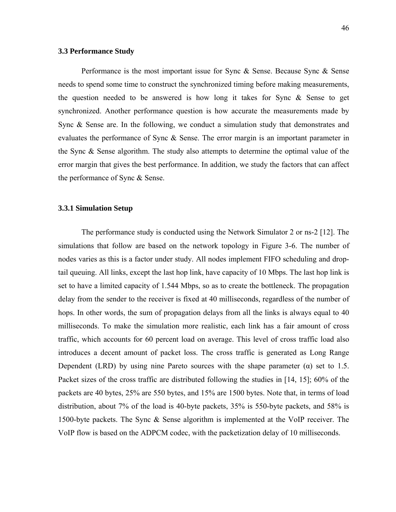## **3.3 Performance Study**

Performance is the most important issue for Sync & Sense. Because Sync & Sense needs to spend some time to construct the synchronized timing before making measurements, the question needed to be answered is how long it takes for Sync & Sense to get synchronized. Another performance question is how accurate the measurements made by Sync & Sense are. In the following, we conduct a simulation study that demonstrates and evaluates the performance of Sync & Sense. The error margin is an important parameter in the Sync & Sense algorithm. The study also attempts to determine the optimal value of the error margin that gives the best performance. In addition, we study the factors that can affect the performance of Sync & Sense.

### **3.3.1 Simulation Setup**

The performance study is conducted using the Network Simulator 2 or ns-2 [12]. The simulations that follow are based on the network topology in Figure 3-6. The number of nodes varies as this is a factor under study. All nodes implement FIFO scheduling and droptail queuing. All links, except the last hop link, have capacity of 10 Mbps. The last hop link is set to have a limited capacity of 1.544 Mbps, so as to create the bottleneck. The propagation delay from the sender to the receiver is fixed at 40 milliseconds, regardless of the number of hops. In other words, the sum of propagation delays from all the links is always equal to 40 milliseconds. To make the simulation more realistic, each link has a fair amount of cross traffic, which accounts for 60 percent load on average. This level of cross traffic load also introduces a decent amount of packet loss. The cross traffic is generated as Long Range Dependent (LRD) by using nine Pareto sources with the shape parameter  $(\alpha)$  set to 1.5. Packet sizes of the cross traffic are distributed following the studies in [14, 15]; 60% of the packets are 40 bytes, 25% are 550 bytes, and 15% are 1500 bytes. Note that, in terms of load distribution, about 7% of the load is 40-byte packets, 35% is 550-byte packets, and 58% is 1500-byte packets. The Sync & Sense algorithm is implemented at the VoIP receiver. The VoIP flow is based on the ADPCM codec, with the packetization delay of 10 milliseconds.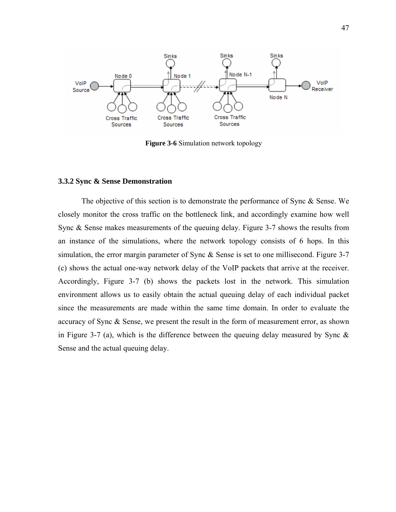

**Figure 3-6** Simulation network topology

## **3.3.2 Sync & Sense Demonstration**

The objective of this section is to demonstrate the performance of Sync & Sense. We closely monitor the cross traffic on the bottleneck link, and accordingly examine how well Sync & Sense makes measurements of the queuing delay. Figure 3-7 shows the results from an instance of the simulations, where the network topology consists of 6 hops. In this simulation, the error margin parameter of Sync & Sense is set to one millisecond. Figure 3-7 (c) shows the actual one-way network delay of the VoIP packets that arrive at the receiver. Accordingly, Figure 3-7 (b) shows the packets lost in the network. This simulation environment allows us to easily obtain the actual queuing delay of each individual packet since the measurements are made within the same time domain. In order to evaluate the accuracy of Sync & Sense, we present the result in the form of measurement error, as shown in Figure 3-7 (a), which is the difference between the queuing delay measured by Sync  $\&$ Sense and the actual queuing delay.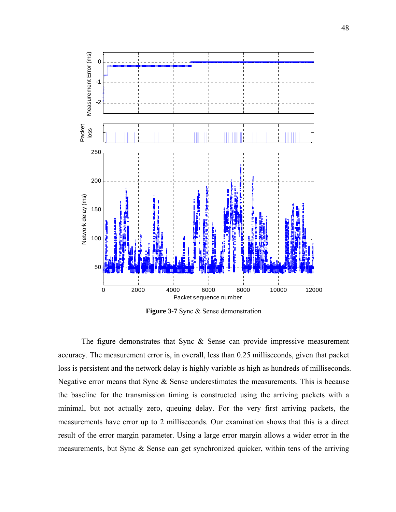

**Figure 3-7** Sync & Sense demonstration

The figure demonstrates that Sync & Sense can provide impressive measurement accuracy. The measurement error is, in overall, less than 0.25 milliseconds, given that packet loss is persistent and the network delay is highly variable as high as hundreds of milliseconds. Negative error means that Sync  $\&$  Sense underestimates the measurements. This is because the baseline for the transmission timing is constructed using the arriving packets with a minimal, but not actually zero, queuing delay. For the very first arriving packets, the measurements have error up to 2 milliseconds. Our examination shows that this is a direct result of the error margin parameter. Using a large error margin allows a wider error in the measurements, but Sync & Sense can get synchronized quicker, within tens of the arriving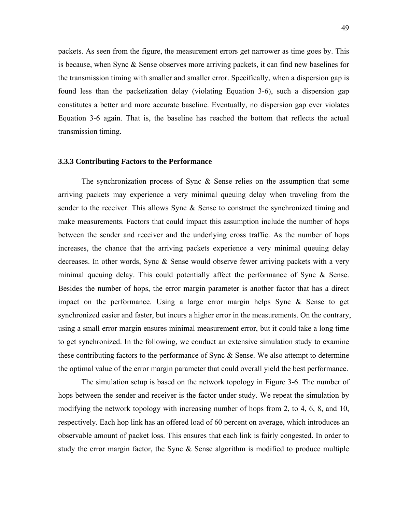packets. As seen from the figure, the measurement errors get narrower as time goes by. This is because, when Sync & Sense observes more arriving packets, it can find new baselines for the transmission timing with smaller and smaller error. Specifically, when a dispersion gap is found less than the packetization delay (violating Equation 3-6), such a dispersion gap constitutes a better and more accurate baseline. Eventually, no dispersion gap ever violates Equation 3-6 again. That is, the baseline has reached the bottom that reflects the actual transmission timing.

## **3.3.3 Contributing Factors to the Performance**

The synchronization process of Sync & Sense relies on the assumption that some arriving packets may experience a very minimal queuing delay when traveling from the sender to the receiver. This allows Sync & Sense to construct the synchronized timing and make measurements. Factors that could impact this assumption include the number of hops between the sender and receiver and the underlying cross traffic. As the number of hops increases, the chance that the arriving packets experience a very minimal queuing delay decreases. In other words, Sync & Sense would observe fewer arriving packets with a very minimal queuing delay. This could potentially affect the performance of Sync & Sense. Besides the number of hops, the error margin parameter is another factor that has a direct impact on the performance. Using a large error margin helps Sync & Sense to get synchronized easier and faster, but incurs a higher error in the measurements. On the contrary, using a small error margin ensures minimal measurement error, but it could take a long time to get synchronized. In the following, we conduct an extensive simulation study to examine these contributing factors to the performance of Sync & Sense. We also attempt to determine the optimal value of the error margin parameter that could overall yield the best performance.

The simulation setup is based on the network topology in Figure 3-6. The number of hops between the sender and receiver is the factor under study. We repeat the simulation by modifying the network topology with increasing number of hops from 2, to 4, 6, 8, and 10, respectively. Each hop link has an offered load of 60 percent on average, which introduces an observable amount of packet loss. This ensures that each link is fairly congested. In order to study the error margin factor, the Sync & Sense algorithm is modified to produce multiple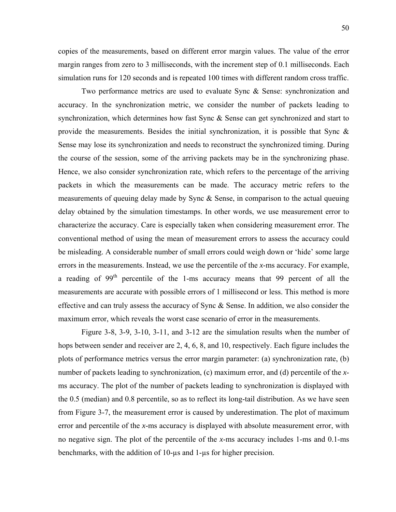copies of the measurements, based on different error margin values. The value of the error margin ranges from zero to 3 milliseconds, with the increment step of 0.1 milliseconds. Each simulation runs for 120 seconds and is repeated 100 times with different random cross traffic.

Two performance metrics are used to evaluate Sync & Sense: synchronization and accuracy. In the synchronization metric, we consider the number of packets leading to synchronization, which determines how fast Sync & Sense can get synchronized and start to provide the measurements. Besides the initial synchronization, it is possible that Sync  $\&$ Sense may lose its synchronization and needs to reconstruct the synchronized timing. During the course of the session, some of the arriving packets may be in the synchronizing phase. Hence, we also consider synchronization rate, which refers to the percentage of the arriving packets in which the measurements can be made. The accuracy metric refers to the measurements of queuing delay made by Sync & Sense, in comparison to the actual queuing delay obtained by the simulation timestamps. In other words, we use measurement error to characterize the accuracy. Care is especially taken when considering measurement error. The conventional method of using the mean of measurement errors to assess the accuracy could be misleading. A considerable number of small errors could weigh down or 'hide' some large errors in the measurements. Instead, we use the percentile of the *x*-ms accuracy. For example, a reading of  $99<sup>th</sup>$  percentile of the 1-ms accuracy means that 99 percent of all the measurements are accurate with possible errors of 1 millisecond or less. This method is more effective and can truly assess the accuracy of Sync & Sense. In addition, we also consider the maximum error, which reveals the worst case scenario of error in the measurements.

Figure 3-8, 3-9, 3-10, 3-11, and 3-12 are the simulation results when the number of hops between sender and receiver are 2, 4, 6, 8, and 10, respectively. Each figure includes the plots of performance metrics versus the error margin parameter: (a) synchronization rate, (b) number of packets leading to synchronization, (c) maximum error, and (d) percentile of the *x*ms accuracy. The plot of the number of packets leading to synchronization is displayed with the 0.5 (median) and 0.8 percentile, so as to reflect its long-tail distribution. As we have seen from Figure 3-7, the measurement error is caused by underestimation. The plot of maximum error and percentile of the *x*-ms accuracy is displayed with absolute measurement error, with no negative sign. The plot of the percentile of the *x*-ms accuracy includes 1-ms and 0.1-ms benchmarks, with the addition of 10-µs and 1-µs for higher precision.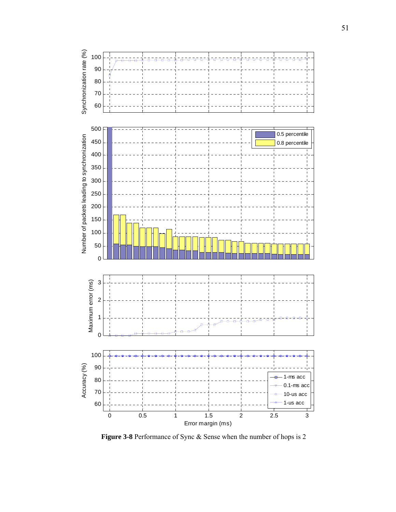

**Figure 3-8** Performance of Sync & Sense when the number of hops is 2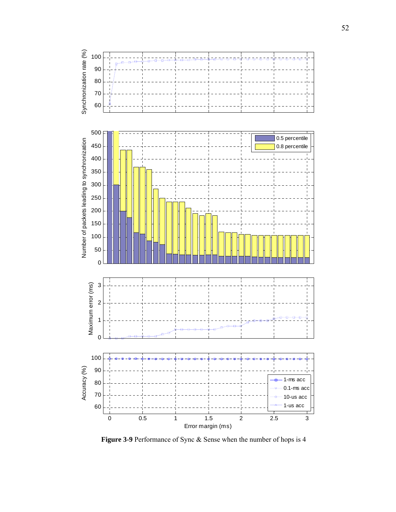

**Figure 3-9** Performance of Sync & Sense when the number of hops is 4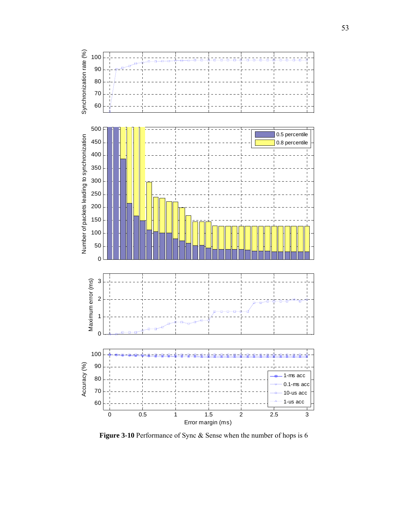

**Figure 3-10** Performance of Sync & Sense when the number of hops is 6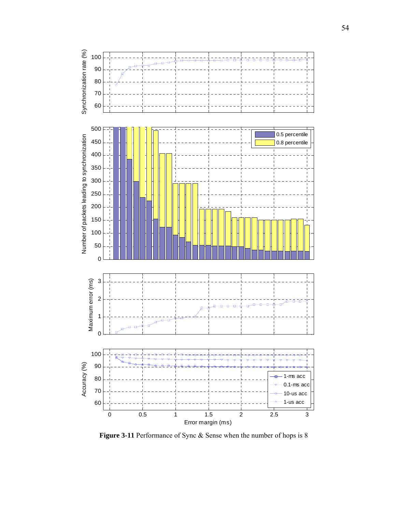

**Figure 3-11** Performance of Sync & Sense when the number of hops is 8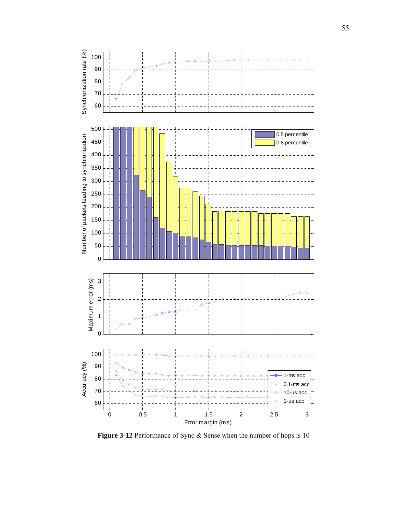

**Figure 3-12** Performance of Sync & Sense when the number of hops is 10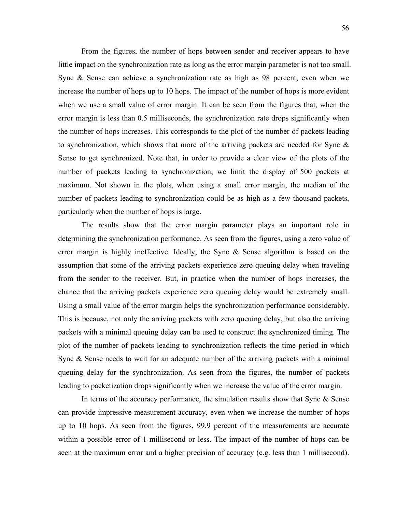From the figures, the number of hops between sender and receiver appears to have little impact on the synchronization rate as long as the error margin parameter is not too small. Sync & Sense can achieve a synchronization rate as high as 98 percent, even when we increase the number of hops up to 10 hops. The impact of the number of hops is more evident when we use a small value of error margin. It can be seen from the figures that, when the error margin is less than 0.5 milliseconds, the synchronization rate drops significantly when the number of hops increases. This corresponds to the plot of the number of packets leading to synchronization, which shows that more of the arriving packets are needed for Sync & Sense to get synchronized. Note that, in order to provide a clear view of the plots of the number of packets leading to synchronization, we limit the display of 500 packets at maximum. Not shown in the plots, when using a small error margin, the median of the number of packets leading to synchronization could be as high as a few thousand packets, particularly when the number of hops is large.

The results show that the error margin parameter plays an important role in determining the synchronization performance. As seen from the figures, using a zero value of error margin is highly ineffective. Ideally, the Sync & Sense algorithm is based on the assumption that some of the arriving packets experience zero queuing delay when traveling from the sender to the receiver. But, in practice when the number of hops increases, the chance that the arriving packets experience zero queuing delay would be extremely small. Using a small value of the error margin helps the synchronization performance considerably. This is because, not only the arriving packets with zero queuing delay, but also the arriving packets with a minimal queuing delay can be used to construct the synchronized timing. The plot of the number of packets leading to synchronization reflects the time period in which Sync & Sense needs to wait for an adequate number of the arriving packets with a minimal queuing delay for the synchronization. As seen from the figures, the number of packets leading to packetization drops significantly when we increase the value of the error margin.

In terms of the accuracy performance, the simulation results show that Sync & Sense can provide impressive measurement accuracy, even when we increase the number of hops up to 10 hops. As seen from the figures, 99.9 percent of the measurements are accurate within a possible error of 1 millisecond or less. The impact of the number of hops can be seen at the maximum error and a higher precision of accuracy (e.g. less than 1 millisecond).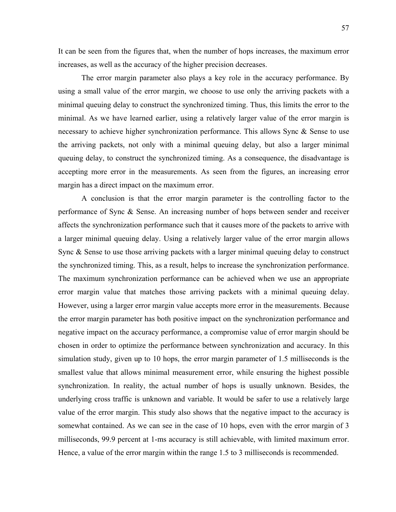It can be seen from the figures that, when the number of hops increases, the maximum error increases, as well as the accuracy of the higher precision decreases.

The error margin parameter also plays a key role in the accuracy performance. By using a small value of the error margin, we choose to use only the arriving packets with a minimal queuing delay to construct the synchronized timing. Thus, this limits the error to the minimal. As we have learned earlier, using a relatively larger value of the error margin is necessary to achieve higher synchronization performance. This allows Sync & Sense to use the arriving packets, not only with a minimal queuing delay, but also a larger minimal queuing delay, to construct the synchronized timing. As a consequence, the disadvantage is accepting more error in the measurements. As seen from the figures, an increasing error margin has a direct impact on the maximum error.

A conclusion is that the error margin parameter is the controlling factor to the performance of Sync & Sense. An increasing number of hops between sender and receiver affects the synchronization performance such that it causes more of the packets to arrive with a larger minimal queuing delay. Using a relatively larger value of the error margin allows Sync & Sense to use those arriving packets with a larger minimal queuing delay to construct the synchronized timing. This, as a result, helps to increase the synchronization performance. The maximum synchronization performance can be achieved when we use an appropriate error margin value that matches those arriving packets with a minimal queuing delay. However, using a larger error margin value accepts more error in the measurements. Because the error margin parameter has both positive impact on the synchronization performance and negative impact on the accuracy performance, a compromise value of error margin should be chosen in order to optimize the performance between synchronization and accuracy. In this simulation study, given up to 10 hops, the error margin parameter of 1.5 milliseconds is the smallest value that allows minimal measurement error, while ensuring the highest possible synchronization. In reality, the actual number of hops is usually unknown. Besides, the underlying cross traffic is unknown and variable. It would be safer to use a relatively large value of the error margin. This study also shows that the negative impact to the accuracy is somewhat contained. As we can see in the case of 10 hops, even with the error margin of 3 milliseconds, 99.9 percent at 1-ms accuracy is still achievable, with limited maximum error. Hence, a value of the error margin within the range 1.5 to 3 milliseconds is recommended.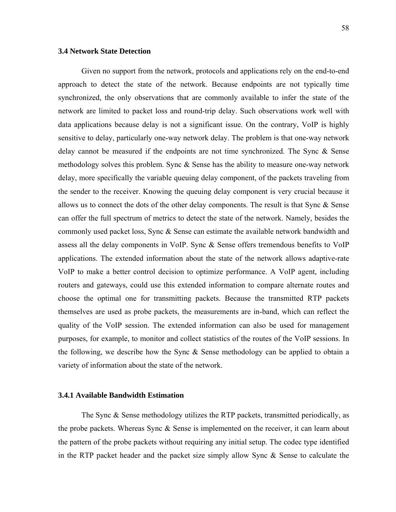### **3.4 Network State Detection**

Given no support from the network, protocols and applications rely on the end-to-end approach to detect the state of the network. Because endpoints are not typically time synchronized, the only observations that are commonly available to infer the state of the network are limited to packet loss and round-trip delay. Such observations work well with data applications because delay is not a significant issue. On the contrary, VoIP is highly sensitive to delay, particularly one-way network delay. The problem is that one-way network delay cannot be measured if the endpoints are not time synchronized. The Sync & Sense methodology solves this problem. Sync  $\&$  Sense has the ability to measure one-way network delay, more specifically the variable queuing delay component, of the packets traveling from the sender to the receiver. Knowing the queuing delay component is very crucial because it allows us to connect the dots of the other delay components. The result is that Sync  $\&$  Sense can offer the full spectrum of metrics to detect the state of the network. Namely, besides the commonly used packet loss, Sync & Sense can estimate the available network bandwidth and assess all the delay components in VoIP. Sync & Sense offers tremendous benefits to VoIP applications. The extended information about the state of the network allows adaptive-rate VoIP to make a better control decision to optimize performance. A VoIP agent, including routers and gateways, could use this extended information to compare alternate routes and choose the optimal one for transmitting packets. Because the transmitted RTP packets themselves are used as probe packets, the measurements are in-band, which can reflect the quality of the VoIP session. The extended information can also be used for management purposes, for example, to monitor and collect statistics of the routes of the VoIP sessions. In the following, we describe how the Sync & Sense methodology can be applied to obtain a variety of information about the state of the network.

## **3.4.1 Available Bandwidth Estimation**

The Sync & Sense methodology utilizes the RTP packets, transmitted periodically, as the probe packets. Whereas Sync & Sense is implemented on the receiver, it can learn about the pattern of the probe packets without requiring any initial setup. The codec type identified in the RTP packet header and the packet size simply allow Sync & Sense to calculate the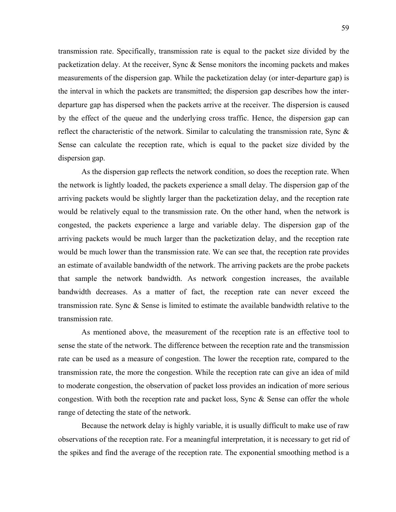transmission rate. Specifically, transmission rate is equal to the packet size divided by the packetization delay. At the receiver, Sync & Sense monitors the incoming packets and makes measurements of the dispersion gap. While the packetization delay (or inter-departure gap) is the interval in which the packets are transmitted; the dispersion gap describes how the interdeparture gap has dispersed when the packets arrive at the receiver. The dispersion is caused by the effect of the queue and the underlying cross traffic. Hence, the dispersion gap can reflect the characteristic of the network. Similar to calculating the transmission rate, Sync & Sense can calculate the reception rate, which is equal to the packet size divided by the dispersion gap.

As the dispersion gap reflects the network condition, so does the reception rate. When the network is lightly loaded, the packets experience a small delay. The dispersion gap of the arriving packets would be slightly larger than the packetization delay, and the reception rate would be relatively equal to the transmission rate. On the other hand, when the network is congested, the packets experience a large and variable delay. The dispersion gap of the arriving packets would be much larger than the packetization delay, and the reception rate would be much lower than the transmission rate. We can see that, the reception rate provides an estimate of available bandwidth of the network. The arriving packets are the probe packets that sample the network bandwidth. As network congestion increases, the available bandwidth decreases. As a matter of fact, the reception rate can never exceed the transmission rate. Sync & Sense is limited to estimate the available bandwidth relative to the transmission rate.

As mentioned above, the measurement of the reception rate is an effective tool to sense the state of the network. The difference between the reception rate and the transmission rate can be used as a measure of congestion. The lower the reception rate, compared to the transmission rate, the more the congestion. While the reception rate can give an idea of mild to moderate congestion, the observation of packet loss provides an indication of more serious congestion. With both the reception rate and packet loss, Sync & Sense can offer the whole range of detecting the state of the network.

Because the network delay is highly variable, it is usually difficult to make use of raw observations of the reception rate. For a meaningful interpretation, it is necessary to get rid of the spikes and find the average of the reception rate. The exponential smoothing method is a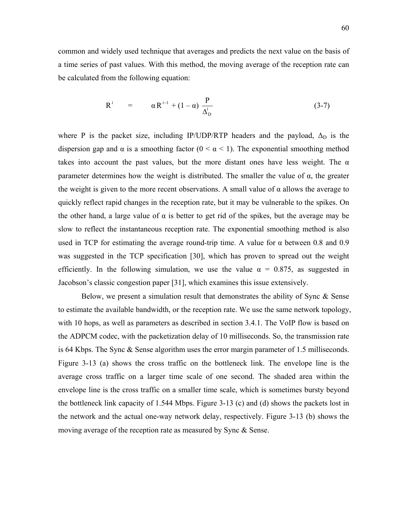common and widely used technique that averages and predicts the next value on the basis of a time series of past values. With this method, the moving average of the reception rate can be calculated from the following equation:

$$
R^{i} = \alpha R^{i-1} + (1 - \alpha) \frac{P}{\Delta_{D}^{i}}
$$
 (3-7)

where P is the packet size, including IP/UDP/RTP headers and the payload,  $\Delta_D$  is the dispersion gap and  $\alpha$  is a smoothing factor  $(0 \le \alpha \le 1)$ . The exponential smoothing method takes into account the past values, but the more distant ones have less weight. The  $\alpha$ parameter determines how the weight is distributed. The smaller the value of  $\alpha$ , the greater the weight is given to the more recent observations. A small value of  $\alpha$  allows the average to quickly reflect rapid changes in the reception rate, but it may be vulnerable to the spikes. On the other hand, a large value of  $\alpha$  is better to get rid of the spikes, but the average may be slow to reflect the instantaneous reception rate. The exponential smoothing method is also used in TCP for estimating the average round-trip time. A value for  $\alpha$  between 0.8 and 0.9 was suggested in the TCP specification [30], which has proven to spread out the weight efficiently. In the following simulation, we use the value  $\alpha = 0.875$ , as suggested in Jacobson's classic congestion paper [31], which examines this issue extensively.

 Below, we present a simulation result that demonstrates the ability of Sync & Sense to estimate the available bandwidth, or the reception rate. We use the same network topology, with 10 hops, as well as parameters as described in section 3.4.1. The VoIP flow is based on the ADPCM codec, with the packetization delay of 10 milliseconds. So, the transmission rate is 64 Kbps. The Sync & Sense algorithm uses the error margin parameter of 1.5 milliseconds. Figure 3-13 (a) shows the cross traffic on the bottleneck link. The envelope line is the average cross traffic on a larger time scale of one second. The shaded area within the envelope line is the cross traffic on a smaller time scale, which is sometimes bursty beyond the bottleneck link capacity of 1.544 Mbps. Figure 3-13 (c) and (d) shows the packets lost in the network and the actual one-way network delay, respectively. Figure 3-13 (b) shows the moving average of the reception rate as measured by Sync & Sense.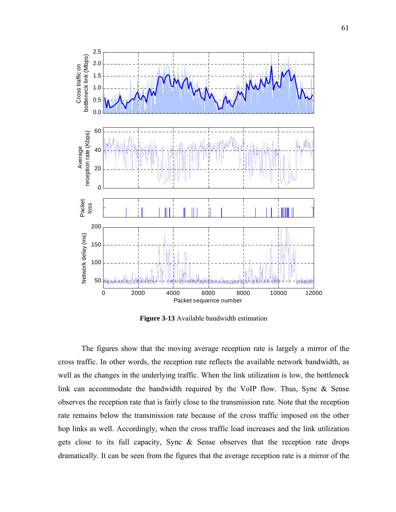

**Figure 3-13** Available bandwidth estimation

The figures show that the moving average reception rate is largely a mirror of the cross traffic. In other words, the reception rate reflects the available network bandwidth, as well as the changes in the underlying traffic. When the link utilization is low, the bottleneck link can accommodate the bandwidth required by the VoIP flow. Thus, Sync & Sense observes the reception rate that is fairly close to the transmission rate. Note that the reception rate remains below the transmission rate because of the cross traffic imposed on the other hop links as well. Accordingly, when the cross traffic load increases and the link utilization gets close to its full capacity, Sync & Sense observes that the reception rate drops dramatically. It can be seen from the figures that the average reception rate is a mirror of the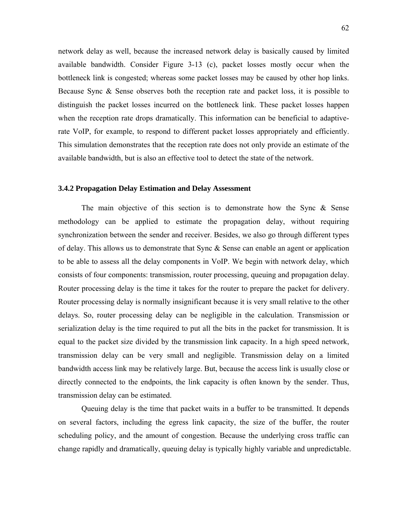network delay as well, because the increased network delay is basically caused by limited available bandwidth. Consider Figure 3-13 (c), packet losses mostly occur when the bottleneck link is congested; whereas some packet losses may be caused by other hop links. Because Sync & Sense observes both the reception rate and packet loss, it is possible to distinguish the packet losses incurred on the bottleneck link. These packet losses happen when the reception rate drops dramatically. This information can be beneficial to adaptiverate VoIP, for example, to respond to different packet losses appropriately and efficiently. This simulation demonstrates that the reception rate does not only provide an estimate of the available bandwidth, but is also an effective tool to detect the state of the network.

## **3.4.2 Propagation Delay Estimation and Delay Assessment**

The main objective of this section is to demonstrate how the Sync  $\&$  Sense methodology can be applied to estimate the propagation delay, without requiring synchronization between the sender and receiver. Besides, we also go through different types of delay. This allows us to demonstrate that Sync & Sense can enable an agent or application to be able to assess all the delay components in VoIP. We begin with network delay, which consists of four components: transmission, router processing, queuing and propagation delay. Router processing delay is the time it takes for the router to prepare the packet for delivery. Router processing delay is normally insignificant because it is very small relative to the other delays. So, router processing delay can be negligible in the calculation. Transmission or serialization delay is the time required to put all the bits in the packet for transmission. It is equal to the packet size divided by the transmission link capacity. In a high speed network, transmission delay can be very small and negligible. Transmission delay on a limited bandwidth access link may be relatively large. But, because the access link is usually close or directly connected to the endpoints, the link capacity is often known by the sender. Thus, transmission delay can be estimated.

Queuing delay is the time that packet waits in a buffer to be transmitted. It depends on several factors, including the egress link capacity, the size of the buffer, the router scheduling policy, and the amount of congestion. Because the underlying cross traffic can change rapidly and dramatically, queuing delay is typically highly variable and unpredictable.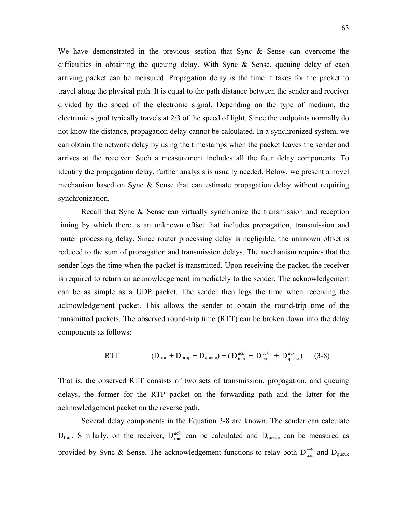We have demonstrated in the previous section that Sync & Sense can overcome the difficulties in obtaining the queuing delay. With Sync  $\&$  Sense, queuing delay of each arriving packet can be measured. Propagation delay is the time it takes for the packet to travel along the physical path. It is equal to the path distance between the sender and receiver divided by the speed of the electronic signal. Depending on the type of medium, the electronic signal typically travels at 2/3 of the speed of light. Since the endpoints normally do not know the distance, propagation delay cannot be calculated. In a synchronized system, we can obtain the network delay by using the timestamps when the packet leaves the sender and arrives at the receiver. Such a measurement includes all the four delay components. To identify the propagation delay, further analysis is usually needed. Below, we present a novel mechanism based on Sync & Sense that can estimate propagation delay without requiring synchronization.

Recall that Sync & Sense can virtually synchronize the transmission and reception timing by which there is an unknown offset that includes propagation, transmission and router processing delay. Since router processing delay is negligible, the unknown offset is reduced to the sum of propagation and transmission delays. The mechanism requires that the sender logs the time when the packet is transmitted. Upon receiving the packet, the receiver is required to return an acknowledgement immediately to the sender. The acknowledgement can be as simple as a UDP packet. The sender then logs the time when receiving the acknowledgement packet. This allows the sender to obtain the round-trip time of the transmitted packets. The observed round-trip time (RTT) can be broken down into the delay components as follows:

$$
RTT = (D_{tran} + D_{prop} + D_{queue}) + (D_{tran}^{ack} + D_{prop}^{ack} + D_{queue}^{ack})
$$
 (3-8)

That is, the observed RTT consists of two sets of transmission, propagation, and queuing delays, the former for the RTP packet on the forwarding path and the latter for the acknowledgement packet on the reverse path.

Several delay components in the Equation 3-8 are known. The sender can calculate  $D_{tran}$ . Similarly, on the receiver,  $D_{tran}^{ack}$  can be calculated and  $D_{queue}$  can be measured as provided by Sync & Sense. The acknowledgement functions to relay both  $D_{\text{tran}}^{ack}$  and  $D_{\text{queue}}$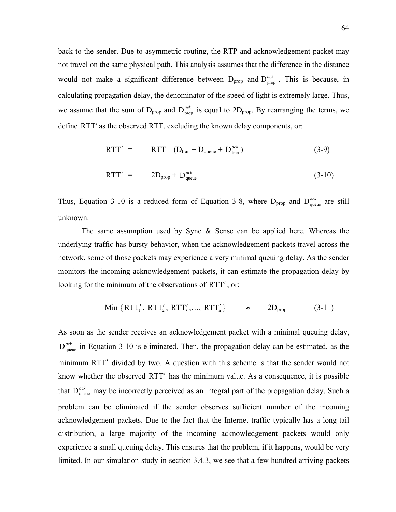back to the sender. Due to asymmetric routing, the RTP and acknowledgement packet may not travel on the same physical path. This analysis assumes that the difference in the distance would not make a significant difference between  $D_{prop}$  and  $D_{prop}^{ack}$ . This is because, in calculating propagation delay, the denominator of the speed of light is extremely large. Thus, we assume that the sum of  $D_{prop}$  and  $D_{prop}^{ack}$  is equal to  $2D_{prop}$ . By rearranging the terms, we define RTT' as the observed RTT, excluding the known delay components, or:

$$
RTT' = RTT - (D_{tran} + D_{queue} + D_{tran}^{ack})
$$
 (3-9)

$$
RTT' = 2D_{prop} + D_{queue}^{ack}
$$
 (3-10)

Thus, Equation 3-10 is a reduced form of Equation 3-8, where  $D_{prop}$  and  $D_{queue}^{ack}$  are still unknown.

The same assumption used by Sync  $\&$  Sense can be applied here. Whereas the underlying traffic has bursty behavior, when the acknowledgement packets travel across the network, some of those packets may experience a very minimal queuing delay. As the sender monitors the incoming acknowledgement packets, it can estimate the propagation delay by looking for the minimum of the observations of RTT′ , or:

$$
\text{Min} \{ \text{RTT}_1', \text{RTT}_2', \text{RTT}_3', \dots, \text{RTT}_n' \} \qquad \approx \qquad 2\text{D}_{\text{prop}} \tag{3-11}
$$

As soon as the sender receives an acknowledgement packet with a minimal queuing delay,  $D_{\text{queue}}^{ack}$  in Equation 3-10 is eliminated. Then, the propagation delay can be estimated, as the minimum RTT' divided by two. A question with this scheme is that the sender would not know whether the observed RTT′ has the minimum value. As a consequence, it is possible that  $D_{\text{queue}}^{ack}$  may be incorrectly perceived as an integral part of the propagation delay. Such a problem can be eliminated if the sender observes sufficient number of the incoming acknowledgement packets. Due to the fact that the Internet traffic typically has a long-tail distribution, a large majority of the incoming acknowledgement packets would only experience a small queuing delay. This ensures that the problem, if it happens, would be very limited. In our simulation study in section 3.4.3, we see that a few hundred arriving packets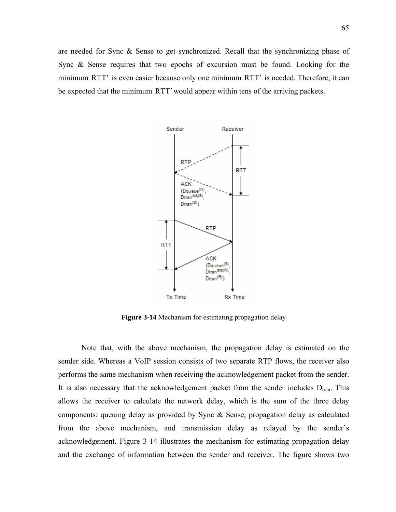are needed for Sync  $\&$  Sense to get synchronized. Recall that the synchronizing phase of Sync & Sense requires that two epochs of excursion must be found. Looking for the minimum RTT′ is even easier because only one minimum RTT′ is needed. Therefore, it can be expected that the minimum RTT′ would appear within tens of the arriving packets.



**Figure 3-14** Mechanism for estimating propagation delay

Note that, with the above mechanism, the propagation delay is estimated on the sender side. Whereas a VoIP session consists of two separate RTP flows, the receiver also performs the same mechanism when receiving the acknowledgement packet from the sender. It is also necessary that the acknowledgement packet from the sender includes  $D_{tran}$ . This allows the receiver to calculate the network delay, which is the sum of the three delay components: queuing delay as provided by Sync & Sense, propagation delay as calculated from the above mechanism, and transmission delay as relayed by the sender's acknowledgement. Figure 3-14 illustrates the mechanism for estimating propagation delay and the exchange of information between the sender and receiver. The figure shows two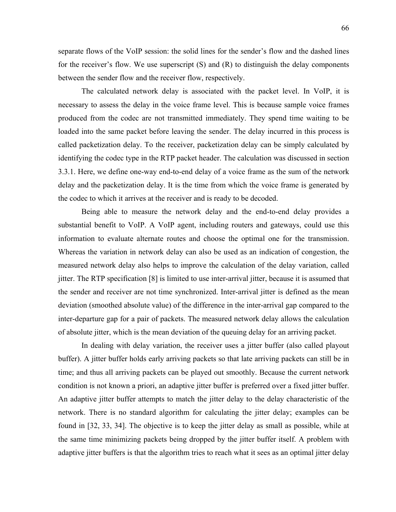separate flows of the VoIP session: the solid lines for the sender's flow and the dashed lines for the receiver's flow. We use superscript (S) and (R) to distinguish the delay components between the sender flow and the receiver flow, respectively.

The calculated network delay is associated with the packet level. In VoIP, it is necessary to assess the delay in the voice frame level. This is because sample voice frames produced from the codec are not transmitted immediately. They spend time waiting to be loaded into the same packet before leaving the sender. The delay incurred in this process is called packetization delay. To the receiver, packetization delay can be simply calculated by identifying the codec type in the RTP packet header. The calculation was discussed in section 3.3.1. Here, we define one-way end-to-end delay of a voice frame as the sum of the network delay and the packetization delay. It is the time from which the voice frame is generated by the codec to which it arrives at the receiver and is ready to be decoded.

Being able to measure the network delay and the end-to-end delay provides a substantial benefit to VoIP. A VoIP agent, including routers and gateways, could use this information to evaluate alternate routes and choose the optimal one for the transmission. Whereas the variation in network delay can also be used as an indication of congestion, the measured network delay also helps to improve the calculation of the delay variation, called jitter. The RTP specification [8] is limited to use inter-arrival jitter, because it is assumed that the sender and receiver are not time synchronized. Inter-arrival jitter is defined as the mean deviation (smoothed absolute value) of the difference in the inter-arrival gap compared to the inter-departure gap for a pair of packets. The measured network delay allows the calculation of absolute jitter, which is the mean deviation of the queuing delay for an arriving packet.

In dealing with delay variation, the receiver uses a jitter buffer (also called playout buffer). A jitter buffer holds early arriving packets so that late arriving packets can still be in time; and thus all arriving packets can be played out smoothly. Because the current network condition is not known a priori, an adaptive jitter buffer is preferred over a fixed jitter buffer. An adaptive jitter buffer attempts to match the jitter delay to the delay characteristic of the network. There is no standard algorithm for calculating the jitter delay; examples can be found in [32, 33, 34]. The objective is to keep the jitter delay as small as possible, while at the same time minimizing packets being dropped by the jitter buffer itself. A problem with adaptive jitter buffers is that the algorithm tries to reach what it sees as an optimal jitter delay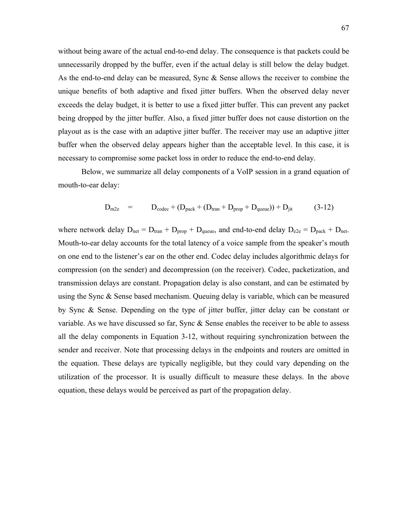without being aware of the actual end-to-end delay. The consequence is that packets could be unnecessarily dropped by the buffer, even if the actual delay is still below the delay budget. As the end-to-end delay can be measured, Sync & Sense allows the receiver to combine the unique benefits of both adaptive and fixed jitter buffers. When the observed delay never exceeds the delay budget, it is better to use a fixed jitter buffer. This can prevent any packet being dropped by the jitter buffer. Also, a fixed jitter buffer does not cause distortion on the playout as is the case with an adaptive jitter buffer. The receiver may use an adaptive jitter buffer when the observed delay appears higher than the acceptable level. In this case, it is necessary to compromise some packet loss in order to reduce the end-to-end delay.

Below, we summarize all delay components of a VoIP session in a grand equation of mouth-to-ear delay:

$$
D_{m2e} = D_{codec} + (D_{pack} + (D_{tran} + D_{prop} + D_{queue})) + D_{jit}
$$
 (3-12)

where network delay  $D_{net} = D_{tran} + D_{prop} + D_{queue}$ , and end-to-end delay  $D_{e2e} = D_{pack} + D_{net}$ . Mouth-to-ear delay accounts for the total latency of a voice sample from the speaker's mouth on one end to the listener's ear on the other end. Codec delay includes algorithmic delays for compression (on the sender) and decompression (on the receiver). Codec, packetization, and transmission delays are constant. Propagation delay is also constant, and can be estimated by using the Sync & Sense based mechanism. Queuing delay is variable, which can be measured by Sync & Sense. Depending on the type of jitter buffer, jitter delay can be constant or variable. As we have discussed so far, Sync & Sense enables the receiver to be able to assess all the delay components in Equation 3-12, without requiring synchronization between the sender and receiver. Note that processing delays in the endpoints and routers are omitted in the equation. These delays are typically negligible, but they could vary depending on the utilization of the processor. It is usually difficult to measure these delays. In the above equation, these delays would be perceived as part of the propagation delay.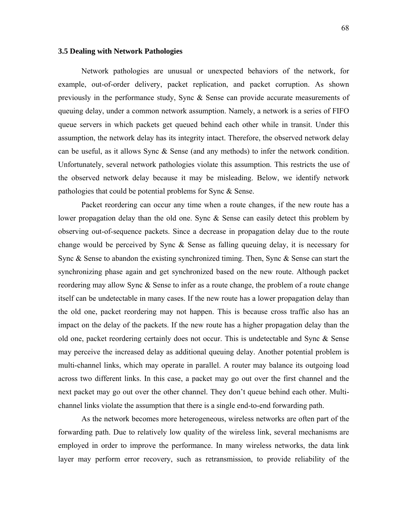# **3.5 Dealing with Network Pathologies**

Network pathologies are unusual or unexpected behaviors of the network, for example, out-of-order delivery, packet replication, and packet corruption. As shown previously in the performance study, Sync & Sense can provide accurate measurements of queuing delay, under a common network assumption. Namely, a network is a series of FIFO queue servers in which packets get queued behind each other while in transit. Under this assumption, the network delay has its integrity intact. Therefore, the observed network delay can be useful, as it allows Sync & Sense (and any methods) to infer the network condition. Unfortunately, several network pathologies violate this assumption. This restricts the use of the observed network delay because it may be misleading. Below, we identify network pathologies that could be potential problems for Sync & Sense.

Packet reordering can occur any time when a route changes, if the new route has a lower propagation delay than the old one. Sync & Sense can easily detect this problem by observing out-of-sequence packets. Since a decrease in propagation delay due to the route change would be perceived by Sync & Sense as falling queuing delay, it is necessary for Sync & Sense to abandon the existing synchronized timing. Then, Sync & Sense can start the synchronizing phase again and get synchronized based on the new route. Although packet reordering may allow Sync & Sense to infer as a route change, the problem of a route change itself can be undetectable in many cases. If the new route has a lower propagation delay than the old one, packet reordering may not happen. This is because cross traffic also has an impact on the delay of the packets. If the new route has a higher propagation delay than the old one, packet reordering certainly does not occur. This is undetectable and Sync & Sense may perceive the increased delay as additional queuing delay. Another potential problem is multi-channel links, which may operate in parallel. A router may balance its outgoing load across two different links. In this case, a packet may go out over the first channel and the next packet may go out over the other channel. They don't queue behind each other. Multichannel links violate the assumption that there is a single end-to-end forwarding path.

As the network becomes more heterogeneous, wireless networks are often part of the forwarding path. Due to relatively low quality of the wireless link, several mechanisms are employed in order to improve the performance. In many wireless networks, the data link layer may perform error recovery, such as retransmission, to provide reliability of the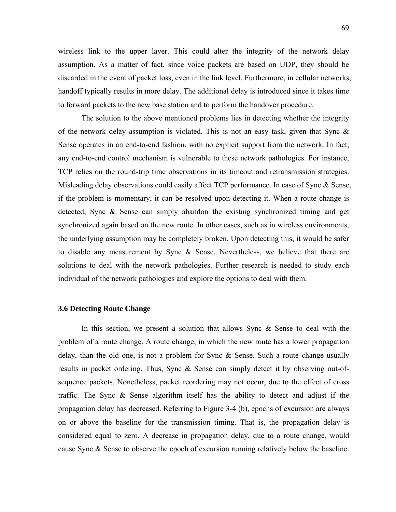wireless link to the upper layer. This could alter the integrity of the network delay assumption. As a matter of fact, since voice packets are based on UDP, they should be discarded in the event of packet loss, even in the link level. Furthermore, in cellular networks, handoff typically results in more delay. The additional delay is introduced since it takes time to forward packets to the new base station and to perform the handover procedure.

The solution to the above mentioned problems lies in detecting whether the integrity of the network delay assumption is violated. This is not an easy task, given that Sync  $\&$ Sense operates in an end-to-end fashion, with no explicit support from the network. In fact, any end-to-end control mechanism is vulnerable to these network pathologies. For instance, TCP relies on the round-trip time observations in its timeout and retransmission strategies. Misleading delay observations could easily affect TCP performance. In case of Sync & Sense, if the problem is momentary, it can be resolved upon detecting it. When a route change is detected, Sync & Sense can simply abandon the existing synchronized timing and get synchronized again based on the new route. In other cases, such as in wireless environments, the underlying assumption may be completely broken. Upon detecting this, it would be safer to disable any measurement by Sync & Sense. Nevertheless, we believe that there are solutions to deal with the network pathologies. Further research is needed to study each individual of the network pathologies and explore the options to deal with them.

# **3.6 Detecting Route Change**

In this section, we present a solution that allows Sync  $\&$  Sense to deal with the problem of a route change. A route change, in which the new route has a lower propagation delay, than the old one, is not a problem for Sync & Sense. Such a route change usually results in packet ordering. Thus, Sync & Sense can simply detect it by observing out-ofsequence packets. Nonetheless, packet reordering may not occur, due to the effect of cross traffic. The Sync & Sense algorithm itself has the ability to detect and adjust if the propagation delay has decreased. Referring to Figure 3-4 (b), epochs of excursion are always on or above the baseline for the transmission timing. That is, the propagation delay is considered equal to zero. A decrease in propagation delay, due to a route change, would cause Sync & Sense to observe the epoch of excursion running relatively below the baseline.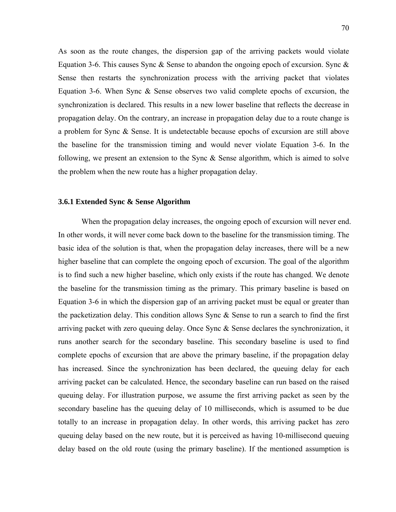As soon as the route changes, the dispersion gap of the arriving packets would violate Equation 3-6. This causes Sync & Sense to abandon the ongoing epoch of excursion. Sync & Sense then restarts the synchronization process with the arriving packet that violates Equation 3-6. When Sync  $\&$  Sense observes two valid complete epochs of excursion, the synchronization is declared. This results in a new lower baseline that reflects the decrease in propagation delay. On the contrary, an increase in propagation delay due to a route change is a problem for Sync & Sense. It is undetectable because epochs of excursion are still above the baseline for the transmission timing and would never violate Equation 3-6. In the following, we present an extension to the Sync & Sense algorithm, which is aimed to solve the problem when the new route has a higher propagation delay.

#### **3.6.1 Extended Sync & Sense Algorithm**

When the propagation delay increases, the ongoing epoch of excursion will never end. In other words, it will never come back down to the baseline for the transmission timing. The basic idea of the solution is that, when the propagation delay increases, there will be a new higher baseline that can complete the ongoing epoch of excursion. The goal of the algorithm is to find such a new higher baseline, which only exists if the route has changed. We denote the baseline for the transmission timing as the primary. This primary baseline is based on Equation 3-6 in which the dispersion gap of an arriving packet must be equal or greater than the packetization delay. This condition allows Sync & Sense to run a search to find the first arriving packet with zero queuing delay. Once Sync  $\&$  Sense declares the synchronization, it runs another search for the secondary baseline. This secondary baseline is used to find complete epochs of excursion that are above the primary baseline, if the propagation delay has increased. Since the synchronization has been declared, the queuing delay for each arriving packet can be calculated. Hence, the secondary baseline can run based on the raised queuing delay. For illustration purpose, we assume the first arriving packet as seen by the secondary baseline has the queuing delay of 10 milliseconds, which is assumed to be due totally to an increase in propagation delay. In other words, this arriving packet has zero queuing delay based on the new route, but it is perceived as having 10-millisecond queuing delay based on the old route (using the primary baseline). If the mentioned assumption is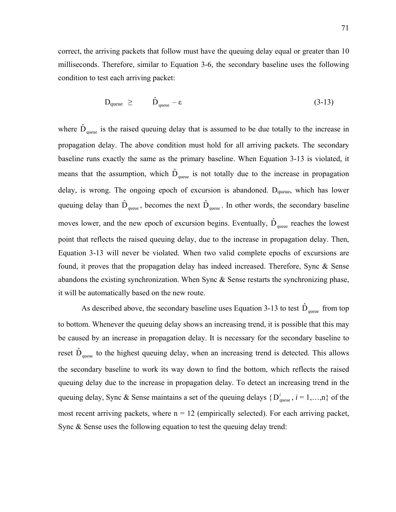correct, the arriving packets that follow must have the queuing delay equal or greater than 10 milliseconds. Therefore, similar to Equation 3-6, the secondary baseline uses the following condition to test each arriving packet:

$$
D_{\text{queue}} \geq \hat{D}_{\text{queue}} - \varepsilon \tag{3-13}
$$

where  $\hat{D}_{\text{queue}}$  is the raised queuing delay that is assumed to be due totally to the increase in propagation delay. The above condition must hold for all arriving packets. The secondary baseline runs exactly the same as the primary baseline. When Equation 3-13 is violated, it means that the assumption, which  $\hat{D}_{\text{queue}}$  is not totally due to the increase in propagation delay, is wrong. The ongoing epoch of excursion is abandoned.  $D_{queue}$ , which has lower queuing delay than  $\hat{D}_{\text{queue}}$ , becomes the next  $\hat{D}_{\text{queue}}$ . In other words, the secondary baseline moves lower, and the new epoch of excursion begins. Eventually,  $\hat{D}_{\text{queue}}$  reaches the lowest point that reflects the raised queuing delay, due to the increase in propagation delay. Then, Equation 3-13 will never be violated. When two valid complete epochs of excursions are found, it proves that the propagation delay has indeed increased. Therefore, Sync & Sense abandons the existing synchronization. When Sync  $\&$  Sense restarts the synchronizing phase, it will be automatically based on the new route.

As described above, the secondary baseline uses Equation 3-13 to test  $\hat{D}_{\text{queue}}$  from top to bottom. Whenever the queuing delay shows an increasing trend, it is possible that this may be caused by an increase in propagation delay. It is necessary for the secondary baseline to reset  $\hat{D}_{\text{queue}}$  to the highest queuing delay, when an increasing trend is detected. This allows the secondary baseline to work its way down to find the bottom, which reflects the raised queuing delay due to the increase in propagation delay. To detect an increasing trend in the queuing delay, Sync & Sense maintains a set of the queuing delays  $\{D_{\text{queue}}^i, i = 1, \ldots, n\}$  of the most recent arriving packets, where  $n = 12$  (empirically selected). For each arriving packet, Sync & Sense uses the following equation to test the queuing delay trend: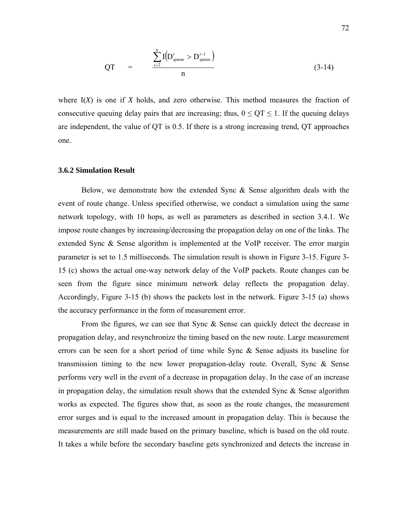$$
QT = \frac{\sum_{i=2}^{n} I(D_{queue}^{i} > D_{queue}^{i-1})}{n}
$$
 (3-14)

where  $I(X)$  is one if  $X$  holds, and zero otherwise. This method measures the fraction of consecutive queuing delay pairs that are increasing; thus,  $0 \leq QT \leq 1$ . If the queuing delays are independent, the value of QT is 0.5. If there is a strong increasing trend, QT approaches one.

#### **3.6.2 Simulation Result**

Below, we demonstrate how the extended Sync & Sense algorithm deals with the event of route change. Unless specified otherwise, we conduct a simulation using the same network topology, with 10 hops, as well as parameters as described in section 3.4.1. We impose route changes by increasing/decreasing the propagation delay on one of the links. The extended Sync & Sense algorithm is implemented at the VoIP receiver. The error margin parameter is set to 1.5 milliseconds. The simulation result is shown in Figure 3-15. Figure 3- 15 (c) shows the actual one-way network delay of the VoIP packets. Route changes can be seen from the figure since minimum network delay reflects the propagation delay. Accordingly, Figure 3-15 (b) shows the packets lost in the network. Figure 3-15 (a) shows the accuracy performance in the form of measurement error.

From the figures, we can see that Sync & Sense can quickly detect the decrease in propagation delay, and resynchronize the timing based on the new route. Large measurement errors can be seen for a short period of time while Sync & Sense adjusts its baseline for transmission timing to the new lower propagation-delay route. Overall, Sync & Sense performs very well in the event of a decrease in propagation delay. In the case of an increase in propagation delay, the simulation result shows that the extended Sync & Sense algorithm works as expected. The figures show that, as soon as the route changes, the measurement error surges and is equal to the increased amount in propagation delay. This is because the measurements are still made based on the primary baseline, which is based on the old route. It takes a while before the secondary baseline gets synchronized and detects the increase in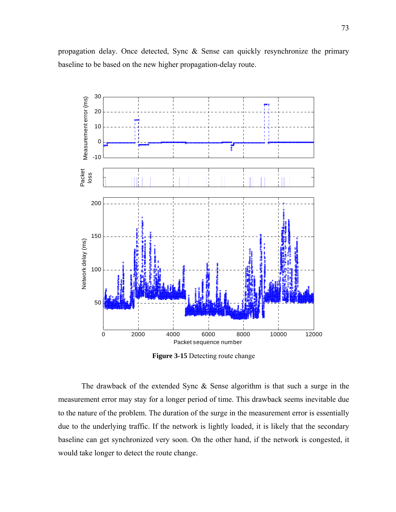propagation delay. Once detected, Sync & Sense can quickly resynchronize the primary baseline to be based on the new higher propagation-delay route.



**Figure 3-15** Detecting route change

The drawback of the extended Sync & Sense algorithm is that such a surge in the measurement error may stay for a longer period of time. This drawback seems inevitable due to the nature of the problem. The duration of the surge in the measurement error is essentially due to the underlying traffic. If the network is lightly loaded, it is likely that the secondary baseline can get synchronized very soon. On the other hand, if the network is congested, it would take longer to detect the route change.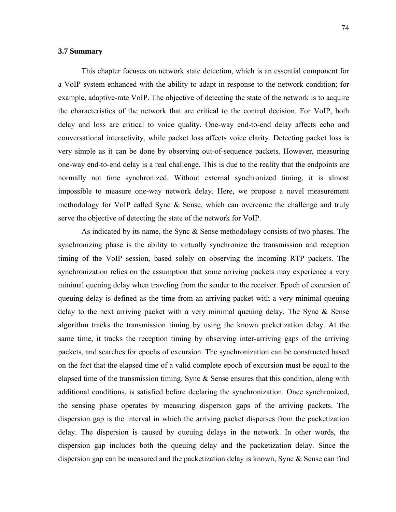# **3.7 Summary**

This chapter focuses on network state detection, which is an essential component for a VoIP system enhanced with the ability to adapt in response to the network condition; for example, adaptive-rate VoIP. The objective of detecting the state of the network is to acquire the characteristics of the network that are critical to the control decision. For VoIP, both delay and loss are critical to voice quality. One-way end-to-end delay affects echo and conversational interactivity, while packet loss affects voice clarity. Detecting packet loss is very simple as it can be done by observing out-of-sequence packets. However, measuring one-way end-to-end delay is a real challenge. This is due to the reality that the endpoints are normally not time synchronized. Without external synchronized timing, it is almost impossible to measure one-way network delay. Here, we propose a novel measurement methodology for VoIP called Sync & Sense, which can overcome the challenge and truly serve the objective of detecting the state of the network for VoIP.

As indicated by its name, the Sync & Sense methodology consists of two phases. The synchronizing phase is the ability to virtually synchronize the transmission and reception timing of the VoIP session, based solely on observing the incoming RTP packets. The synchronization relies on the assumption that some arriving packets may experience a very minimal queuing delay when traveling from the sender to the receiver. Epoch of excursion of queuing delay is defined as the time from an arriving packet with a very minimal queuing delay to the next arriving packet with a very minimal queuing delay. The Sync & Sense algorithm tracks the transmission timing by using the known packetization delay. At the same time, it tracks the reception timing by observing inter-arriving gaps of the arriving packets, and searches for epochs of excursion. The synchronization can be constructed based on the fact that the elapsed time of a valid complete epoch of excursion must be equal to the elapsed time of the transmission timing. Sync & Sense ensures that this condition, along with additional conditions, is satisfied before declaring the synchronization. Once synchronized, the sensing phase operates by measuring dispersion gaps of the arriving packets. The dispersion gap is the interval in which the arriving packet disperses from the packetization delay. The dispersion is caused by queuing delays in the network. In other words, the dispersion gap includes both the queuing delay and the packetization delay. Since the dispersion gap can be measured and the packetization delay is known, Sync & Sense can find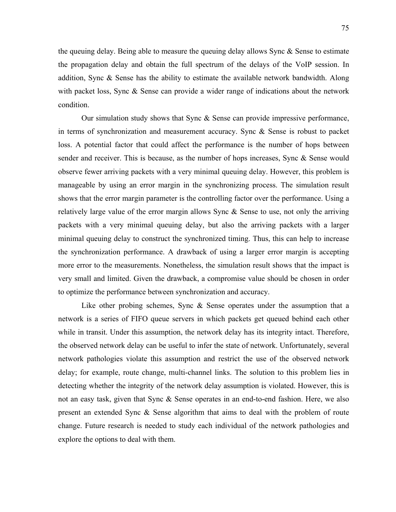the queuing delay. Being able to measure the queuing delay allows Sync  $\&$  Sense to estimate the propagation delay and obtain the full spectrum of the delays of the VoIP session. In addition, Sync & Sense has the ability to estimate the available network bandwidth. Along with packet loss, Sync & Sense can provide a wider range of indications about the network condition.

Our simulation study shows that Sync & Sense can provide impressive performance, in terms of synchronization and measurement accuracy. Sync & Sense is robust to packet loss. A potential factor that could affect the performance is the number of hops between sender and receiver. This is because, as the number of hops increases, Sync & Sense would observe fewer arriving packets with a very minimal queuing delay. However, this problem is manageable by using an error margin in the synchronizing process. The simulation result shows that the error margin parameter is the controlling factor over the performance. Using a relatively large value of the error margin allows Sync & Sense to use, not only the arriving packets with a very minimal queuing delay, but also the arriving packets with a larger minimal queuing delay to construct the synchronized timing. Thus, this can help to increase the synchronization performance. A drawback of using a larger error margin is accepting more error to the measurements. Nonetheless, the simulation result shows that the impact is very small and limited. Given the drawback, a compromise value should be chosen in order to optimize the performance between synchronization and accuracy.

Like other probing schemes, Sync & Sense operates under the assumption that a network is a series of FIFO queue servers in which packets get queued behind each other while in transit. Under this assumption, the network delay has its integrity intact. Therefore, the observed network delay can be useful to infer the state of network. Unfortunately, several network pathologies violate this assumption and restrict the use of the observed network delay; for example, route change, multi-channel links. The solution to this problem lies in detecting whether the integrity of the network delay assumption is violated. However, this is not an easy task, given that Sync & Sense operates in an end-to-end fashion. Here, we also present an extended Sync & Sense algorithm that aims to deal with the problem of route change. Future research is needed to study each individual of the network pathologies and explore the options to deal with them.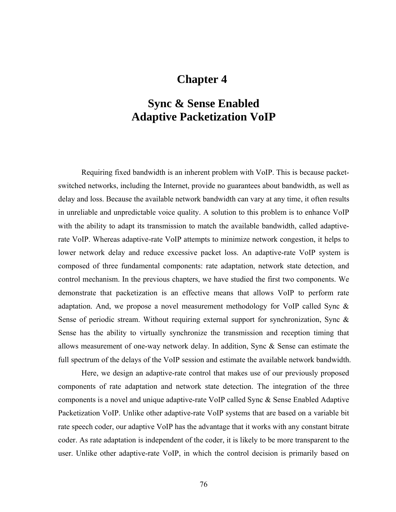# **Chapter 4**

# **Sync & Sense Enabled Adaptive Packetization VoIP**

Requiring fixed bandwidth is an inherent problem with VoIP. This is because packetswitched networks, including the Internet, provide no guarantees about bandwidth, as well as delay and loss. Because the available network bandwidth can vary at any time, it often results in unreliable and unpredictable voice quality. A solution to this problem is to enhance VoIP with the ability to adapt its transmission to match the available bandwidth, called adaptiverate VoIP. Whereas adaptive-rate VoIP attempts to minimize network congestion, it helps to lower network delay and reduce excessive packet loss. An adaptive-rate VoIP system is composed of three fundamental components: rate adaptation, network state detection, and control mechanism. In the previous chapters, we have studied the first two components. We demonstrate that packetization is an effective means that allows VoIP to perform rate adaptation. And, we propose a novel measurement methodology for VoIP called Sync & Sense of periodic stream. Without requiring external support for synchronization, Sync & Sense has the ability to virtually synchronize the transmission and reception timing that allows measurement of one-way network delay. In addition, Sync & Sense can estimate the full spectrum of the delays of the VoIP session and estimate the available network bandwidth.

Here, we design an adaptive-rate control that makes use of our previously proposed components of rate adaptation and network state detection. The integration of the three components is a novel and unique adaptive-rate VoIP called Sync & Sense Enabled Adaptive Packetization VoIP. Unlike other adaptive-rate VoIP systems that are based on a variable bit rate speech coder, our adaptive VoIP has the advantage that it works with any constant bitrate coder. As rate adaptation is independent of the coder, it is likely to be more transparent to the user. Unlike other adaptive-rate VoIP, in which the control decision is primarily based on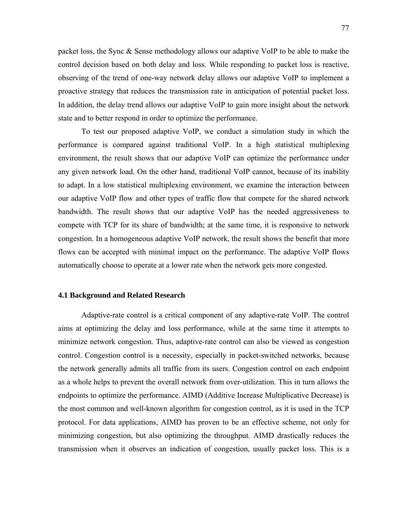packet loss, the Sync & Sense methodology allows our adaptive VoIP to be able to make the control decision based on both delay and loss. While responding to packet loss is reactive, observing of the trend of one-way network delay allows our adaptive VoIP to implement a proactive strategy that reduces the transmission rate in anticipation of potential packet loss. In addition, the delay trend allows our adaptive VoIP to gain more insight about the network state and to better respond in order to optimize the performance.

To test our proposed adaptive VoIP, we conduct a simulation study in which the performance is compared against traditional VoIP. In a high statistical multiplexing environment, the result shows that our adaptive VoIP can optimize the performance under any given network load. On the other hand, traditional VoIP cannot, because of its inability to adapt. In a low statistical multiplexing environment, we examine the interaction between our adaptive VoIP flow and other types of traffic flow that compete for the shared network bandwidth. The result shows that our adaptive VoIP has the needed aggressiveness to compete with TCP for its share of bandwidth; at the same time, it is responsive to network congestion. In a homogeneous adaptive VoIP network, the result shows the benefit that more flows can be accepted with minimal impact on the performance. The adaptive VoIP flows automatically choose to operate at a lower rate when the network gets more congested.

# **4.1 Background and Related Research**

Adaptive-rate control is a critical component of any adaptive-rate VoIP. The control aims at optimizing the delay and loss performance, while at the same time it attempts to minimize network congestion. Thus, adaptive-rate control can also be viewed as congestion control. Congestion control is a necessity, especially in packet-switched networks, because the network generally admits all traffic from its users. Congestion control on each endpoint as a whole helps to prevent the overall network from over-utilization. This in turn allows the endpoints to optimize the performance. AIMD (Additive Increase Multiplicative Decrease) is the most common and well-known algorithm for congestion control, as it is used in the TCP protocol. For data applications, AIMD has proven to be an effective scheme, not only for minimizing congestion, but also optimizing the throughput. AIMD drastically reduces the transmission when it observes an indication of congestion, usually packet loss. This is a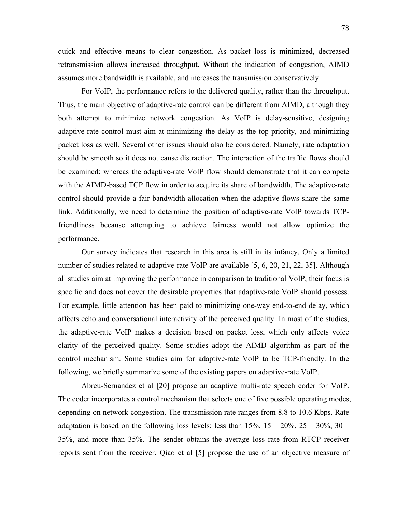quick and effective means to clear congestion. As packet loss is minimized, decreased retransmission allows increased throughput. Without the indication of congestion, AIMD assumes more bandwidth is available, and increases the transmission conservatively.

For VoIP, the performance refers to the delivered quality, rather than the throughput. Thus, the main objective of adaptive-rate control can be different from AIMD, although they both attempt to minimize network congestion. As VoIP is delay-sensitive, designing adaptive-rate control must aim at minimizing the delay as the top priority, and minimizing packet loss as well. Several other issues should also be considered. Namely, rate adaptation should be smooth so it does not cause distraction. The interaction of the traffic flows should be examined; whereas the adaptive-rate VoIP flow should demonstrate that it can compete with the AIMD-based TCP flow in order to acquire its share of bandwidth. The adaptive-rate control should provide a fair bandwidth allocation when the adaptive flows share the same link. Additionally, we need to determine the position of adaptive-rate VoIP towards TCPfriendliness because attempting to achieve fairness would not allow optimize the performance.

Our survey indicates that research in this area is still in its infancy. Only a limited number of studies related to adaptive-rate VoIP are available [5, 6, 20, 21, 22, 35]. Although all studies aim at improving the performance in comparison to traditional VoIP, their focus is specific and does not cover the desirable properties that adaptive-rate VoIP should possess. For example, little attention has been paid to minimizing one-way end-to-end delay, which affects echo and conversational interactivity of the perceived quality. In most of the studies, the adaptive-rate VoIP makes a decision based on packet loss, which only affects voice clarity of the perceived quality. Some studies adopt the AIMD algorithm as part of the control mechanism. Some studies aim for adaptive-rate VoIP to be TCP-friendly. In the following, we briefly summarize some of the existing papers on adaptive-rate VoIP.

Abreu-Sernandez et al [20] propose an adaptive multi-rate speech coder for VoIP. The coder incorporates a control mechanism that selects one of five possible operating modes, depending on network congestion. The transmission rate ranges from 8.8 to 10.6 Kbps. Rate adaptation is based on the following loss levels: less than  $15\%$ ,  $15 - 20\%$ ,  $25 - 30\%$ ,  $30 -$ 35%, and more than 35%. The sender obtains the average loss rate from RTCP receiver reports sent from the receiver. Qiao et al [5] propose the use of an objective measure of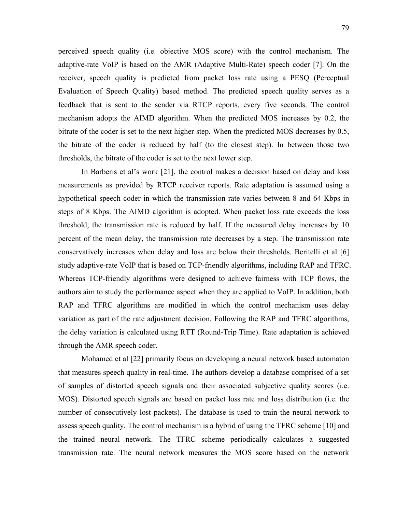perceived speech quality (i.e. objective MOS score) with the control mechanism. The adaptive-rate VoIP is based on the AMR (Adaptive Multi-Rate) speech coder [7]. On the receiver, speech quality is predicted from packet loss rate using a PESQ (Perceptual Evaluation of Speech Quality) based method. The predicted speech quality serves as a feedback that is sent to the sender via RTCP reports, every five seconds. The control mechanism adopts the AIMD algorithm. When the predicted MOS increases by 0.2, the bitrate of the coder is set to the next higher step. When the predicted MOS decreases by 0.5, the bitrate of the coder is reduced by half (to the closest step). In between those two thresholds, the bitrate of the coder is set to the next lower step.

In Barberis et al's work [21], the control makes a decision based on delay and loss measurements as provided by RTCP receiver reports. Rate adaptation is assumed using a hypothetical speech coder in which the transmission rate varies between 8 and 64 Kbps in steps of 8 Kbps. The AIMD algorithm is adopted. When packet loss rate exceeds the loss threshold, the transmission rate is reduced by half. If the measured delay increases by 10 percent of the mean delay, the transmission rate decreases by a step. The transmission rate conservatively increases when delay and loss are below their thresholds. Beritelli et al [6] study adaptive-rate VoIP that is based on TCP-friendly algorithms, including RAP and TFRC. Whereas TCP-friendly algorithms were designed to achieve fairness with TCP flows, the authors aim to study the performance aspect when they are applied to VoIP. In addition, both RAP and TFRC algorithms are modified in which the control mechanism uses delay variation as part of the rate adjustment decision. Following the RAP and TFRC algorithms, the delay variation is calculated using RTT (Round-Trip Time). Rate adaptation is achieved through the AMR speech coder.

Mohamed et al [22] primarily focus on developing a neural network based automaton that measures speech quality in real-time. The authors develop a database comprised of a set of samples of distorted speech signals and their associated subjective quality scores (i.e. MOS). Distorted speech signals are based on packet loss rate and loss distribution (i.e. the number of consecutively lost packets). The database is used to train the neural network to assess speech quality. The control mechanism is a hybrid of using the TFRC scheme [10] and the trained neural network. The TFRC scheme periodically calculates a suggested transmission rate. The neural network measures the MOS score based on the network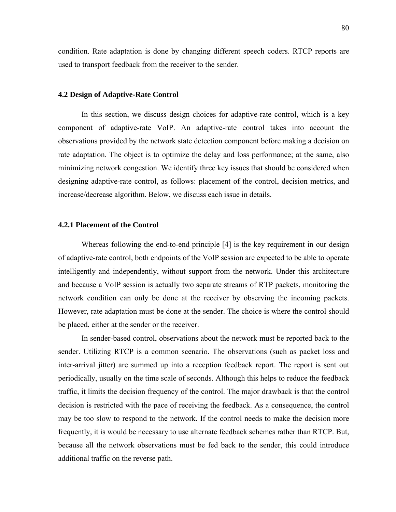condition. Rate adaptation is done by changing different speech coders. RTCP reports are used to transport feedback from the receiver to the sender.

## **4.2 Design of Adaptive-Rate Control**

In this section, we discuss design choices for adaptive-rate control, which is a key component of adaptive-rate VoIP. An adaptive-rate control takes into account the observations provided by the network state detection component before making a decision on rate adaptation. The object is to optimize the delay and loss performance; at the same, also minimizing network congestion. We identify three key issues that should be considered when designing adaptive-rate control, as follows: placement of the control, decision metrics, and increase/decrease algorithm. Below, we discuss each issue in details.

#### **4.2.1 Placement of the Control**

Whereas following the end-to-end principle [4] is the key requirement in our design of adaptive-rate control, both endpoints of the VoIP session are expected to be able to operate intelligently and independently, without support from the network. Under this architecture and because a VoIP session is actually two separate streams of RTP packets, monitoring the network condition can only be done at the receiver by observing the incoming packets. However, rate adaptation must be done at the sender. The choice is where the control should be placed, either at the sender or the receiver.

In sender-based control, observations about the network must be reported back to the sender. Utilizing RTCP is a common scenario. The observations (such as packet loss and inter-arrival jitter) are summed up into a reception feedback report. The report is sent out periodically, usually on the time scale of seconds. Although this helps to reduce the feedback traffic, it limits the decision frequency of the control. The major drawback is that the control decision is restricted with the pace of receiving the feedback. As a consequence, the control may be too slow to respond to the network. If the control needs to make the decision more frequently, it is would be necessary to use alternate feedback schemes rather than RTCP. But, because all the network observations must be fed back to the sender, this could introduce additional traffic on the reverse path.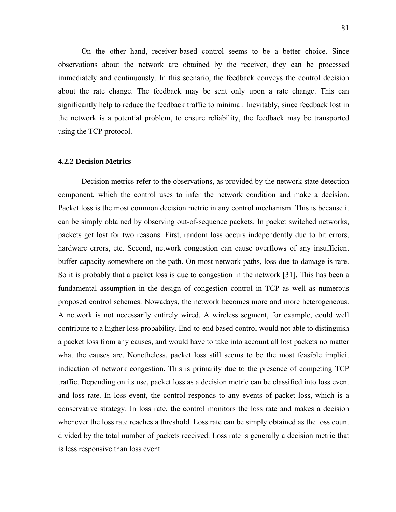On the other hand, receiver-based control seems to be a better choice. Since observations about the network are obtained by the receiver, they can be processed immediately and continuously. In this scenario, the feedback conveys the control decision about the rate change. The feedback may be sent only upon a rate change. This can significantly help to reduce the feedback traffic to minimal. Inevitably, since feedback lost in the network is a potential problem, to ensure reliability, the feedback may be transported using the TCP protocol.

# **4.2.2 Decision Metrics**

Decision metrics refer to the observations, as provided by the network state detection component, which the control uses to infer the network condition and make a decision. Packet loss is the most common decision metric in any control mechanism. This is because it can be simply obtained by observing out-of-sequence packets. In packet switched networks, packets get lost for two reasons. First, random loss occurs independently due to bit errors, hardware errors, etc. Second, network congestion can cause overflows of any insufficient buffer capacity somewhere on the path. On most network paths, loss due to damage is rare. So it is probably that a packet loss is due to congestion in the network [31]. This has been a fundamental assumption in the design of congestion control in TCP as well as numerous proposed control schemes. Nowadays, the network becomes more and more heterogeneous. A network is not necessarily entirely wired. A wireless segment, for example, could well contribute to a higher loss probability. End-to-end based control would not able to distinguish a packet loss from any causes, and would have to take into account all lost packets no matter what the causes are. Nonetheless, packet loss still seems to be the most feasible implicit indication of network congestion. This is primarily due to the presence of competing TCP traffic. Depending on its use, packet loss as a decision metric can be classified into loss event and loss rate. In loss event, the control responds to any events of packet loss, which is a conservative strategy. In loss rate, the control monitors the loss rate and makes a decision whenever the loss rate reaches a threshold. Loss rate can be simply obtained as the loss count divided by the total number of packets received. Loss rate is generally a decision metric that is less responsive than loss event.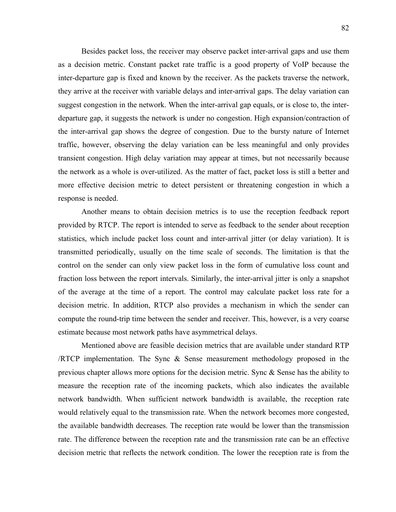Besides packet loss, the receiver may observe packet inter-arrival gaps and use them as a decision metric. Constant packet rate traffic is a good property of VoIP because the inter-departure gap is fixed and known by the receiver. As the packets traverse the network, they arrive at the receiver with variable delays and inter-arrival gaps. The delay variation can suggest congestion in the network. When the inter-arrival gap equals, or is close to, the interdeparture gap, it suggests the network is under no congestion. High expansion/contraction of the inter-arrival gap shows the degree of congestion. Due to the bursty nature of Internet traffic, however, observing the delay variation can be less meaningful and only provides transient congestion. High delay variation may appear at times, but not necessarily because the network as a whole is over-utilized. As the matter of fact, packet loss is still a better and more effective decision metric to detect persistent or threatening congestion in which a response is needed.

Another means to obtain decision metrics is to use the reception feedback report provided by RTCP. The report is intended to serve as feedback to the sender about reception statistics, which include packet loss count and inter-arrival jitter (or delay variation). It is transmitted periodically, usually on the time scale of seconds. The limitation is that the control on the sender can only view packet loss in the form of cumulative loss count and fraction loss between the report intervals. Similarly, the inter-arrival jitter is only a snapshot of the average at the time of a report. The control may calculate packet loss rate for a decision metric. In addition, RTCP also provides a mechanism in which the sender can compute the round-trip time between the sender and receiver. This, however, is a very coarse estimate because most network paths have asymmetrical delays.

Mentioned above are feasible decision metrics that are available under standard RTP /RTCP implementation. The Sync  $\&$  Sense measurement methodology proposed in the previous chapter allows more options for the decision metric. Sync & Sense has the ability to measure the reception rate of the incoming packets, which also indicates the available network bandwidth. When sufficient network bandwidth is available, the reception rate would relatively equal to the transmission rate. When the network becomes more congested, the available bandwidth decreases. The reception rate would be lower than the transmission rate. The difference between the reception rate and the transmission rate can be an effective decision metric that reflects the network condition. The lower the reception rate is from the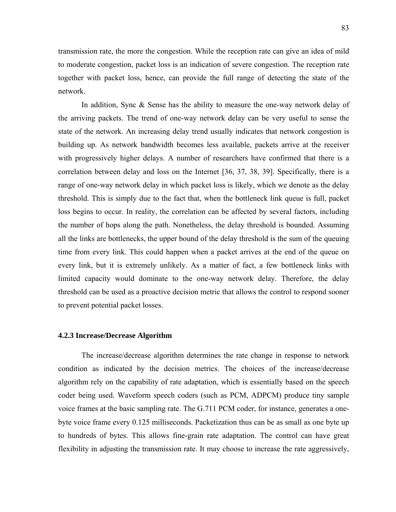transmission rate, the more the congestion. While the reception rate can give an idea of mild to moderate congestion, packet loss is an indication of severe congestion. The reception rate together with packet loss, hence, can provide the full range of detecting the state of the network.

In addition, Sync & Sense has the ability to measure the one-way network delay of the arriving packets. The trend of one-way network delay can be very useful to sense the state of the network. An increasing delay trend usually indicates that network congestion is building up. As network bandwidth becomes less available, packets arrive at the receiver with progressively higher delays. A number of researchers have confirmed that there is a correlation between delay and loss on the Internet [36, 37, 38, 39]. Specifically, there is a range of one-way network delay in which packet loss is likely, which we denote as the delay threshold. This is simply due to the fact that, when the bottleneck link queue is full, packet loss begins to occur. In reality, the correlation can be affected by several factors, including the number of hops along the path. Nonetheless, the delay threshold is bounded. Assuming all the links are bottlenecks, the upper bound of the delay threshold is the sum of the queuing time from every link. This could happen when a packet arrives at the end of the queue on every link, but it is extremely unlikely. As a matter of fact, a few bottleneck links with limited capacity would dominate to the one-way network delay. Therefore, the delay threshold can be used as a proactive decision metric that allows the control to respond sooner to prevent potential packet losses.

# **4.2.3 Increase/Decrease Algorithm**

The increase/decrease algorithm determines the rate change in response to network condition as indicated by the decision metrics. The choices of the increase/decrease algorithm rely on the capability of rate adaptation, which is essentially based on the speech coder being used. Waveform speech coders (such as PCM, ADPCM) produce tiny sample voice frames at the basic sampling rate. The G.711 PCM coder, for instance, generates a onebyte voice frame every 0.125 milliseconds. Packetization thus can be as small as one byte up to hundreds of bytes. This allows fine-grain rate adaptation. The control can have great flexibility in adjusting the transmission rate. It may choose to increase the rate aggressively,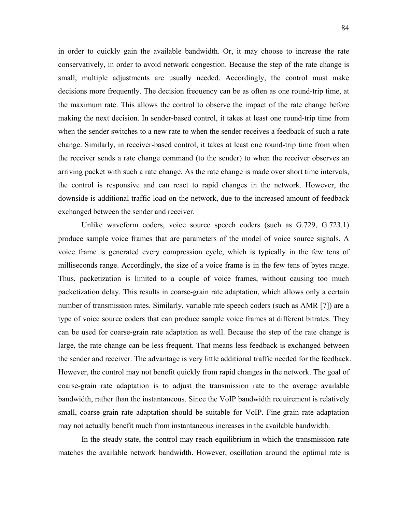in order to quickly gain the available bandwidth. Or, it may choose to increase the rate conservatively, in order to avoid network congestion. Because the step of the rate change is small, multiple adjustments are usually needed. Accordingly, the control must make decisions more frequently. The decision frequency can be as often as one round-trip time, at the maximum rate. This allows the control to observe the impact of the rate change before making the next decision. In sender-based control, it takes at least one round-trip time from when the sender switches to a new rate to when the sender receives a feedback of such a rate change. Similarly, in receiver-based control, it takes at least one round-trip time from when the receiver sends a rate change command (to the sender) to when the receiver observes an arriving packet with such a rate change. As the rate change is made over short time intervals, the control is responsive and can react to rapid changes in the network. However, the downside is additional traffic load on the network, due to the increased amount of feedback exchanged between the sender and receiver.

Unlike waveform coders, voice source speech coders (such as G.729, G.723.1) produce sample voice frames that are parameters of the model of voice source signals. A voice frame is generated every compression cycle, which is typically in the few tens of milliseconds range. Accordingly, the size of a voice frame is in the few tens of bytes range. Thus, packetization is limited to a couple of voice frames, without causing too much packetization delay. This results in coarse-grain rate adaptation, which allows only a certain number of transmission rates. Similarly, variable rate speech coders (such as AMR [7]) are a type of voice source coders that can produce sample voice frames at different bitrates. They can be used for coarse-grain rate adaptation as well. Because the step of the rate change is large, the rate change can be less frequent. That means less feedback is exchanged between the sender and receiver. The advantage is very little additional traffic needed for the feedback. However, the control may not benefit quickly from rapid changes in the network. The goal of coarse-grain rate adaptation is to adjust the transmission rate to the average available bandwidth, rather than the instantaneous. Since the VoIP bandwidth requirement is relatively small, coarse-grain rate adaptation should be suitable for VoIP. Fine-grain rate adaptation may not actually benefit much from instantaneous increases in the available bandwidth.

In the steady state, the control may reach equilibrium in which the transmission rate matches the available network bandwidth. However, oscillation around the optimal rate is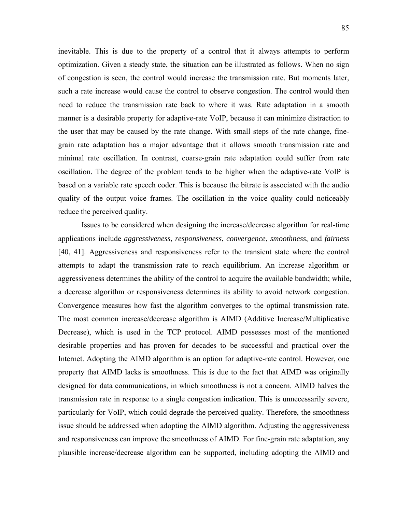inevitable. This is due to the property of a control that it always attempts to perform optimization. Given a steady state, the situation can be illustrated as follows. When no sign of congestion is seen, the control would increase the transmission rate. But moments later, such a rate increase would cause the control to observe congestion. The control would then need to reduce the transmission rate back to where it was. Rate adaptation in a smooth manner is a desirable property for adaptive-rate VoIP, because it can minimize distraction to the user that may be caused by the rate change. With small steps of the rate change, finegrain rate adaptation has a major advantage that it allows smooth transmission rate and minimal rate oscillation. In contrast, coarse-grain rate adaptation could suffer from rate oscillation. The degree of the problem tends to be higher when the adaptive-rate VoIP is based on a variable rate speech coder. This is because the bitrate is associated with the audio quality of the output voice frames. The oscillation in the voice quality could noticeably reduce the perceived quality.

Issues to be considered when designing the increase/decrease algorithm for real-time applications include *aggressiveness*, *responsiveness*, *convergence*, *smoothness*, and *fairness* [40, 41]. Aggressiveness and responsiveness refer to the transient state where the control attempts to adapt the transmission rate to reach equilibrium. An increase algorithm or aggressiveness determines the ability of the control to acquire the available bandwidth; while, a decrease algorithm or responsiveness determines its ability to avoid network congestion. Convergence measures how fast the algorithm converges to the optimal transmission rate. The most common increase/decrease algorithm is AIMD (Additive Increase/Multiplicative Decrease), which is used in the TCP protocol. AIMD possesses most of the mentioned desirable properties and has proven for decades to be successful and practical over the Internet. Adopting the AIMD algorithm is an option for adaptive-rate control. However, one property that AIMD lacks is smoothness. This is due to the fact that AIMD was originally designed for data communications, in which smoothness is not a concern. AIMD halves the transmission rate in response to a single congestion indication. This is unnecessarily severe, particularly for VoIP, which could degrade the perceived quality. Therefore, the smoothness issue should be addressed when adopting the AIMD algorithm. Adjusting the aggressiveness and responsiveness can improve the smoothness of AIMD. For fine-grain rate adaptation, any plausible increase/decrease algorithm can be supported, including adopting the AIMD and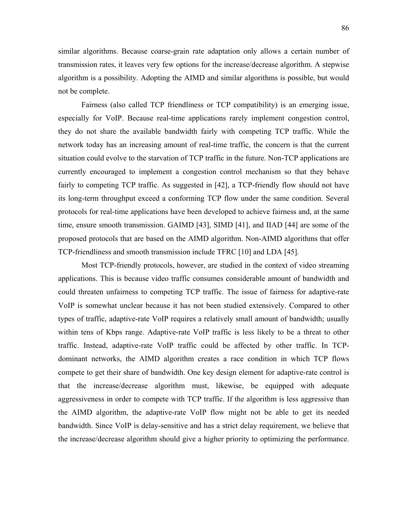86

similar algorithms. Because coarse-grain rate adaptation only allows a certain number of transmission rates, it leaves very few options for the increase/decrease algorithm. A stepwise algorithm is a possibility. Adopting the AIMD and similar algorithms is possible, but would not be complete.

Fairness (also called TCP friendliness or TCP compatibility) is an emerging issue, especially for VoIP. Because real-time applications rarely implement congestion control, they do not share the available bandwidth fairly with competing TCP traffic. While the network today has an increasing amount of real-time traffic, the concern is that the current situation could evolve to the starvation of TCP traffic in the future. Non-TCP applications are currently encouraged to implement a congestion control mechanism so that they behave fairly to competing TCP traffic. As suggested in [42], a TCP-friendly flow should not have its long-term throughput exceed a conforming TCP flow under the same condition. Several protocols for real-time applications have been developed to achieve fairness and, at the same time, ensure smooth transmission. GAIMD [43], SIMD [41], and IIAD [44] are some of the proposed protocols that are based on the AIMD algorithm. Non-AIMD algorithms that offer TCP-friendliness and smooth transmission include TFRC [10] and LDA [45].

Most TCP-friendly protocols, however, are studied in the context of video streaming applications. This is because video traffic consumes considerable amount of bandwidth and could threaten unfairness to competing TCP traffic. The issue of fairness for adaptive-rate VoIP is somewhat unclear because it has not been studied extensively. Compared to other types of traffic, adaptive-rate VoIP requires a relatively small amount of bandwidth; usually within tens of Kbps range. Adaptive-rate VoIP traffic is less likely to be a threat to other traffic. Instead, adaptive-rate VoIP traffic could be affected by other traffic. In TCPdominant networks, the AIMD algorithm creates a race condition in which TCP flows compete to get their share of bandwidth. One key design element for adaptive-rate control is that the increase/decrease algorithm must, likewise, be equipped with adequate aggressiveness in order to compete with TCP traffic. If the algorithm is less aggressive than the AIMD algorithm, the adaptive-rate VoIP flow might not be able to get its needed bandwidth. Since VoIP is delay-sensitive and has a strict delay requirement, we believe that the increase/decrease algorithm should give a higher priority to optimizing the performance.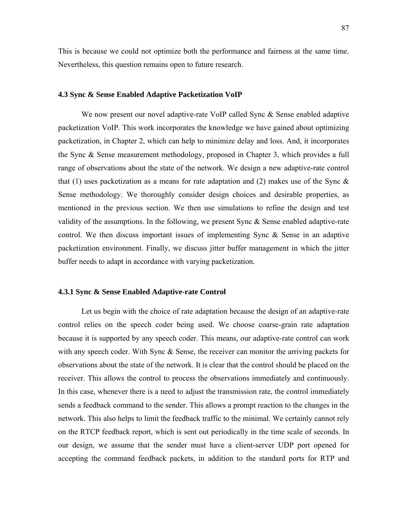This is because we could not optimize both the performance and fairness at the same time. Nevertheless, this question remains open to future research.

#### **4.3 Sync & Sense Enabled Adaptive Packetization VoIP**

We now present our novel adaptive-rate VoIP called Sync & Sense enabled adaptive packetization VoIP. This work incorporates the knowledge we have gained about optimizing packetization, in Chapter 2, which can help to minimize delay and loss. And, it incorporates the Sync & Sense measurement methodology, proposed in Chapter 3, which provides a full range of observations about the state of the network. We design a new adaptive-rate control that (1) uses packetization as a means for rate adaptation and (2) makes use of the Sync  $\&$ Sense methodology. We thoroughly consider design choices and desirable properties, as mentioned in the previous section. We then use simulations to refine the design and test validity of the assumptions. In the following, we present Sync  $\&$  Sense enabled adaptive-rate control. We then discuss important issues of implementing Sync & Sense in an adaptive packetization environment. Finally, we discuss jitter buffer management in which the jitter buffer needs to adapt in accordance with varying packetization.

# **4.3.1 Sync & Sense Enabled Adaptive-rate Control**

Let us begin with the choice of rate adaptation because the design of an adaptive-rate control relies on the speech coder being used. We choose coarse-grain rate adaptation because it is supported by any speech coder. This means, our adaptive-rate control can work with any speech coder. With Sync & Sense, the receiver can monitor the arriving packets for observations about the state of the network. It is clear that the control should be placed on the receiver. This allows the control to process the observations immediately and continuously. In this case, whenever there is a need to adjust the transmission rate, the control immediately sends a feedback command to the sender. This allows a prompt reaction to the changes in the network. This also helps to limit the feedback traffic to the minimal. We certainly cannot rely on the RTCP feedback report, which is sent out periodically in the time scale of seconds. In our design, we assume that the sender must have a client-server UDP port opened for accepting the command feedback packets, in addition to the standard ports for RTP and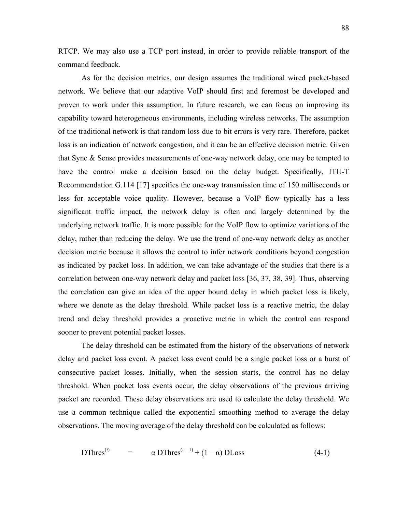RTCP. We may also use a TCP port instead, in order to provide reliable transport of the command feedback.

As for the decision metrics, our design assumes the traditional wired packet-based network. We believe that our adaptive VoIP should first and foremost be developed and proven to work under this assumption. In future research, we can focus on improving its capability toward heterogeneous environments, including wireless networks. The assumption of the traditional network is that random loss due to bit errors is very rare. Therefore, packet loss is an indication of network congestion, and it can be an effective decision metric. Given that Sync & Sense provides measurements of one-way network delay, one may be tempted to have the control make a decision based on the delay budget. Specifically, ITU-T Recommendation G.114 [17] specifies the one-way transmission time of 150 milliseconds or less for acceptable voice quality. However, because a VoIP flow typically has a less significant traffic impact, the network delay is often and largely determined by the underlying network traffic. It is more possible for the VoIP flow to optimize variations of the delay, rather than reducing the delay. We use the trend of one-way network delay as another decision metric because it allows the control to infer network conditions beyond congestion as indicated by packet loss. In addition, we can take advantage of the studies that there is a correlation between one-way network delay and packet loss [36, 37, 38, 39]. Thus, observing the correlation can give an idea of the upper bound delay in which packet loss is likely, where we denote as the delay threshold. While packet loss is a reactive metric, the delay trend and delay threshold provides a proactive metric in which the control can respond sooner to prevent potential packet losses.

The delay threshold can be estimated from the history of the observations of network delay and packet loss event. A packet loss event could be a single packet loss or a burst of consecutive packet losses. Initially, when the session starts, the control has no delay threshold. When packet loss events occur, the delay observations of the previous arriving packet are recorded. These delay observations are used to calculate the delay threshold. We use a common technique called the exponential smoothing method to average the delay observations. The moving average of the delay threshold can be calculated as follows:

$$
DThres(i) = \alpha DThres(i-1) + (1 - \alpha) DLoss
$$
 (4-1)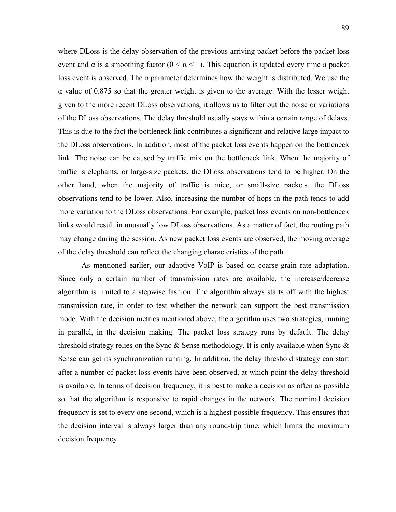where DLoss is the delay observation of the previous arriving packet before the packet loss event and  $\alpha$  is a smoothing factor  $(0 \le \alpha \le 1)$ . This equation is updated every time a packet loss event is observed. The α parameter determines how the weight is distributed. We use the α value of 0.875 so that the greater weight is given to the average. With the lesser weight given to the more recent DLoss observations, it allows us to filter out the noise or variations of the DLoss observations. The delay threshold usually stays within a certain range of delays. This is due to the fact the bottleneck link contributes a significant and relative large impact to the DLoss observations. In addition, most of the packet loss events happen on the bottleneck link. The noise can be caused by traffic mix on the bottleneck link. When the majority of traffic is elephants, or large-size packets, the DLoss observations tend to be higher. On the other hand, when the majority of traffic is mice, or small-size packets, the DLoss observations tend to be lower. Also, increasing the number of hops in the path tends to add more variation to the DLoss observations. For example, packet loss events on non-bottleneck links would result in unusually low DLoss observations. As a matter of fact, the routing path may change during the session. As new packet loss events are observed, the moving average of the delay threshold can reflect the changing characteristics of the path.

As mentioned earlier, our adaptive VoIP is based on coarse-grain rate adaptation. Since only a certain number of transmission rates are available, the increase/decrease algorithm is limited to a stepwise fashion. The algorithm always starts off with the highest transmission rate, in order to test whether the network can support the best transmission mode. With the decision metrics mentioned above, the algorithm uses two strategies, running in parallel, in the decision making. The packet loss strategy runs by default. The delay threshold strategy relies on the Sync  $\&$  Sense methodology. It is only available when Sync  $\&$ Sense can get its synchronization running. In addition, the delay threshold strategy can start after a number of packet loss events have been observed, at which point the delay threshold is available. In terms of decision frequency, it is best to make a decision as often as possible so that the algorithm is responsive to rapid changes in the network. The nominal decision frequency is set to every one second, which is a highest possible frequency. This ensures that the decision interval is always larger than any round-trip time, which limits the maximum decision frequency.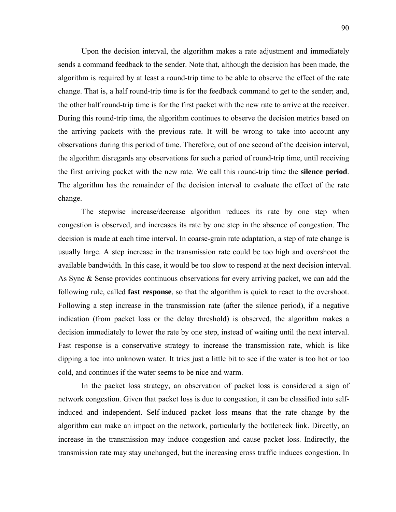Upon the decision interval, the algorithm makes a rate adjustment and immediately sends a command feedback to the sender. Note that, although the decision has been made, the algorithm is required by at least a round-trip time to be able to observe the effect of the rate change. That is, a half round-trip time is for the feedback command to get to the sender; and, the other half round-trip time is for the first packet with the new rate to arrive at the receiver. During this round-trip time, the algorithm continues to observe the decision metrics based on the arriving packets with the previous rate. It will be wrong to take into account any observations during this period of time. Therefore, out of one second of the decision interval, the algorithm disregards any observations for such a period of round-trip time, until receiving the first arriving packet with the new rate. We call this round-trip time the **silence period**. The algorithm has the remainder of the decision interval to evaluate the effect of the rate change.

The stepwise increase/decrease algorithm reduces its rate by one step when congestion is observed, and increases its rate by one step in the absence of congestion. The decision is made at each time interval. In coarse-grain rate adaptation, a step of rate change is usually large. A step increase in the transmission rate could be too high and overshoot the available bandwidth. In this case, it would be too slow to respond at the next decision interval. As Sync & Sense provides continuous observations for every arriving packet, we can add the following rule, called **fast response**, so that the algorithm is quick to react to the overshoot. Following a step increase in the transmission rate (after the silence period), if a negative indication (from packet loss or the delay threshold) is observed, the algorithm makes a decision immediately to lower the rate by one step, instead of waiting until the next interval. Fast response is a conservative strategy to increase the transmission rate, which is like dipping a toe into unknown water. It tries just a little bit to see if the water is too hot or too cold, and continues if the water seems to be nice and warm.

In the packet loss strategy, an observation of packet loss is considered a sign of network congestion. Given that packet loss is due to congestion, it can be classified into selfinduced and independent. Self-induced packet loss means that the rate change by the algorithm can make an impact on the network, particularly the bottleneck link. Directly, an increase in the transmission may induce congestion and cause packet loss. Indirectly, the transmission rate may stay unchanged, but the increasing cross traffic induces congestion. In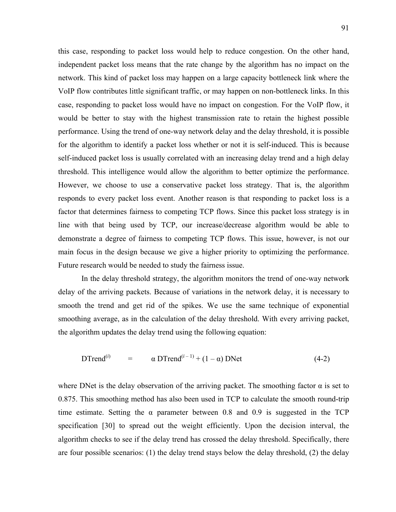this case, responding to packet loss would help to reduce congestion. On the other hand, independent packet loss means that the rate change by the algorithm has no impact on the network. This kind of packet loss may happen on a large capacity bottleneck link where the VoIP flow contributes little significant traffic, or may happen on non-bottleneck links. In this case, responding to packet loss would have no impact on congestion. For the VoIP flow, it would be better to stay with the highest transmission rate to retain the highest possible performance. Using the trend of one-way network delay and the delay threshold, it is possible for the algorithm to identify a packet loss whether or not it is self-induced. This is because self-induced packet loss is usually correlated with an increasing delay trend and a high delay threshold. This intelligence would allow the algorithm to better optimize the performance. However, we choose to use a conservative packet loss strategy. That is, the algorithm responds to every packet loss event. Another reason is that responding to packet loss is a factor that determines fairness to competing TCP flows. Since this packet loss strategy is in line with that being used by TCP, our increase/decrease algorithm would be able to demonstrate a degree of fairness to competing TCP flows. This issue, however, is not our main focus in the design because we give a higher priority to optimizing the performance. Future research would be needed to study the fairness issue.

In the delay threshold strategy, the algorithm monitors the trend of one-way network delay of the arriving packets. Because of variations in the network delay, it is necessary to smooth the trend and get rid of the spikes. We use the same technique of exponential smoothing average, as in the calculation of the delay threshold. With every arriving packet, the algorithm updates the delay trend using the following equation:

$$
DTrend^{(i)} = \alpha DTrend^{(i-1)} + (1 - \alpha) DNet \qquad (4-2)
$$

where DNet is the delay observation of the arriving packet. The smoothing factor  $\alpha$  is set to 0.875. This smoothing method has also been used in TCP to calculate the smooth round-trip time estimate. Setting the  $\alpha$  parameter between 0.8 and 0.9 is suggested in the TCP specification [30] to spread out the weight efficiently. Upon the decision interval, the algorithm checks to see if the delay trend has crossed the delay threshold. Specifically, there are four possible scenarios: (1) the delay trend stays below the delay threshold, (2) the delay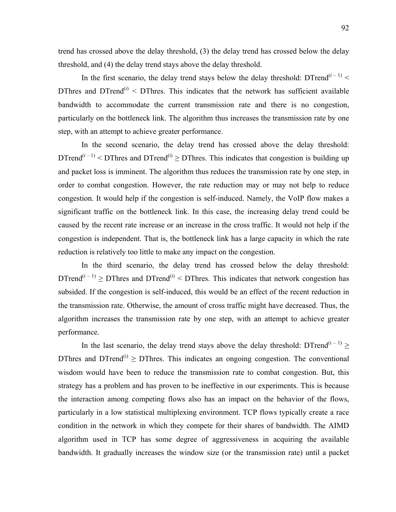trend has crossed above the delay threshold, (3) the delay trend has crossed below the delay threshold, and (4) the delay trend stays above the delay threshold.

In the first scenario, the delay trend stays below the delay threshold:  $DTrend^{(i-1)} <$ DThres and DTrend<sup> $(i)$ </sup> < DThres. This indicates that the network has sufficient available bandwidth to accommodate the current transmission rate and there is no congestion, particularly on the bottleneck link. The algorithm thus increases the transmission rate by one step, with an attempt to achieve greater performance.

In the second scenario, the delay trend has crossed above the delay threshold: DTrend<sup>(*i*-1)</sup> < DThres and DTrend<sup>(*i*)</sup>  $\geq$  DThres. This indicates that congestion is building up and packet loss is imminent. The algorithm thus reduces the transmission rate by one step, in order to combat congestion. However, the rate reduction may or may not help to reduce congestion. It would help if the congestion is self-induced. Namely, the VoIP flow makes a significant traffic on the bottleneck link. In this case, the increasing delay trend could be caused by the recent rate increase or an increase in the cross traffic. It would not help if the congestion is independent. That is, the bottleneck link has a large capacity in which the rate reduction is relatively too little to make any impact on the congestion.

In the third scenario, the delay trend has crossed below the delay threshold:  $DTrend^{(i-1)} \geq DThres$  and  $DTrend^{(i)} \leq DThres$ . This indicates that network congestion has subsided. If the congestion is self-induced, this would be an effect of the recent reduction in the transmission rate. Otherwise, the amount of cross traffic might have decreased. Thus, the algorithm increases the transmission rate by one step, with an attempt to achieve greater performance.

In the last scenario, the delay trend stays above the delay threshold: DTrend<sup>(i-1)</sup> > DThres and DTrend<sup>(i)</sup>  $\geq$  DThres. This indicates an ongoing congestion. The conventional wisdom would have been to reduce the transmission rate to combat congestion. But, this strategy has a problem and has proven to be ineffective in our experiments. This is because the interaction among competing flows also has an impact on the behavior of the flows, particularly in a low statistical multiplexing environment. TCP flows typically create a race condition in the network in which they compete for their shares of bandwidth. The AIMD algorithm used in TCP has some degree of aggressiveness in acquiring the available bandwidth. It gradually increases the window size (or the transmission rate) until a packet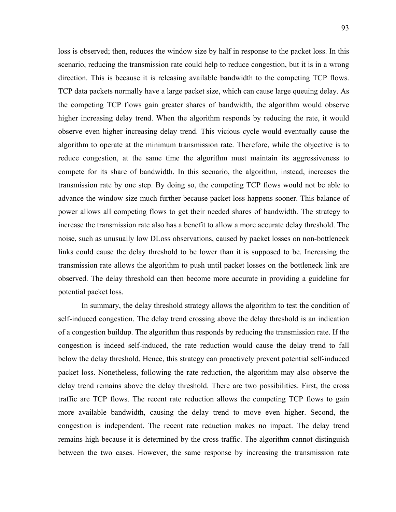loss is observed; then, reduces the window size by half in response to the packet loss. In this scenario, reducing the transmission rate could help to reduce congestion, but it is in a wrong direction. This is because it is releasing available bandwidth to the competing TCP flows. TCP data packets normally have a large packet size, which can cause large queuing delay. As the competing TCP flows gain greater shares of bandwidth, the algorithm would observe higher increasing delay trend. When the algorithm responds by reducing the rate, it would observe even higher increasing delay trend. This vicious cycle would eventually cause the algorithm to operate at the minimum transmission rate. Therefore, while the objective is to reduce congestion, at the same time the algorithm must maintain its aggressiveness to compete for its share of bandwidth. In this scenario, the algorithm, instead, increases the transmission rate by one step. By doing so, the competing TCP flows would not be able to advance the window size much further because packet loss happens sooner. This balance of power allows all competing flows to get their needed shares of bandwidth. The strategy to increase the transmission rate also has a benefit to allow a more accurate delay threshold. The noise, such as unusually low DLoss observations, caused by packet losses on non-bottleneck links could cause the delay threshold to be lower than it is supposed to be. Increasing the transmission rate allows the algorithm to push until packet losses on the bottleneck link are observed. The delay threshold can then become more accurate in providing a guideline for potential packet loss.

In summary, the delay threshold strategy allows the algorithm to test the condition of self-induced congestion. The delay trend crossing above the delay threshold is an indication of a congestion buildup. The algorithm thus responds by reducing the transmission rate. If the congestion is indeed self-induced, the rate reduction would cause the delay trend to fall below the delay threshold. Hence, this strategy can proactively prevent potential self-induced packet loss. Nonetheless, following the rate reduction, the algorithm may also observe the delay trend remains above the delay threshold. There are two possibilities. First, the cross traffic are TCP flows. The recent rate reduction allows the competing TCP flows to gain more available bandwidth, causing the delay trend to move even higher. Second, the congestion is independent. The recent rate reduction makes no impact. The delay trend remains high because it is determined by the cross traffic. The algorithm cannot distinguish between the two cases. However, the same response by increasing the transmission rate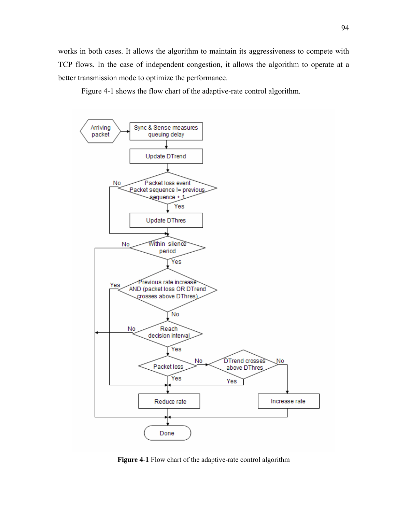works in both cases. It allows the algorithm to maintain its aggressiveness to compete with TCP flows. In the case of independent congestion, it allows the algorithm to operate at a better transmission mode to optimize the performance.

Figure 4-1 shows the flow chart of the adaptive-rate control algorithm.



**Figure 4-1** Flow chart of the adaptive-rate control algorithm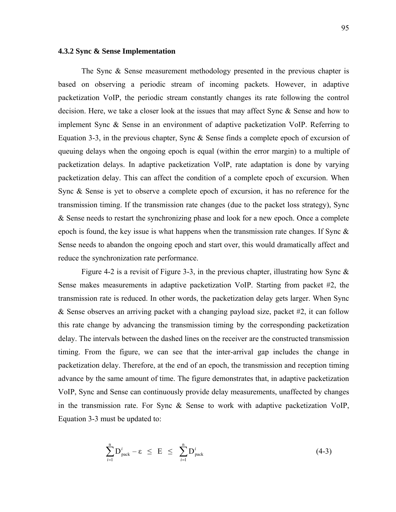# **4.3.2 Sync & Sense Implementation**

The Sync & Sense measurement methodology presented in the previous chapter is based on observing a periodic stream of incoming packets. However, in adaptive packetization VoIP, the periodic stream constantly changes its rate following the control decision. Here, we take a closer look at the issues that may affect Sync & Sense and how to implement Sync & Sense in an environment of adaptive packetization VoIP. Referring to Equation 3-3, in the previous chapter, Sync & Sense finds a complete epoch of excursion of queuing delays when the ongoing epoch is equal (within the error margin) to a multiple of packetization delays. In adaptive packetization VoIP, rate adaptation is done by varying packetization delay. This can affect the condition of a complete epoch of excursion. When Sync & Sense is yet to observe a complete epoch of excursion, it has no reference for the transmission timing. If the transmission rate changes (due to the packet loss strategy), Sync & Sense needs to restart the synchronizing phase and look for a new epoch. Once a complete epoch is found, the key issue is what happens when the transmission rate changes. If Sync  $\&$ Sense needs to abandon the ongoing epoch and start over, this would dramatically affect and reduce the synchronization rate performance.

Figure 4-2 is a revisit of Figure 3-3, in the previous chapter, illustrating how Sync  $\&$ Sense makes measurements in adaptive packetization VoIP. Starting from packet #2, the transmission rate is reduced. In other words, the packetization delay gets larger. When Sync & Sense observes an arriving packet with a changing payload size, packet #2, it can follow this rate change by advancing the transmission timing by the corresponding packetization delay. The intervals between the dashed lines on the receiver are the constructed transmission timing. From the figure, we can see that the inter-arrival gap includes the change in packetization delay. Therefore, at the end of an epoch, the transmission and reception timing advance by the same amount of time. The figure demonstrates that, in adaptive packetization VoIP, Sync and Sense can continuously provide delay measurements, unaffected by changes in the transmission rate. For Sync & Sense to work with adaptive packetization VoIP, Equation 3-3 must be updated to:

$$
\sum_{i=1}^{n} D_{pack}^{i} - \varepsilon \leq E \leq \sum_{i=1}^{n} D_{pack}^{i}
$$
 (4-3)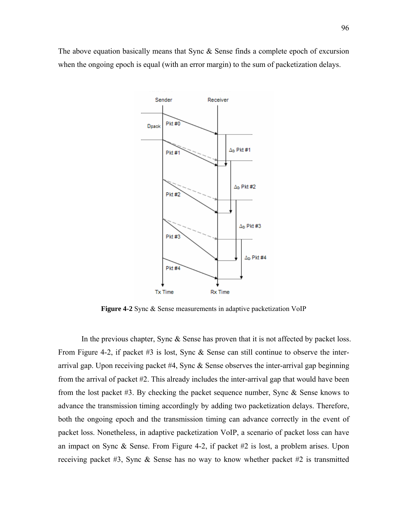The above equation basically means that Sync  $\&$  Sense finds a complete epoch of excursion when the ongoing epoch is equal (with an error margin) to the sum of packetization delays.



**Figure 4-2** Sync & Sense measurements in adaptive packetization VoIP

In the previous chapter, Sync  $\&$  Sense has proven that it is not affected by packet loss. From Figure 4-2, if packet #3 is lost, Sync & Sense can still continue to observe the interarrival gap. Upon receiving packet #4, Sync & Sense observes the inter-arrival gap beginning from the arrival of packet #2. This already includes the inter-arrival gap that would have been from the lost packet #3. By checking the packet sequence number, Sync & Sense knows to advance the transmission timing accordingly by adding two packetization delays. Therefore, both the ongoing epoch and the transmission timing can advance correctly in the event of packet loss. Nonetheless, in adaptive packetization VoIP, a scenario of packet loss can have an impact on Sync & Sense. From Figure 4-2, if packet #2 is lost, a problem arises. Upon receiving packet #3, Sync & Sense has no way to know whether packet #2 is transmitted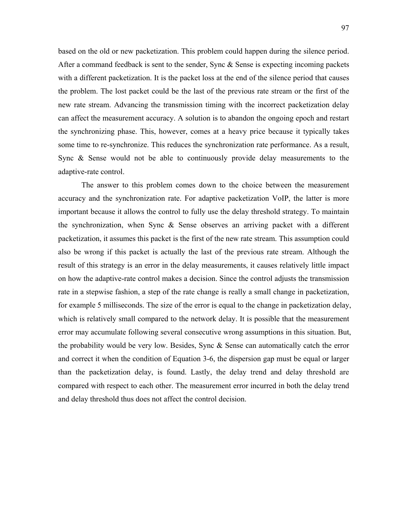based on the old or new packetization. This problem could happen during the silence period. After a command feedback is sent to the sender, Sync  $\&$  Sense is expecting incoming packets with a different packetization. It is the packet loss at the end of the silence period that causes the problem. The lost packet could be the last of the previous rate stream or the first of the new rate stream. Advancing the transmission timing with the incorrect packetization delay can affect the measurement accuracy. A solution is to abandon the ongoing epoch and restart the synchronizing phase. This, however, comes at a heavy price because it typically takes some time to re-synchronize. This reduces the synchronization rate performance. As a result, Sync & Sense would not be able to continuously provide delay measurements to the adaptive-rate control.

The answer to this problem comes down to the choice between the measurement accuracy and the synchronization rate. For adaptive packetization VoIP, the latter is more important because it allows the control to fully use the delay threshold strategy. To maintain the synchronization, when Sync  $\&$  Sense observes an arriving packet with a different packetization, it assumes this packet is the first of the new rate stream. This assumption could also be wrong if this packet is actually the last of the previous rate stream. Although the result of this strategy is an error in the delay measurements, it causes relatively little impact on how the adaptive-rate control makes a decision. Since the control adjusts the transmission rate in a stepwise fashion, a step of the rate change is really a small change in packetization, for example 5 milliseconds. The size of the error is equal to the change in packetization delay, which is relatively small compared to the network delay. It is possible that the measurement error may accumulate following several consecutive wrong assumptions in this situation. But, the probability would be very low. Besides, Sync & Sense can automatically catch the error and correct it when the condition of Equation 3-6, the dispersion gap must be equal or larger than the packetization delay, is found. Lastly, the delay trend and delay threshold are compared with respect to each other. The measurement error incurred in both the delay trend and delay threshold thus does not affect the control decision.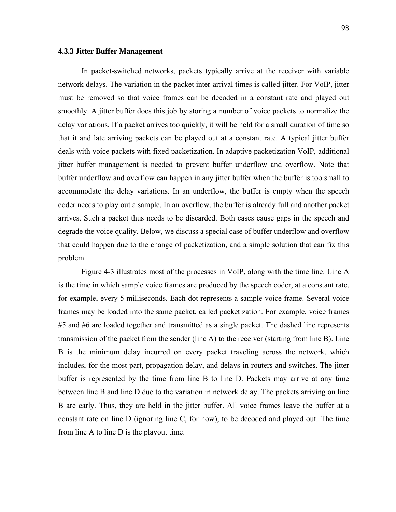#### **4.3.3 Jitter Buffer Management**

In packet-switched networks, packets typically arrive at the receiver with variable network delays. The variation in the packet inter-arrival times is called jitter. For VoIP, jitter must be removed so that voice frames can be decoded in a constant rate and played out smoothly. A jitter buffer does this job by storing a number of voice packets to normalize the delay variations. If a packet arrives too quickly, it will be held for a small duration of time so that it and late arriving packets can be played out at a constant rate. A typical jitter buffer deals with voice packets with fixed packetization. In adaptive packetization VoIP, additional jitter buffer management is needed to prevent buffer underflow and overflow. Note that buffer underflow and overflow can happen in any jitter buffer when the buffer is too small to accommodate the delay variations. In an underflow, the buffer is empty when the speech coder needs to play out a sample. In an overflow, the buffer is already full and another packet arrives. Such a packet thus needs to be discarded. Both cases cause gaps in the speech and degrade the voice quality. Below, we discuss a special case of buffer underflow and overflow that could happen due to the change of packetization, and a simple solution that can fix this problem.

Figure 4-3 illustrates most of the processes in VoIP, along with the time line. Line A is the time in which sample voice frames are produced by the speech coder, at a constant rate, for example, every 5 milliseconds. Each dot represents a sample voice frame. Several voice frames may be loaded into the same packet, called packetization. For example, voice frames #5 and #6 are loaded together and transmitted as a single packet. The dashed line represents transmission of the packet from the sender (line A) to the receiver (starting from line B). Line B is the minimum delay incurred on every packet traveling across the network, which includes, for the most part, propagation delay, and delays in routers and switches. The jitter buffer is represented by the time from line B to line D. Packets may arrive at any time between line B and line D due to the variation in network delay. The packets arriving on line B are early. Thus, they are held in the jitter buffer. All voice frames leave the buffer at a constant rate on line D (ignoring line C, for now), to be decoded and played out. The time from line A to line D is the playout time.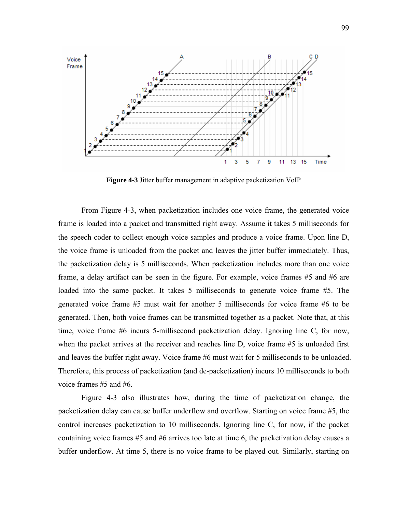

**Figure 4-3** Jitter buffer management in adaptive packetization VoIP

From Figure 4-3, when packetization includes one voice frame, the generated voice frame is loaded into a packet and transmitted right away. Assume it takes 5 milliseconds for the speech coder to collect enough voice samples and produce a voice frame. Upon line D, the voice frame is unloaded from the packet and leaves the jitter buffer immediately. Thus, the packetization delay is 5 milliseconds. When packetization includes more than one voice frame, a delay artifact can be seen in the figure. For example, voice frames #5 and #6 are loaded into the same packet. It takes 5 milliseconds to generate voice frame #5. The generated voice frame #5 must wait for another 5 milliseconds for voice frame #6 to be generated. Then, both voice frames can be transmitted together as a packet. Note that, at this time, voice frame #6 incurs 5-millisecond packetization delay. Ignoring line C, for now, when the packet arrives at the receiver and reaches line D, voice frame #5 is unloaded first and leaves the buffer right away. Voice frame #6 must wait for 5 milliseconds to be unloaded. Therefore, this process of packetization (and de-packetization) incurs 10 milliseconds to both voice frames #5 and #6.

Figure 4-3 also illustrates how, during the time of packetization change, the packetization delay can cause buffer underflow and overflow. Starting on voice frame #5, the control increases packetization to 10 milliseconds. Ignoring line C, for now, if the packet containing voice frames #5 and #6 arrives too late at time 6, the packetization delay causes a buffer underflow. At time 5, there is no voice frame to be played out. Similarly, starting on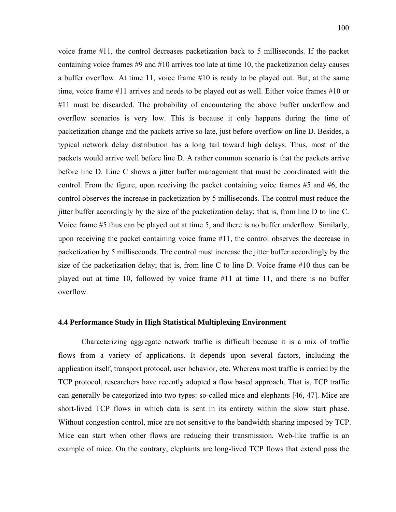voice frame #11, the control decreases packetization back to 5 milliseconds. If the packet containing voice frames #9 and #10 arrives too late at time 10, the packetization delay causes a buffer overflow. At time 11, voice frame #10 is ready to be played out. But, at the same time, voice frame #11 arrives and needs to be played out as well. Either voice frames #10 or #11 must be discarded. The probability of encountering the above buffer underflow and overflow scenarios is very low. This is because it only happens during the time of packetization change and the packets arrive so late, just before overflow on line D. Besides, a typical network delay distribution has a long tail toward high delays. Thus, most of the packets would arrive well before line D. A rather common scenario is that the packets arrive before line D. Line C shows a jitter buffer management that must be coordinated with the control. From the figure, upon receiving the packet containing voice frames #5 and #6, the control observes the increase in packetization by 5 milliseconds. The control must reduce the jitter buffer accordingly by the size of the packetization delay; that is, from line D to line C. Voice frame #5 thus can be played out at time 5, and there is no buffer underflow. Similarly, upon receiving the packet containing voice frame #11, the control observes the decrease in packetization by 5 milliseconds. The control must increase the jitter buffer accordingly by the size of the packetization delay; that is, from line C to line D. Voice frame #10 thus can be played out at time 10, followed by voice frame #11 at time 11, and there is no buffer overflow.

#### **4.4 Performance Study in High Statistical Multiplexing Environment**

Characterizing aggregate network traffic is difficult because it is a mix of traffic flows from a variety of applications. It depends upon several factors, including the application itself, transport protocol, user behavior, etc. Whereas most traffic is carried by the TCP protocol, researchers have recently adopted a flow based approach. That is, TCP traffic can generally be categorized into two types: so-called mice and elephants [46, 47]. Mice are short-lived TCP flows in which data is sent in its entirety within the slow start phase. Without congestion control, mice are not sensitive to the bandwidth sharing imposed by TCP. Mice can start when other flows are reducing their transmission. Web-like traffic is an example of mice. On the contrary, elephants are long-lived TCP flows that extend pass the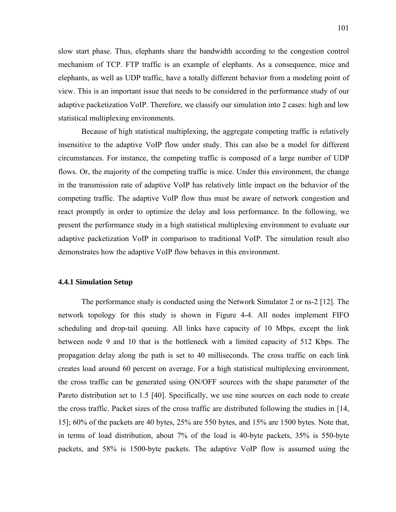slow start phase. Thus, elephants share the bandwidth according to the congestion control mechanism of TCP. FTP traffic is an example of elephants. As a consequence, mice and elephants, as well as UDP traffic, have a totally different behavior from a modeling point of view. This is an important issue that needs to be considered in the performance study of our adaptive packetization VoIP. Therefore, we classify our simulation into 2 cases: high and low statistical multiplexing environments.

Because of high statistical multiplexing, the aggregate competing traffic is relatively insensitive to the adaptive VoIP flow under study. This can also be a model for different circumstances. For instance, the competing traffic is composed of a large number of UDP flows. Or, the majority of the competing traffic is mice. Under this environment, the change in the transmission rate of adaptive VoIP has relatively little impact on the behavior of the competing traffic. The adaptive VoIP flow thus must be aware of network congestion and react promptly in order to optimize the delay and loss performance. In the following, we present the performance study in a high statistical multiplexing environment to evaluate our adaptive packetization VoIP in comparison to traditional VoIP. The simulation result also demonstrates how the adaptive VoIP flow behaves in this environment.

#### **4.4.1 Simulation Setup**

The performance study is conducted using the Network Simulator 2 or ns-2 [12]. The network topology for this study is shown in Figure 4-4. All nodes implement FIFO scheduling and drop-tail queuing. All links have capacity of 10 Mbps, except the link between node 9 and 10 that is the bottleneck with a limited capacity of 512 Kbps. The propagation delay along the path is set to 40 milliseconds. The cross traffic on each link creates load around 60 percent on average. For a high statistical multiplexing environment, the cross traffic can be generated using ON/OFF sources with the shape parameter of the Pareto distribution set to 1.5 [40]. Specifically, we use nine sources on each node to create the cross traffic. Packet sizes of the cross traffic are distributed following the studies in [14, 15]; 60% of the packets are 40 bytes, 25% are 550 bytes, and 15% are 1500 bytes. Note that, in terms of load distribution, about 7% of the load is 40-byte packets, 35% is 550-byte packets, and 58% is 1500-byte packets. The adaptive VoIP flow is assumed using the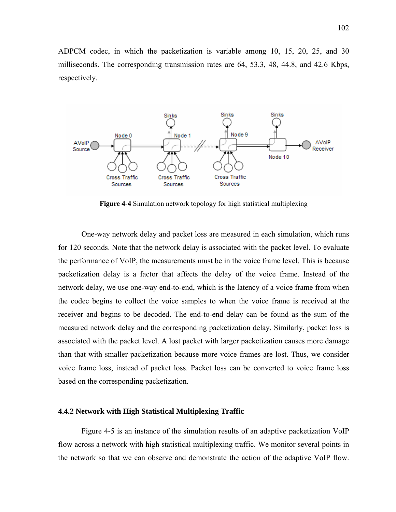ADPCM codec, in which the packetization is variable among 10, 15, 20, 25, and 30 milliseconds. The corresponding transmission rates are 64, 53.3, 48, 44.8, and 42.6 Kbps, respectively.



**Figure 4-4** Simulation network topology for high statistical multiplexing

One-way network delay and packet loss are measured in each simulation, which runs for 120 seconds. Note that the network delay is associated with the packet level. To evaluate the performance of VoIP, the measurements must be in the voice frame level. This is because packetization delay is a factor that affects the delay of the voice frame. Instead of the network delay, we use one-way end-to-end, which is the latency of a voice frame from when the codec begins to collect the voice samples to when the voice frame is received at the receiver and begins to be decoded. The end-to-end delay can be found as the sum of the measured network delay and the corresponding packetization delay. Similarly, packet loss is associated with the packet level. A lost packet with larger packetization causes more damage than that with smaller packetization because more voice frames are lost. Thus, we consider voice frame loss, instead of packet loss. Packet loss can be converted to voice frame loss based on the corresponding packetization.

#### **4.4.2 Network with High Statistical Multiplexing Traffic**

Figure 4-5 is an instance of the simulation results of an adaptive packetization VoIP flow across a network with high statistical multiplexing traffic. We monitor several points in the network so that we can observe and demonstrate the action of the adaptive VoIP flow.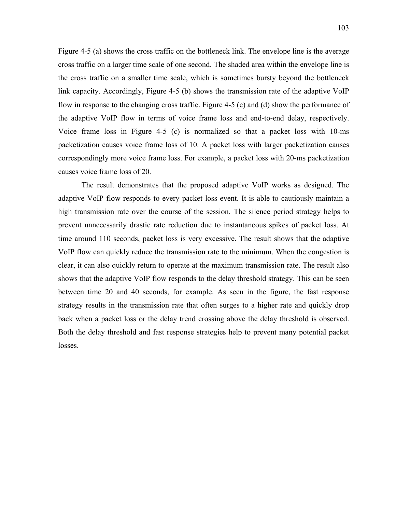Figure 4-5 (a) shows the cross traffic on the bottleneck link. The envelope line is the average cross traffic on a larger time scale of one second. The shaded area within the envelope line is the cross traffic on a smaller time scale, which is sometimes bursty beyond the bottleneck link capacity. Accordingly, Figure 4-5 (b) shows the transmission rate of the adaptive VoIP flow in response to the changing cross traffic. Figure 4-5 (c) and (d) show the performance of the adaptive VoIP flow in terms of voice frame loss and end-to-end delay, respectively. Voice frame loss in Figure 4-5 (c) is normalized so that a packet loss with 10-ms packetization causes voice frame loss of 10. A packet loss with larger packetization causes correspondingly more voice frame loss. For example, a packet loss with 20-ms packetization causes voice frame loss of 20.

The result demonstrates that the proposed adaptive VoIP works as designed. The adaptive VoIP flow responds to every packet loss event. It is able to cautiously maintain a high transmission rate over the course of the session. The silence period strategy helps to prevent unnecessarily drastic rate reduction due to instantaneous spikes of packet loss. At time around 110 seconds, packet loss is very excessive. The result shows that the adaptive VoIP flow can quickly reduce the transmission rate to the minimum. When the congestion is clear, it can also quickly return to operate at the maximum transmission rate. The result also shows that the adaptive VoIP flow responds to the delay threshold strategy. This can be seen between time 20 and 40 seconds, for example. As seen in the figure, the fast response strategy results in the transmission rate that often surges to a higher rate and quickly drop back when a packet loss or the delay trend crossing above the delay threshold is observed. Both the delay threshold and fast response strategies help to prevent many potential packet losses.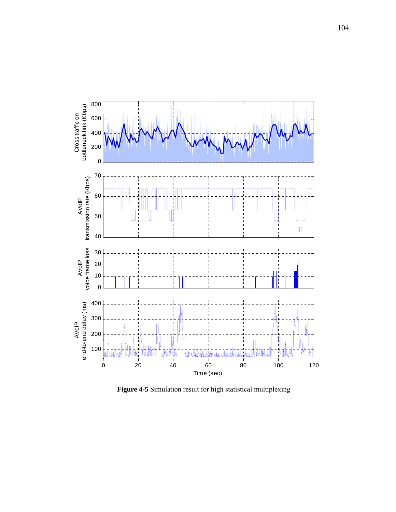

**Figure 4-5** Simulation result for high statistical multiplexing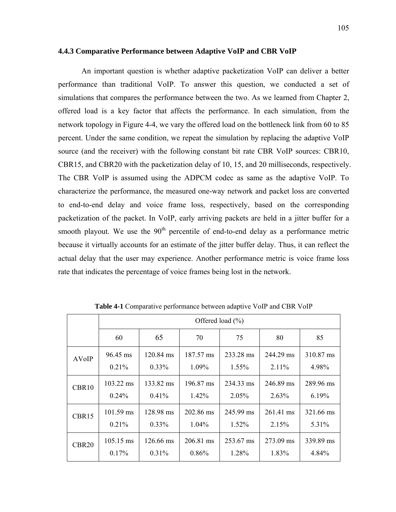#### **4.4.3 Comparative Performance between Adaptive VoIP and CBR VoIP**

An important question is whether adaptive packetization VoIP can deliver a better performance than traditional VoIP. To answer this question, we conducted a set of simulations that compares the performance between the two. As we learned from Chapter 2, offered load is a key factor that affects the performance. In each simulation, from the network topology in Figure 4-4, we vary the offered load on the bottleneck link from 60 to 85 percent. Under the same condition, we repeat the simulation by replacing the adaptive VoIP source (and the receiver) with the following constant bit rate CBR VoIP sources: CBR10, CBR15, and CBR20 with the packetization delay of 10, 15, and 20 milliseconds, respectively. The CBR VoIP is assumed using the ADPCM codec as same as the adaptive VoIP. To characterize the performance, the measured one-way network and packet loss are converted to end-to-end delay and voice frame loss, respectively, based on the corresponding packetization of the packet. In VoIP, early arriving packets are held in a jitter buffer for a smooth playout. We use the  $90<sup>th</sup>$  percentile of end-to-end delay as a performance metric because it virtually accounts for an estimate of the jitter buffer delay. Thus, it can reflect the actual delay that the user may experience. Another performance metric is voice frame loss rate that indicates the percentage of voice frames being lost in the network.

|                   | Offered load $(\% )$ |           |           |           |           |           |
|-------------------|----------------------|-----------|-----------|-----------|-----------|-----------|
|                   | 60                   | 65        | 70        | 75        | 80        | 85        |
| <b>AVoIP</b>      | 96.45 ms             | 120.84 ms | 187.57 ms | 233.28 ms | 244.29 ms | 310.87 ms |
|                   | 0.21%                | $0.33\%$  | 1.09%     | 1.55%     | $2.11\%$  | 4.98%     |
| CBR10             | 103.22 ms            | 133.82 ms | 196.87 ms | 234.33 ms | 246.89 ms | 289.96 ms |
|                   | 0.24%                | 0.41%     | 1.42%     | 2.05%     | $2.63\%$  | $6.19\%$  |
| CBR15             | $101.59 \text{ ms}$  | 128.98 ms | 202.86 ms | 245.99 ms | 261.41 ms | 321.66 ms |
|                   | 0.21%                | $0.33\%$  | $1.04\%$  | 1.52%     | 2.15%     | 5.31%     |
| CBR <sub>20</sub> | 105.15 ms            | 126.66 ms | 206.81 ms | 253.67 ms | 273.09 ms | 339.89 ms |
|                   | 0.17%                | 0.31%     | 0.86%     | 1.28%     | 1.83%     | 4.84%     |

**Table 4-1** Comparative performance between adaptive VoIP and CBR VoIP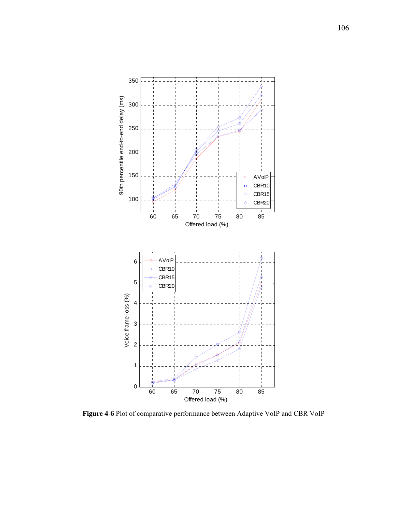

**Figure 4-6** Plot of comparative performance between Adaptive VoIP and CBR VoIP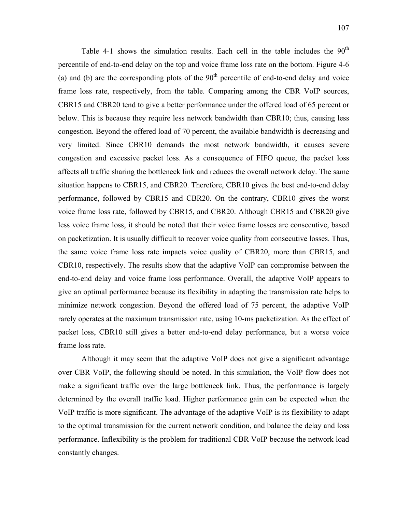Table 4-1 shows the simulation results. Each cell in the table includes the  $90<sup>th</sup>$ percentile of end-to-end delay on the top and voice frame loss rate on the bottom. Figure 4-6 (a) and (b) are the corresponding plots of the  $90<sup>th</sup>$  percentile of end-to-end delay and voice frame loss rate, respectively, from the table. Comparing among the CBR VoIP sources, CBR15 and CBR20 tend to give a better performance under the offered load of 65 percent or below. This is because they require less network bandwidth than CBR10; thus, causing less congestion. Beyond the offered load of 70 percent, the available bandwidth is decreasing and very limited. Since CBR10 demands the most network bandwidth, it causes severe congestion and excessive packet loss. As a consequence of FIFO queue, the packet loss affects all traffic sharing the bottleneck link and reduces the overall network delay. The same situation happens to CBR15, and CBR20. Therefore, CBR10 gives the best end-to-end delay performance, followed by CBR15 and CBR20. On the contrary, CBR10 gives the worst voice frame loss rate, followed by CBR15, and CBR20. Although CBR15 and CBR20 give less voice frame loss, it should be noted that their voice frame losses are consecutive, based on packetization. It is usually difficult to recover voice quality from consecutive losses. Thus, the same voice frame loss rate impacts voice quality of CBR20, more than CBR15, and CBR10, respectively. The results show that the adaptive VoIP can compromise between the end-to-end delay and voice frame loss performance. Overall, the adaptive VoIP appears to give an optimal performance because its flexibility in adapting the transmission rate helps to minimize network congestion. Beyond the offered load of 75 percent, the adaptive VoIP rarely operates at the maximum transmission rate, using 10-ms packetization. As the effect of packet loss, CBR10 still gives a better end-to-end delay performance, but a worse voice frame loss rate.

Although it may seem that the adaptive VoIP does not give a significant advantage over CBR VoIP, the following should be noted. In this simulation, the VoIP flow does not make a significant traffic over the large bottleneck link. Thus, the performance is largely determined by the overall traffic load. Higher performance gain can be expected when the VoIP traffic is more significant. The advantage of the adaptive VoIP is its flexibility to adapt to the optimal transmission for the current network condition, and balance the delay and loss performance. Inflexibility is the problem for traditional CBR VoIP because the network load constantly changes.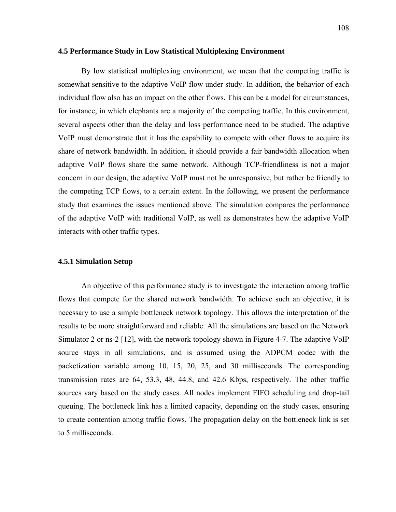#### **4.5 Performance Study in Low Statistical Multiplexing Environment**

By low statistical multiplexing environment, we mean that the competing traffic is somewhat sensitive to the adaptive VoIP flow under study. In addition, the behavior of each individual flow also has an impact on the other flows. This can be a model for circumstances, for instance, in which elephants are a majority of the competing traffic. In this environment, several aspects other than the delay and loss performance need to be studied. The adaptive VoIP must demonstrate that it has the capability to compete with other flows to acquire its share of network bandwidth. In addition, it should provide a fair bandwidth allocation when adaptive VoIP flows share the same network. Although TCP-friendliness is not a major concern in our design, the adaptive VoIP must not be unresponsive, but rather be friendly to the competing TCP flows, to a certain extent. In the following, we present the performance study that examines the issues mentioned above. The simulation compares the performance of the adaptive VoIP with traditional VoIP, as well as demonstrates how the adaptive VoIP interacts with other traffic types.

#### **4.5.1 Simulation Setup**

An objective of this performance study is to investigate the interaction among traffic flows that compete for the shared network bandwidth. To achieve such an objective, it is necessary to use a simple bottleneck network topology. This allows the interpretation of the results to be more straightforward and reliable. All the simulations are based on the Network Simulator 2 or ns-2 [12], with the network topology shown in Figure 4-7. The adaptive VoIP source stays in all simulations, and is assumed using the ADPCM codec with the packetization variable among 10, 15, 20, 25, and 30 milliseconds. The corresponding transmission rates are 64, 53.3, 48, 44.8, and 42.6 Kbps, respectively. The other traffic sources vary based on the study cases. All nodes implement FIFO scheduling and drop-tail queuing. The bottleneck link has a limited capacity, depending on the study cases, ensuring to create contention among traffic flows. The propagation delay on the bottleneck link is set to 5 milliseconds.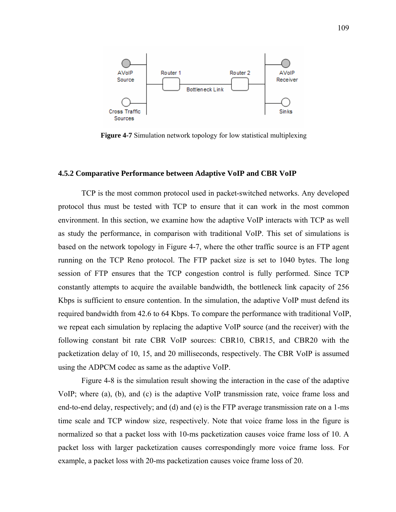

**Figure 4-7** Simulation network topology for low statistical multiplexing

#### **4.5.2 Comparative Performance between Adaptive VoIP and CBR VoIP**

TCP is the most common protocol used in packet-switched networks. Any developed protocol thus must be tested with TCP to ensure that it can work in the most common environment. In this section, we examine how the adaptive VoIP interacts with TCP as well as study the performance, in comparison with traditional VoIP. This set of simulations is based on the network topology in Figure 4-7, where the other traffic source is an FTP agent running on the TCP Reno protocol. The FTP packet size is set to 1040 bytes. The long session of FTP ensures that the TCP congestion control is fully performed. Since TCP constantly attempts to acquire the available bandwidth, the bottleneck link capacity of 256 Kbps is sufficient to ensure contention. In the simulation, the adaptive VoIP must defend its required bandwidth from 42.6 to 64 Kbps. To compare the performance with traditional VoIP, we repeat each simulation by replacing the adaptive VoIP source (and the receiver) with the following constant bit rate CBR VoIP sources: CBR10, CBR15, and CBR20 with the packetization delay of 10, 15, and 20 milliseconds, respectively. The CBR VoIP is assumed using the ADPCM codec as same as the adaptive VoIP.

Figure 4-8 is the simulation result showing the interaction in the case of the adaptive VoIP; where (a), (b), and (c) is the adaptive VoIP transmission rate, voice frame loss and end-to-end delay, respectively; and (d) and (e) is the FTP average transmission rate on a 1-ms time scale and TCP window size, respectively. Note that voice frame loss in the figure is normalized so that a packet loss with 10-ms packetization causes voice frame loss of 10. A packet loss with larger packetization causes correspondingly more voice frame loss. For example, a packet loss with 20-ms packetization causes voice frame loss of 20.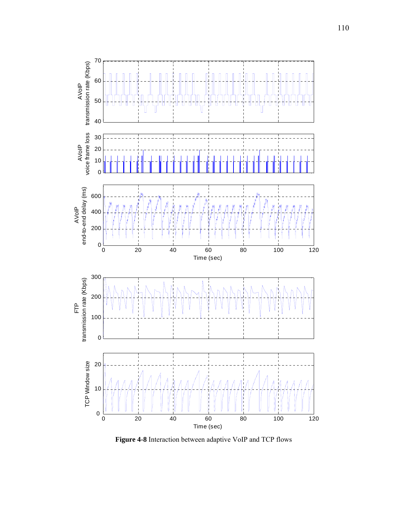

**Figure 4-8** Interaction between adaptive VoIP and TCP flows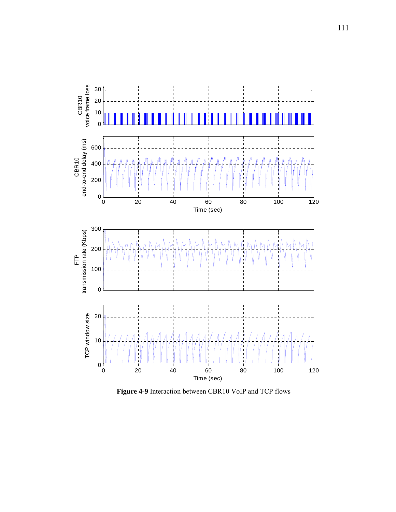

**Figure 4-9** Interaction between CBR10 VoIP and TCP flows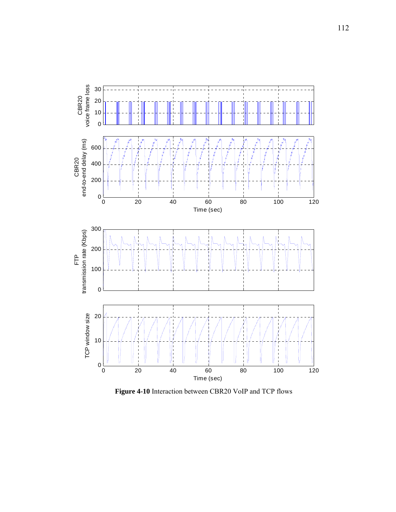

**Figure 4-10** Interaction between CBR20 VoIP and TCP flows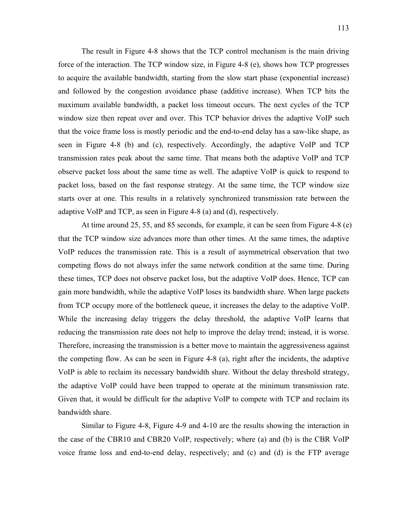The result in Figure 4-8 shows that the TCP control mechanism is the main driving force of the interaction. The TCP window size, in Figure 4-8 (e), shows how TCP progresses to acquire the available bandwidth, starting from the slow start phase (exponential increase) and followed by the congestion avoidance phase (additive increase). When TCP hits the maximum available bandwidth, a packet loss timeout occurs. The next cycles of the TCP window size then repeat over and over. This TCP behavior drives the adaptive VoIP such that the voice frame loss is mostly periodic and the end-to-end delay has a saw-like shape, as seen in Figure 4-8 (b) and (c), respectively. Accordingly, the adaptive VoIP and TCP transmission rates peak about the same time. That means both the adaptive VoIP and TCP observe packet loss about the same time as well. The adaptive VoIP is quick to respond to packet loss, based on the fast response strategy. At the same time, the TCP window size starts over at one. This results in a relatively synchronized transmission rate between the adaptive VoIP and TCP, as seen in Figure 4-8 (a) and (d), respectively.

At time around 25, 55, and 85 seconds, for example, it can be seen from Figure 4-8 (e) that the TCP window size advances more than other times. At the same times, the adaptive VoIP reduces the transmission rate. This is a result of asymmetrical observation that two competing flows do not always infer the same network condition at the same time. During these times, TCP does not observe packet loss, but the adaptive VoIP does. Hence, TCP can gain more bandwidth, while the adaptive VoIP loses its bandwidth share. When large packets from TCP occupy more of the bottleneck queue, it increases the delay to the adaptive VoIP. While the increasing delay triggers the delay threshold, the adaptive VoIP learns that reducing the transmission rate does not help to improve the delay trend; instead, it is worse. Therefore, increasing the transmission is a better move to maintain the aggressiveness against the competing flow. As can be seen in Figure 4-8 (a), right after the incidents, the adaptive VoIP is able to reclaim its necessary bandwidth share. Without the delay threshold strategy, the adaptive VoIP could have been trapped to operate at the minimum transmission rate. Given that, it would be difficult for the adaptive VoIP to compete with TCP and reclaim its bandwidth share.

Similar to Figure 4-8, Figure 4-9 and 4-10 are the results showing the interaction in the case of the CBR10 and CBR20 VoIP, respectively; where (a) and (b) is the CBR VoIP voice frame loss and end-to-end delay, respectively; and (c) and (d) is the FTP average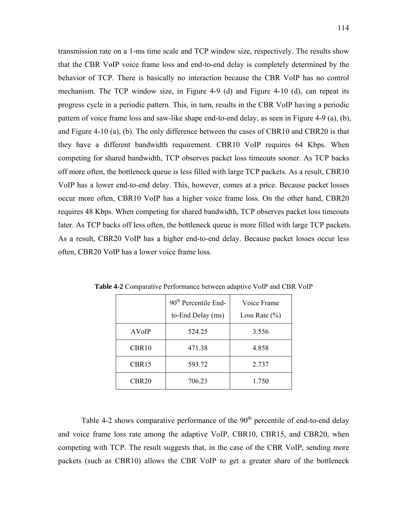transmission rate on a 1-ms time scale and TCP window size, respectively. The results show that the CBR VoIP voice frame loss and end-to-end delay is completely determined by the behavior of TCP. There is basically no interaction because the CBR VoIP has no control mechanism. The TCP window size, in Figure 4-9 (d) and Figure 4-10 (d), can repeat its progress cycle in a periodic pattern. This, in turn, results in the CBR VoIP having a periodic pattern of voice frame loss and saw-like shape end-to-end delay, as seen in Figure 4-9 (a), (b), and Figure 4-10 (a), (b). The only difference between the cases of CBR10 and CBR20 is that they have a different bandwidth requirement. CBR10 VoIP requires 64 Kbps. When competing for shared bandwidth, TCP observes packet loss timeouts sooner. As TCP backs off more often, the bottleneck queue is less filled with large TCP packets. As a result, CBR10 VoIP has a lower end-to-end delay. This, however, comes at a price. Because packet losses occur more often, CBR10 VoIP has a higher voice frame loss. On the other hand, CBR20 requires 48 Kbps. When competing for shared bandwidth, TCP observes packet loss timeouts later. As TCP backs off less often, the bottleneck queue is more filled with large TCP packets. As a result, CBR20 VoIP has a higher end-to-end delay. Because packet losses occur less often, CBR20 VoIP has a lower voice frame loss.

|                   | 90 <sup>th</sup> Percentile End-<br>to-End Delay (ms) | Voice Frame<br>Loss Rate $(\% )$ |
|-------------------|-------------------------------------------------------|----------------------------------|
|                   |                                                       |                                  |
| AVoIP             | 524.25                                                | 3.556                            |
| CBR <sub>10</sub> | 471.38                                                | 4.858                            |
| CBR <sub>15</sub> | 593.72                                                | 2.737                            |
| CBR <sub>20</sub> | 706.23                                                | 1.750                            |

**Table 4-2** Comparative Performance between adaptive VoIP and CBR VoIP

Table 4-2 shows comparative performance of the  $90<sup>th</sup>$  percentile of end-to-end delay and voice frame loss rate among the adaptive VoIP, CBR10, CBR15, and CBR20, when competing with TCP. The result suggests that, in the case of the CBR VoIP, sending more packets (such as CBR10) allows the CBR VoIP to get a greater share of the bottleneck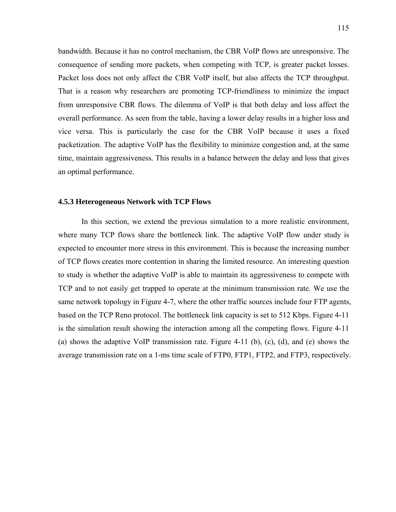bandwidth. Because it has no control mechanism, the CBR VoIP flows are unresponsive. The consequence of sending more packets, when competing with TCP, is greater packet losses. Packet loss does not only affect the CBR VoIP itself, but also affects the TCP throughput. That is a reason why researchers are promoting TCP-friendliness to minimize the impact from unresponsive CBR flows. The dilemma of VoIP is that both delay and loss affect the overall performance. As seen from the table, having a lower delay results in a higher loss and vice versa. This is particularly the case for the CBR VoIP because it uses a fixed packetization. The adaptive VoIP has the flexibility to minimize congestion and, at the same time, maintain aggressiveness. This results in a balance between the delay and loss that gives an optimal performance.

#### **4.5.3 Heterogeneous Network with TCP Flows**

In this section, we extend the previous simulation to a more realistic environment, where many TCP flows share the bottleneck link. The adaptive VoIP flow under study is expected to encounter more stress in this environment. This is because the increasing number of TCP flows creates more contention in sharing the limited resource. An interesting question to study is whether the adaptive VoIP is able to maintain its aggressiveness to compete with TCP and to not easily get trapped to operate at the minimum transmission rate. We use the same network topology in Figure 4-7, where the other traffic sources include four FTP agents, based on the TCP Reno protocol. The bottleneck link capacity is set to 512 Kbps. Figure 4-11 is the simulation result showing the interaction among all the competing flows. Figure 4-11 (a) shows the adaptive VoIP transmission rate. Figure 4-11 (b), (c), (d), and (e) shows the average transmission rate on a 1-ms time scale of FTP0, FTP1, FTP2, and FTP3, respectively.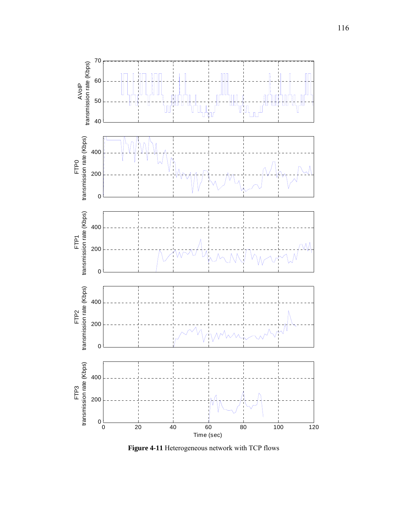

**Figure 4-11** Heterogeneous network with TCP flows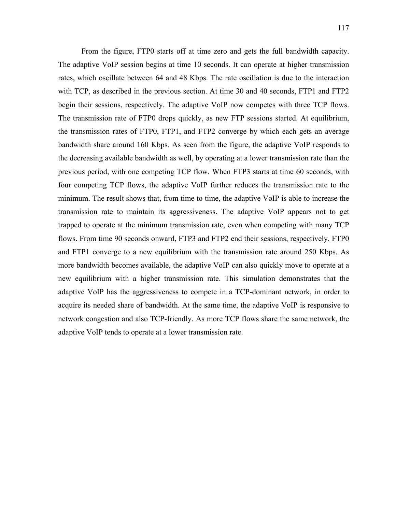From the figure, FTP0 starts off at time zero and gets the full bandwidth capacity. The adaptive VoIP session begins at time 10 seconds. It can operate at higher transmission rates, which oscillate between 64 and 48 Kbps. The rate oscillation is due to the interaction with TCP, as described in the previous section. At time 30 and 40 seconds, FTP1 and FTP2 begin their sessions, respectively. The adaptive VoIP now competes with three TCP flows. The transmission rate of FTP0 drops quickly, as new FTP sessions started. At equilibrium, the transmission rates of FTP0, FTP1, and FTP2 converge by which each gets an average bandwidth share around 160 Kbps. As seen from the figure, the adaptive VoIP responds to the decreasing available bandwidth as well, by operating at a lower transmission rate than the previous period, with one competing TCP flow. When FTP3 starts at time 60 seconds, with four competing TCP flows, the adaptive VoIP further reduces the transmission rate to the minimum. The result shows that, from time to time, the adaptive VoIP is able to increase the transmission rate to maintain its aggressiveness. The adaptive VoIP appears not to get trapped to operate at the minimum transmission rate, even when competing with many TCP flows. From time 90 seconds onward, FTP3 and FTP2 end their sessions, respectively. FTP0 and FTP1 converge to a new equilibrium with the transmission rate around 250 Kbps. As more bandwidth becomes available, the adaptive VoIP can also quickly move to operate at a new equilibrium with a higher transmission rate. This simulation demonstrates that the adaptive VoIP has the aggressiveness to compete in a TCP-dominant network, in order to acquire its needed share of bandwidth. At the same time, the adaptive VoIP is responsive to network congestion and also TCP-friendly. As more TCP flows share the same network, the adaptive VoIP tends to operate at a lower transmission rate.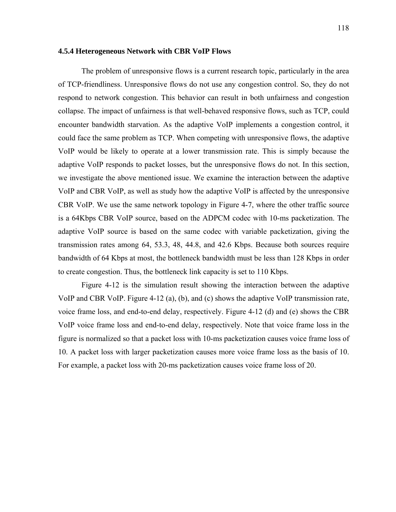#### **4.5.4 Heterogeneous Network with CBR VoIP Flows**

The problem of unresponsive flows is a current research topic, particularly in the area of TCP-friendliness. Unresponsive flows do not use any congestion control. So, they do not respond to network congestion. This behavior can result in both unfairness and congestion collapse. The impact of unfairness is that well-behaved responsive flows, such as TCP, could encounter bandwidth starvation. As the adaptive VoIP implements a congestion control, it could face the same problem as TCP. When competing with unresponsive flows, the adaptive VoIP would be likely to operate at a lower transmission rate. This is simply because the adaptive VoIP responds to packet losses, but the unresponsive flows do not. In this section, we investigate the above mentioned issue. We examine the interaction between the adaptive VoIP and CBR VoIP, as well as study how the adaptive VoIP is affected by the unresponsive CBR VoIP. We use the same network topology in Figure 4-7, where the other traffic source is a 64Kbps CBR VoIP source, based on the ADPCM codec with 10-ms packetization. The adaptive VoIP source is based on the same codec with variable packetization, giving the transmission rates among 64, 53.3, 48, 44.8, and 42.6 Kbps. Because both sources require bandwidth of 64 Kbps at most, the bottleneck bandwidth must be less than 128 Kbps in order to create congestion. Thus, the bottleneck link capacity is set to 110 Kbps.

Figure 4-12 is the simulation result showing the interaction between the adaptive VoIP and CBR VoIP. Figure 4-12 (a), (b), and (c) shows the adaptive VoIP transmission rate, voice frame loss, and end-to-end delay, respectively. Figure 4-12 (d) and (e) shows the CBR VoIP voice frame loss and end-to-end delay, respectively. Note that voice frame loss in the figure is normalized so that a packet loss with 10-ms packetization causes voice frame loss of 10. A packet loss with larger packetization causes more voice frame loss as the basis of 10. For example, a packet loss with 20-ms packetization causes voice frame loss of 20.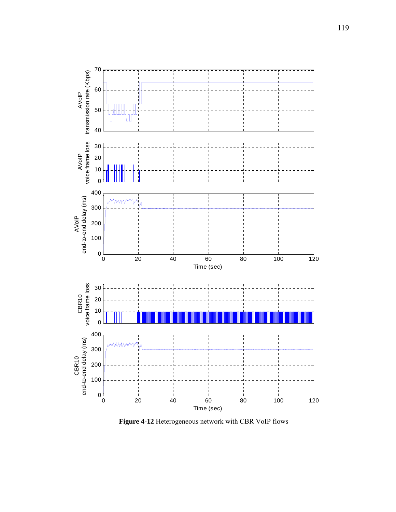

**Figure 4-12** Heterogeneous network with CBR VoIP flows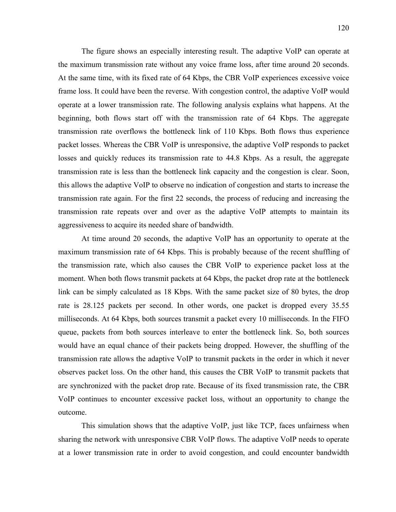The figure shows an especially interesting result. The adaptive VoIP can operate at the maximum transmission rate without any voice frame loss, after time around 20 seconds. At the same time, with its fixed rate of 64 Kbps, the CBR VoIP experiences excessive voice frame loss. It could have been the reverse. With congestion control, the adaptive VoIP would operate at a lower transmission rate. The following analysis explains what happens. At the beginning, both flows start off with the transmission rate of 64 Kbps. The aggregate transmission rate overflows the bottleneck link of 110 Kbps. Both flows thus experience packet losses. Whereas the CBR VoIP is unresponsive, the adaptive VoIP responds to packet losses and quickly reduces its transmission rate to 44.8 Kbps. As a result, the aggregate transmission rate is less than the bottleneck link capacity and the congestion is clear. Soon, this allows the adaptive VoIP to observe no indication of congestion and starts to increase the transmission rate again. For the first 22 seconds, the process of reducing and increasing the transmission rate repeats over and over as the adaptive VoIP attempts to maintain its aggressiveness to acquire its needed share of bandwidth.

At time around 20 seconds, the adaptive VoIP has an opportunity to operate at the maximum transmission rate of 64 Kbps. This is probably because of the recent shuffling of the transmission rate, which also causes the CBR VoIP to experience packet loss at the moment. When both flows transmit packets at 64 Kbps, the packet drop rate at the bottleneck link can be simply calculated as 18 Kbps. With the same packet size of 80 bytes, the drop rate is 28.125 packets per second. In other words, one packet is dropped every 35.55 milliseconds. At 64 Kbps, both sources transmit a packet every 10 milliseconds. In the FIFO queue, packets from both sources interleave to enter the bottleneck link. So, both sources would have an equal chance of their packets being dropped. However, the shuffling of the transmission rate allows the adaptive VoIP to transmit packets in the order in which it never observes packet loss. On the other hand, this causes the CBR VoIP to transmit packets that are synchronized with the packet drop rate. Because of its fixed transmission rate, the CBR VoIP continues to encounter excessive packet loss, without an opportunity to change the outcome.

This simulation shows that the adaptive VoIP, just like TCP, faces unfairness when sharing the network with unresponsive CBR VoIP flows. The adaptive VoIP needs to operate at a lower transmission rate in order to avoid congestion, and could encounter bandwidth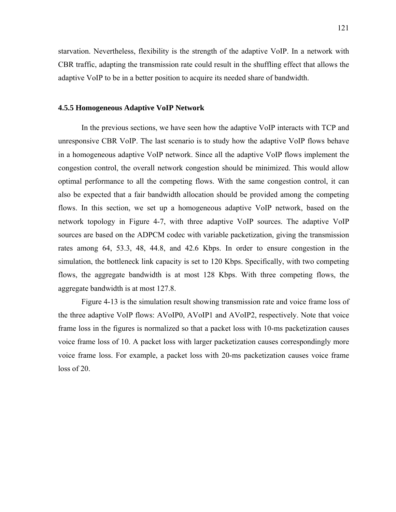starvation. Nevertheless, flexibility is the strength of the adaptive VoIP. In a network with CBR traffic, adapting the transmission rate could result in the shuffling effect that allows the adaptive VoIP to be in a better position to acquire its needed share of bandwidth.

#### **4.5.5 Homogeneous Adaptive VoIP Network**

In the previous sections, we have seen how the adaptive VoIP interacts with TCP and unresponsive CBR VoIP. The last scenario is to study how the adaptive VoIP flows behave in a homogeneous adaptive VoIP network. Since all the adaptive VoIP flows implement the congestion control, the overall network congestion should be minimized. This would allow optimal performance to all the competing flows. With the same congestion control, it can also be expected that a fair bandwidth allocation should be provided among the competing flows. In this section, we set up a homogeneous adaptive VoIP network, based on the network topology in Figure 4-7, with three adaptive VoIP sources. The adaptive VoIP sources are based on the ADPCM codec with variable packetization, giving the transmission rates among 64, 53.3, 48, 44.8, and 42.6 Kbps. In order to ensure congestion in the simulation, the bottleneck link capacity is set to 120 Kbps. Specifically, with two competing flows, the aggregate bandwidth is at most 128 Kbps. With three competing flows, the aggregate bandwidth is at most 127.8.

Figure 4-13 is the simulation result showing transmission rate and voice frame loss of the three adaptive VoIP flows: AVoIP0, AVoIP1 and AVoIP2, respectively. Note that voice frame loss in the figures is normalized so that a packet loss with 10-ms packetization causes voice frame loss of 10. A packet loss with larger packetization causes correspondingly more voice frame loss. For example, a packet loss with 20-ms packetization causes voice frame loss of 20.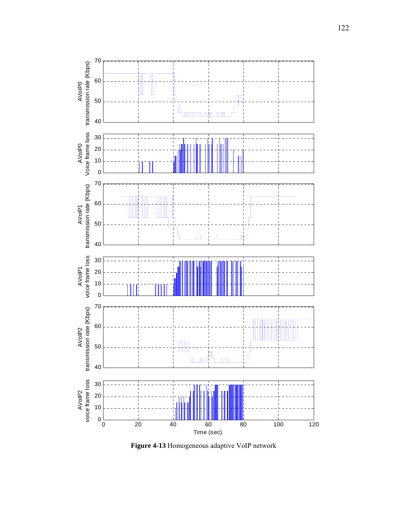

**Figure 4-13** Homogeneous adaptive VoIP network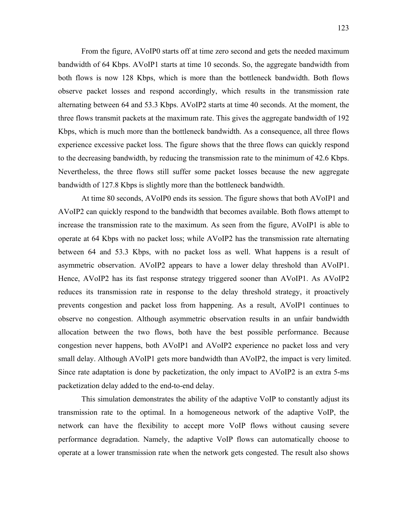From the figure, AVoIP0 starts off at time zero second and gets the needed maximum bandwidth of 64 Kbps. AVoIP1 starts at time 10 seconds. So, the aggregate bandwidth from both flows is now 128 Kbps, which is more than the bottleneck bandwidth. Both flows observe packet losses and respond accordingly, which results in the transmission rate alternating between 64 and 53.3 Kbps. AVoIP2 starts at time 40 seconds. At the moment, the three flows transmit packets at the maximum rate. This gives the aggregate bandwidth of 192 Kbps, which is much more than the bottleneck bandwidth. As a consequence, all three flows experience excessive packet loss. The figure shows that the three flows can quickly respond to the decreasing bandwidth, by reducing the transmission rate to the minimum of 42.6 Kbps. Nevertheless, the three flows still suffer some packet losses because the new aggregate bandwidth of 127.8 Kbps is slightly more than the bottleneck bandwidth.

At time 80 seconds, AVoIP0 ends its session. The figure shows that both AVoIP1 and AVoIP2 can quickly respond to the bandwidth that becomes available. Both flows attempt to increase the transmission rate to the maximum. As seen from the figure, AVoIP1 is able to operate at 64 Kbps with no packet loss; while AVoIP2 has the transmission rate alternating between 64 and 53.3 Kbps, with no packet loss as well. What happens is a result of asymmetric observation. AVoIP2 appears to have a lower delay threshold than AVoIP1. Hence, AVoIP2 has its fast response strategy triggered sooner than AVoIP1. As AVoIP2 reduces its transmission rate in response to the delay threshold strategy, it proactively prevents congestion and packet loss from happening. As a result, AVoIP1 continues to observe no congestion. Although asymmetric observation results in an unfair bandwidth allocation between the two flows, both have the best possible performance. Because congestion never happens, both AVoIP1 and AVoIP2 experience no packet loss and very small delay. Although AVoIP1 gets more bandwidth than AVoIP2, the impact is very limited. Since rate adaptation is done by packetization, the only impact to AVoIP2 is an extra 5-ms packetization delay added to the end-to-end delay.

This simulation demonstrates the ability of the adaptive VoIP to constantly adjust its transmission rate to the optimal. In a homogeneous network of the adaptive VoIP, the network can have the flexibility to accept more VoIP flows without causing severe performance degradation. Namely, the adaptive VoIP flows can automatically choose to operate at a lower transmission rate when the network gets congested. The result also shows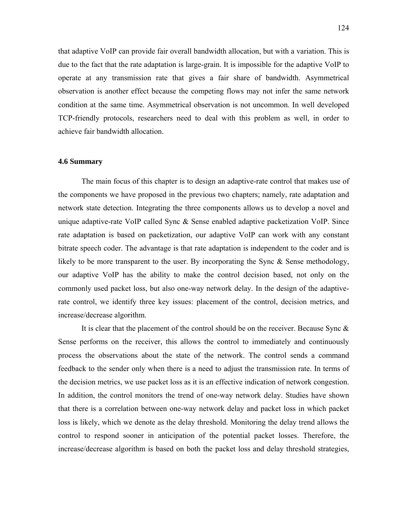that adaptive VoIP can provide fair overall bandwidth allocation, but with a variation. This is due to the fact that the rate adaptation is large-grain. It is impossible for the adaptive VoIP to operate at any transmission rate that gives a fair share of bandwidth. Asymmetrical observation is another effect because the competing flows may not infer the same network condition at the same time. Asymmetrical observation is not uncommon. In well developed TCP-friendly protocols, researchers need to deal with this problem as well, in order to achieve fair bandwidth allocation.

#### **4.6 Summary**

The main focus of this chapter is to design an adaptive-rate control that makes use of the components we have proposed in the previous two chapters; namely, rate adaptation and network state detection. Integrating the three components allows us to develop a novel and unique adaptive-rate VoIP called Sync & Sense enabled adaptive packetization VoIP. Since rate adaptation is based on packetization, our adaptive VoIP can work with any constant bitrate speech coder. The advantage is that rate adaptation is independent to the coder and is likely to be more transparent to the user. By incorporating the Sync & Sense methodology, our adaptive VoIP has the ability to make the control decision based, not only on the commonly used packet loss, but also one-way network delay. In the design of the adaptiverate control, we identify three key issues: placement of the control, decision metrics, and increase/decrease algorithm.

It is clear that the placement of the control should be on the receiver. Because Sync & Sense performs on the receiver, this allows the control to immediately and continuously process the observations about the state of the network. The control sends a command feedback to the sender only when there is a need to adjust the transmission rate. In terms of the decision metrics, we use packet loss as it is an effective indication of network congestion. In addition, the control monitors the trend of one-way network delay. Studies have shown that there is a correlation between one-way network delay and packet loss in which packet loss is likely, which we denote as the delay threshold. Monitoring the delay trend allows the control to respond sooner in anticipation of the potential packet losses. Therefore, the increase/decrease algorithm is based on both the packet loss and delay threshold strategies,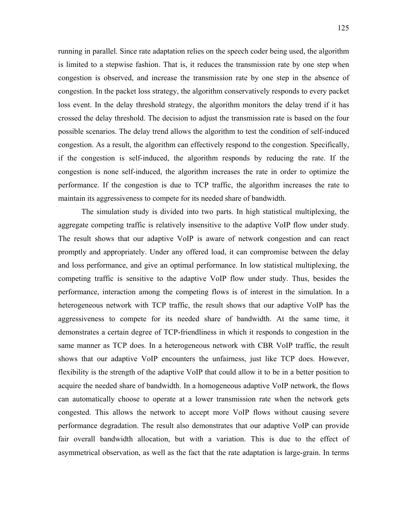running in parallel. Since rate adaptation relies on the speech coder being used, the algorithm is limited to a stepwise fashion. That is, it reduces the transmission rate by one step when congestion is observed, and increase the transmission rate by one step in the absence of congestion. In the packet loss strategy, the algorithm conservatively responds to every packet loss event. In the delay threshold strategy, the algorithm monitors the delay trend if it has crossed the delay threshold. The decision to adjust the transmission rate is based on the four possible scenarios. The delay trend allows the algorithm to test the condition of self-induced congestion. As a result, the algorithm can effectively respond to the congestion. Specifically, if the congestion is self-induced, the algorithm responds by reducing the rate. If the congestion is none self-induced, the algorithm increases the rate in order to optimize the performance. If the congestion is due to TCP traffic, the algorithm increases the rate to maintain its aggressiveness to compete for its needed share of bandwidth.

The simulation study is divided into two parts. In high statistical multiplexing, the aggregate competing traffic is relatively insensitive to the adaptive VoIP flow under study. The result shows that our adaptive VoIP is aware of network congestion and can react promptly and appropriately. Under any offered load, it can compromise between the delay and loss performance, and give an optimal performance. In low statistical multiplexing, the competing traffic is sensitive to the adaptive VoIP flow under study. Thus, besides the performance, interaction among the competing flows is of interest in the simulation. In a heterogeneous network with TCP traffic, the result shows that our adaptive VoIP has the aggressiveness to compete for its needed share of bandwidth. At the same time, it demonstrates a certain degree of TCP-friendliness in which it responds to congestion in the same manner as TCP does. In a heterogeneous network with CBR VoIP traffic, the result shows that our adaptive VoIP encounters the unfairness, just like TCP does. However, flexibility is the strength of the adaptive VoIP that could allow it to be in a better position to acquire the needed share of bandwidth. In a homogeneous adaptive VoIP network, the flows can automatically choose to operate at a lower transmission rate when the network gets congested. This allows the network to accept more VoIP flows without causing severe performance degradation. The result also demonstrates that our adaptive VoIP can provide fair overall bandwidth allocation, but with a variation. This is due to the effect of asymmetrical observation, as well as the fact that the rate adaptation is large-grain. In terms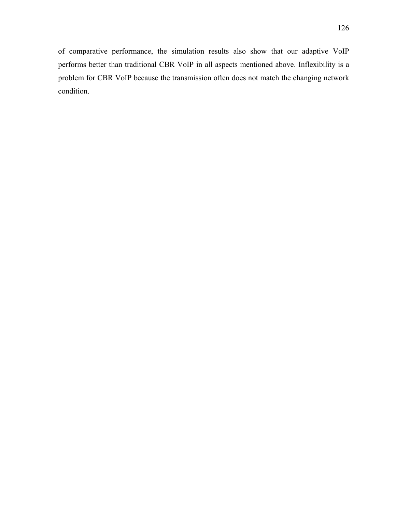of comparative performance, the simulation results also show that our adaptive VoIP performs better than traditional CBR VoIP in all aspects mentioned above. Inflexibility is a problem for CBR VoIP because the transmission often does not match the changing network condition.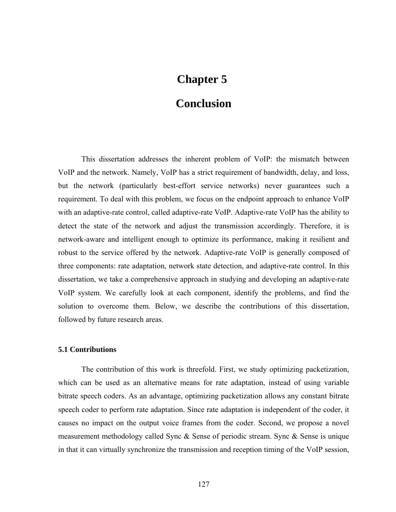# **Chapter 5**

## **Conclusion**

This dissertation addresses the inherent problem of VoIP: the mismatch between VoIP and the network. Namely, VoIP has a strict requirement of bandwidth, delay, and loss, but the network (particularly best-effort service networks) never guarantees such a requirement. To deal with this problem, we focus on the endpoint approach to enhance VoIP with an adaptive-rate control, called adaptive-rate VoIP. Adaptive-rate VoIP has the ability to detect the state of the network and adjust the transmission accordingly. Therefore, it is network-aware and intelligent enough to optimize its performance, making it resilient and robust to the service offered by the network. Adaptive-rate VoIP is generally composed of three components: rate adaptation, network state detection, and adaptive-rate control. In this dissertation, we take a comprehensive approach in studying and developing an adaptive-rate VoIP system. We carefully look at each component, identify the problems, and find the solution to overcome them. Below, we describe the contributions of this dissertation, followed by future research areas.

#### **5.1 Contributions**

The contribution of this work is threefold. First, we study optimizing packetization, which can be used as an alternative means for rate adaptation, instead of using variable bitrate speech coders. As an advantage, optimizing packetization allows any constant bitrate speech coder to perform rate adaptation. Since rate adaptation is independent of the coder, it causes no impact on the output voice frames from the coder. Second, we propose a novel measurement methodology called Sync & Sense of periodic stream. Sync & Sense is unique in that it can virtually synchronize the transmission and reception timing of the VoIP session,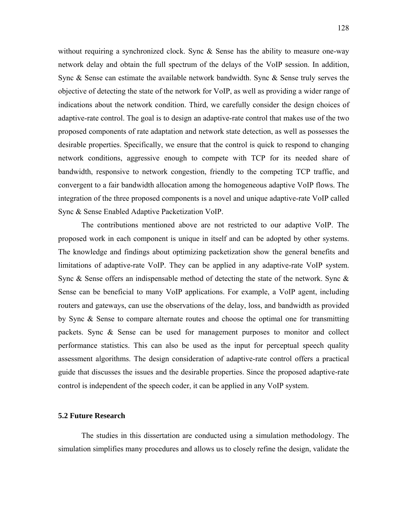without requiring a synchronized clock. Sync  $\&$  Sense has the ability to measure one-way network delay and obtain the full spectrum of the delays of the VoIP session. In addition, Sync & Sense can estimate the available network bandwidth. Sync & Sense truly serves the objective of detecting the state of the network for VoIP, as well as providing a wider range of indications about the network condition. Third, we carefully consider the design choices of adaptive-rate control. The goal is to design an adaptive-rate control that makes use of the two proposed components of rate adaptation and network state detection, as well as possesses the desirable properties. Specifically, we ensure that the control is quick to respond to changing network conditions, aggressive enough to compete with TCP for its needed share of bandwidth, responsive to network congestion, friendly to the competing TCP traffic, and convergent to a fair bandwidth allocation among the homogeneous adaptive VoIP flows. The integration of the three proposed components is a novel and unique adaptive-rate VoIP called Sync & Sense Enabled Adaptive Packetization VoIP.

The contributions mentioned above are not restricted to our adaptive VoIP. The proposed work in each component is unique in itself and can be adopted by other systems. The knowledge and findings about optimizing packetization show the general benefits and limitations of adaptive-rate VoIP. They can be applied in any adaptive-rate VoIP system. Sync & Sense offers an indispensable method of detecting the state of the network. Sync & Sense can be beneficial to many VoIP applications. For example, a VoIP agent, including routers and gateways, can use the observations of the delay, loss, and bandwidth as provided by Sync & Sense to compare alternate routes and choose the optimal one for transmitting packets. Sync & Sense can be used for management purposes to monitor and collect performance statistics. This can also be used as the input for perceptual speech quality assessment algorithms. The design consideration of adaptive-rate control offers a practical guide that discusses the issues and the desirable properties. Since the proposed adaptive-rate control is independent of the speech coder, it can be applied in any VoIP system.

#### **5.2 Future Research**

The studies in this dissertation are conducted using a simulation methodology. The simulation simplifies many procedures and allows us to closely refine the design, validate the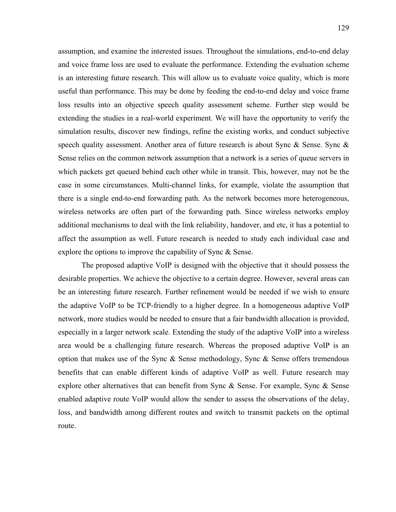assumption, and examine the interested issues. Throughout the simulations, end-to-end delay and voice frame loss are used to evaluate the performance. Extending the evaluation scheme is an interesting future research. This will allow us to evaluate voice quality, which is more useful than performance. This may be done by feeding the end-to-end delay and voice frame loss results into an objective speech quality assessment scheme. Further step would be extending the studies in a real-world experiment. We will have the opportunity to verify the simulation results, discover new findings, refine the existing works, and conduct subjective speech quality assessment. Another area of future research is about Sync & Sense. Sync & Sense relies on the common network assumption that a network is a series of queue servers in which packets get queued behind each other while in transit. This, however, may not be the case in some circumstances. Multi-channel links, for example, violate the assumption that there is a single end-to-end forwarding path. As the network becomes more heterogeneous, wireless networks are often part of the forwarding path. Since wireless networks employ additional mechanisms to deal with the link reliability, handover, and etc, it has a potential to affect the assumption as well. Future research is needed to study each individual case and explore the options to improve the capability of Sync & Sense.

The proposed adaptive VoIP is designed with the objective that it should possess the desirable properties. We achieve the objective to a certain degree. However, several areas can be an interesting future research. Further refinement would be needed if we wish to ensure the adaptive VoIP to be TCP-friendly to a higher degree. In a homogeneous adaptive VoIP network, more studies would be needed to ensure that a fair bandwidth allocation is provided, especially in a larger network scale. Extending the study of the adaptive VoIP into a wireless area would be a challenging future research. Whereas the proposed adaptive VoIP is an option that makes use of the Sync & Sense methodology, Sync & Sense offers tremendous benefits that can enable different kinds of adaptive VoIP as well. Future research may explore other alternatives that can benefit from Sync  $\&$  Sense. For example, Sync  $\&$  Sense enabled adaptive route VoIP would allow the sender to assess the observations of the delay, loss, and bandwidth among different routes and switch to transmit packets on the optimal route.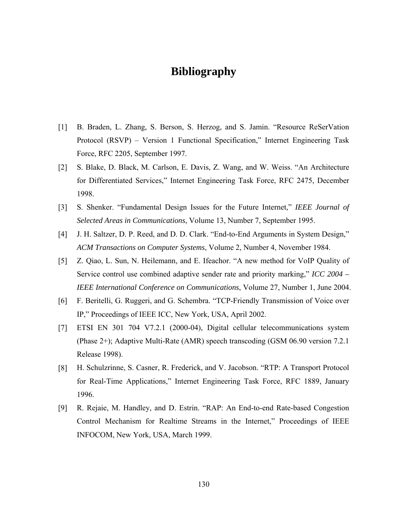### **Bibliography**

- [1] B. Braden, L. Zhang, S. Berson, S. Herzog, and S. Jamin. "Resource ReSerVation Protocol (RSVP) – Version 1 Functional Specification," Internet Engineering Task Force, RFC 2205, September 1997.
- [2] S. Blake, D. Black, M. Carlson, E. Davis, Z. Wang, and W. Weiss. "An Architecture for Differentiated Services," Internet Engineering Task Force, RFC 2475, December 1998.
- [3] S. Shenker. "Fundamental Design Issues for the Future Internet," *IEEE Journal of Selected Areas in Communications*, Volume 13, Number 7, September 1995.
- [4] J. H. Saltzer, D. P. Reed, and D. D. Clark. "End-to-End Arguments in System Design," *ACM Transactions on Computer Systems*, Volume 2, Number 4, November 1984.
- [5] Z. Qiao, L. Sun, N. Heilemann, and E. Ifeachor. "A new method for VoIP Quality of Service control use combined adaptive sender rate and priority marking," *ICC 2004 – IEEE International Conference on Communications*, Volume 27, Number 1, June 2004.
- [6] F. Beritelli, G. Ruggeri, and G. Schembra. "TCP-Friendly Transmission of Voice over IP," Proceedings of IEEE ICC, New York, USA, April 2002.
- [7] ETSI EN 301 704 V7.2.1 (2000-04), Digital cellular telecommunications system (Phase 2+); Adaptive Multi-Rate (AMR) speech transcoding (GSM 06.90 version 7.2.1 Release 1998).
- [8] H. Schulzrinne, S. Casner, R. Frederick, and V. Jacobson. "RTP: A Transport Protocol for Real-Time Applications," Internet Engineering Task Force, RFC 1889, January 1996.
- [9] R. Rejaie, M. Handley, and D. Estrin. "RAP: An End-to-end Rate-based Congestion Control Mechanism for Realtime Streams in the Internet," Proceedings of IEEE INFOCOM, New York, USA, March 1999.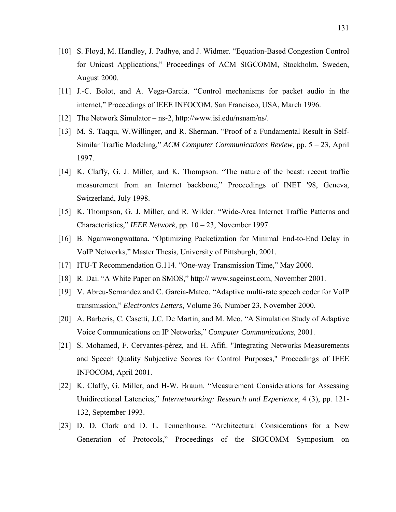- [10] S. Floyd, M. Handley, J. Padhye, and J. Widmer. "Equation-Based Congestion Control for Unicast Applications," Proceedings of ACM SIGCOMM, Stockholm, Sweden, August 2000.
- [11] J.-C. Bolot, and A. Vega-Garcia. "Control mechanisms for packet audio in the internet," Proceedings of IEEE INFOCOM, San Francisco, USA, March 1996.
- [12] The Network Simulator ns-2, http://www.isi.edu/nsnam/ns/.
- [13] M. S. Taqqu, W.Willinger, and R. Sherman. "Proof of a Fundamental Result in Self-Similar Traffic Modeling," *ACM Computer Communications Review*, pp. 5 – 23, April 1997.
- [14] K. Claffy, G. J. Miller, and K. Thompson. "The nature of the beast: recent traffic measurement from an Internet backbone," Proceedings of INET '98, Geneva, Switzerland, July 1998.
- [15] K. Thompson, G. J. Miller, and R. Wilder. "Wide-Area Internet Traffic Patterns and Characteristics," *IEEE Network*, pp. 10 – 23, November 1997.
- [16] B. Ngamwongwattana. "Optimizing Packetization for Minimal End-to-End Delay in VoIP Networks," Master Thesis, University of Pittsburgh, 2001.
- [17] ITU-T Recommendation G.114. "One-way Transmission Time," May 2000.
- [18] R. Dai. "A White Paper on SMOS," http:// www.sageinst.com, November 2001.
- [19] V. Abreu-Sernandez and C. Garcia-Mateo. "Adaptive multi-rate speech coder for VoIP transmission," *Electronics Letters*, Volume 36, Number 23, November 2000.
- [20] A. Barberis, C. Casetti, J.C. De Martin, and M. Meo. "A Simulation Study of Adaptive Voice Communications on IP Networks," *Computer Communications*, 2001.
- [21] S. Mohamed, F. Cervantes-pérez, and H. Afifi. "Integrating Networks Measurements and Speech Quality Subjective Scores for Control Purposes," Proceedings of IEEE INFOCOM, April 2001.
- [22] K. Claffy, G. Miller, and H-W. Braum. "Measurement Considerations for Assessing Unidirectional Latencies," *Internetworking: Research and Experience*, 4 (3), pp. 121- 132, September 1993.
- [23] D. D. Clark and D. L. Tennenhouse. "Architectural Considerations for a New Generation of Protocols," Proceedings of the SIGCOMM Symposium on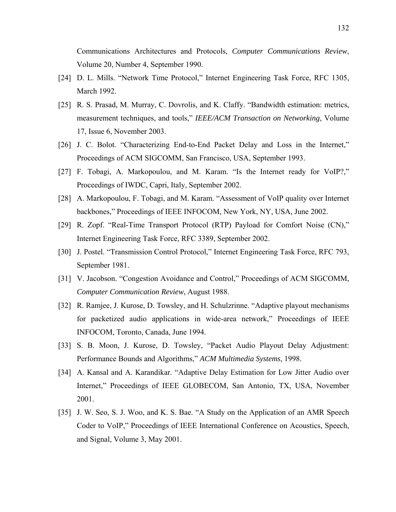Communications Architectures and Protocols, *Computer Communications Review*, Volume 20, Number 4, September 1990.

- [24] D. L. Mills. "Network Time Protocol," Internet Engineering Task Force, RFC 1305, March 1992.
- [25] R. S. Prasad, M. Murray, C. Dovrolis, and K. Claffy. "Bandwidth estimation: metrics, measurement techniques, and tools," *IEEE/ACM Transaction on Networking*, Volume 17, Issue 6, November 2003.
- [26] J. C. Bolot. "Characterizing End-to-End Packet Delay and Loss in the Internet," Proceedings of ACM SIGCOMM, San Francisco, USA, September 1993.
- [27] F. Tobagi, A. Markopoulou, and M. Karam. "Is the Internet ready for VoIP?," Proceedings of IWDC, Capri, Italy, September 2002.
- [28] A. Markopoulou, F. Tobagi, and M. Karam. "Assessment of VoIP quality over Internet backbones," Proceedings of IEEE INFOCOM, New York, NY, USA, June 2002.
- [29] R. Zopf. "Real-Time Transport Protocol (RTP) Payload for Comfort Noise (CN)," Internet Engineering Task Force, RFC 3389, September 2002.
- [30] J. Postel. "Transmission Control Protocol," Internet Engineering Task Force, RFC 793, September 1981.
- [31] V. Jacobson. "Congestion Avoidance and Control," Proceedings of ACM SIGCOMM, *Computer Communication Review*, August 1988.
- [32] R. Ramjee, J. Kurose, D. Towsley, and H. Schulzrinne. "Adaptive playout mechanisms for packetized audio applications in wide-area network," Proceedings of IEEE INFOCOM, Toronto, Canada, June 1994.
- [33] S. B. Moon, J. Kurose, D. Towsley, "Packet Audio Playout Delay Adjustment: Performance Bounds and Algorithms," *ACM Multimedia Systems*, 1998.
- [34] A. Kansal and A. Karandikar. "Adaptive Delay Estimation for Low Jitter Audio over Internet," Proceedings of IEEE GLOBECOM, San Antonio, TX, USA, November 2001.
- [35] J. W. Seo, S. J. Woo, and K. S. Bae. "A Study on the Application of an AMR Speech Coder to VoIP," Proceedings of IEEE International Conference on Acoustics, Speech, and Signal, Volume 3, May 2001.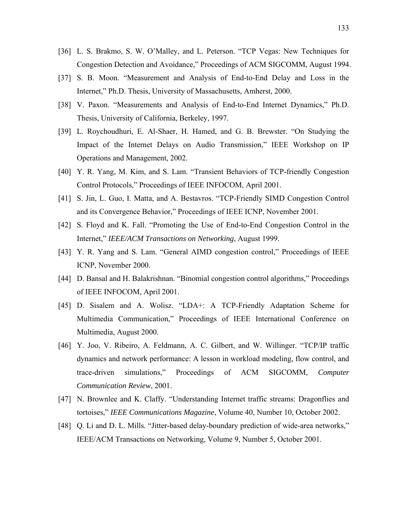- [36] L. S. Brakmo, S. W. O'Malley, and L. Peterson. "TCP Vegas: New Techniques for Congestion Detection and Avoidance," Proceedings of ACM SIGCOMM, August 1994.
- [37] S. B. Moon. "Measurement and Analysis of End-to-End Delay and Loss in the Internet," Ph.D. Thesis, University of Massachusetts, Amherst, 2000.
- [38] V. Paxon. "Measurements and Analysis of End-to-End Internet Dynamics," Ph.D. Thesis, University of California, Berkeley, 1997.
- [39] L. Roychoudhuri, E. Al-Shaer, H. Hamed, and G. B. Brewster. "On Studying the Impact of the Internet Delays on Audio Transmission," IEEE Workshop on IP Operations and Management, 2002.
- [40] Y. R. Yang, M. Kim, and S. Lam. "Transient Behaviors of TCP-friendly Congestion Control Protocols," Proceedings of IEEE INFOCOM, April 2001.
- [41] S. Jin, L. Guo, I. Matta, and A. Bestavros. "TCP-Friendly SIMD Congestion Control and its Convergence Behavior," Proceedings of IEEE ICNP, November 2001.
- [42] S. Floyd and K. Fall. "Promoting the Use of End-to-End Congestion Control in the Internet," *IEEE/ACM Transactions on Networking*, August 1999.
- [43] Y. R. Yang and S. Lam. "General AIMD congestion control," Proceedings of IEEE ICNP, November 2000.
- [44] D. Bansal and H. Balakrishnan. "Binomial congestion control algorithms," Proceedings of IEEE INFOCOM, April 2001.
- [45] D. Sisalem and A. Wolisz. "LDA+: A TCP-Friendly Adaptation Scheme for Multimedia Communication," Proceedings of IEEE International Conference on Multimedia, August 2000.
- [46] Y. Joo, V. Ribeiro, A. Feldmann, A. C. Gilbert, and W. Willinger. "TCP/IP traffic dynamics and network performance: A lesson in workload modeling, flow control, and trace-driven simulations," Proceedings of ACM SIGCOMM, *Computer Communication Review*, 2001.
- [47] N. Brownlee and K. Claffy. "Understanding Internet traffic streams: Dragonflies and tortoises," *IEEE Communications Magazine*, Volume 40, Number 10, October 2002.
- [48] Q. Li and D. L. Mills. "Jitter-based delay-boundary prediction of wide-area networks," IEEE/ACM Transactions on Networking, Volume 9, Number 5, October 2001.